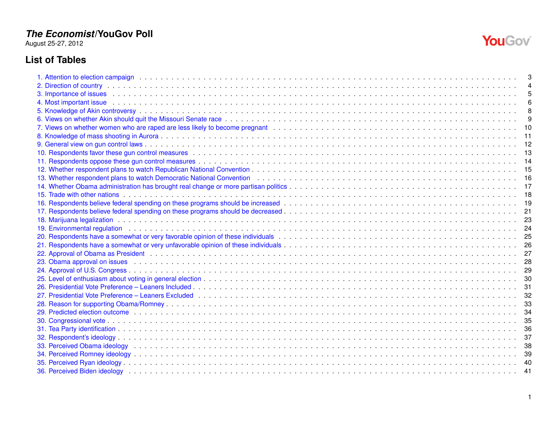August 25-27, 2012

## **List of Tables**

| 3. Importance of issues the contract of the contract of the contract of the contract of the contract of the contract of the contract of the contract of the contract of the contract of the contract of the contract of the co |    |
|--------------------------------------------------------------------------------------------------------------------------------------------------------------------------------------------------------------------------------|----|
| 4. Most important issue the contract of the contract of the contract of the contract of the contract of the contract of the contract of the contract of the contract of the contract of the contract of the contract of the co |    |
|                                                                                                                                                                                                                                | 8  |
|                                                                                                                                                                                                                                |    |
|                                                                                                                                                                                                                                | 10 |
|                                                                                                                                                                                                                                | 11 |
|                                                                                                                                                                                                                                |    |
|                                                                                                                                                                                                                                |    |
|                                                                                                                                                                                                                                |    |
|                                                                                                                                                                                                                                | 15 |
|                                                                                                                                                                                                                                |    |
|                                                                                                                                                                                                                                |    |
|                                                                                                                                                                                                                                |    |
|                                                                                                                                                                                                                                |    |
|                                                                                                                                                                                                                                |    |
|                                                                                                                                                                                                                                | 23 |
|                                                                                                                                                                                                                                | 24 |
|                                                                                                                                                                                                                                | 25 |
|                                                                                                                                                                                                                                |    |
|                                                                                                                                                                                                                                | 27 |
|                                                                                                                                                                                                                                | 28 |
|                                                                                                                                                                                                                                | 29 |
|                                                                                                                                                                                                                                |    |
|                                                                                                                                                                                                                                |    |
|                                                                                                                                                                                                                                |    |
|                                                                                                                                                                                                                                |    |
| 29. Predicted election outcome enterpresent and the control of the control of the control of the control of the control of the control of the control of the control of the control of the control of the control of the contr |    |
|                                                                                                                                                                                                                                |    |
|                                                                                                                                                                                                                                |    |
|                                                                                                                                                                                                                                | 37 |
| 33. Perceived Obama ideology (and a contract of the contract of the contract of the contract of the contract of the contract of the contract of the contract of the contract of the contract of the contract of the contract o | 38 |
|                                                                                                                                                                                                                                | 39 |
|                                                                                                                                                                                                                                |    |
|                                                                                                                                                                                                                                | 41 |

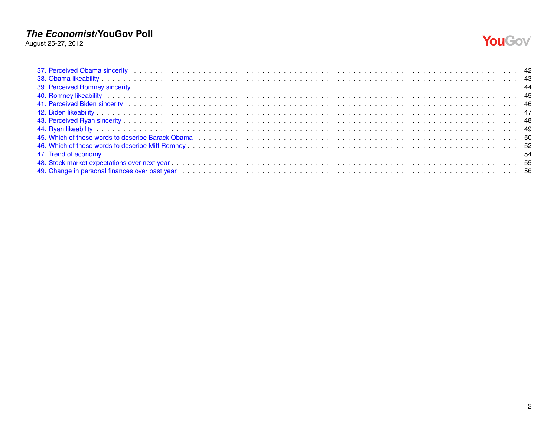August 25-27, 2012



| 49. Change in personal finances over past year enterpretation of the content of the content of the content of the content of the content of the content of the content of the content of the content of the content of the con |  |
|--------------------------------------------------------------------------------------------------------------------------------------------------------------------------------------------------------------------------------|--|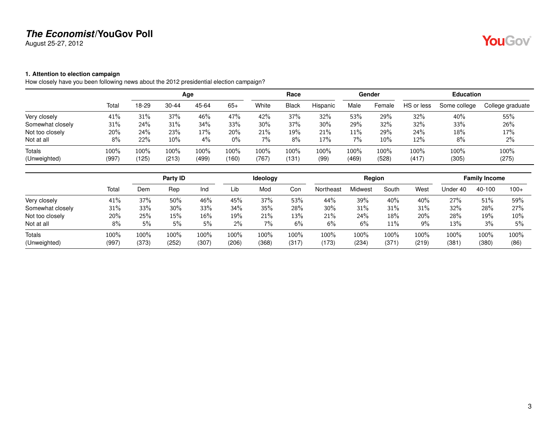August 25-27, 2012

# YouGov®

### <span id="page-2-0"></span>**1. Attention to election campaign**

How closely have you been following news about the 2012 presidential election campaign?

|                  |       |         |           | Age   |       |       | Race         |          |       | Gender |            | <b>Education</b> |                  |
|------------------|-------|---------|-----------|-------|-------|-------|--------------|----------|-------|--------|------------|------------------|------------------|
|                  | Total | 18-29   | $30 - 44$ | 45-64 | $65+$ | White | <b>Black</b> | Hispanic | Male  | Female | HS or less | Some college     | College graduate |
| Very closely     | 41%   | 31%     | 37%       | 46%   | 47%   | 42%   | 37%          | 32%      | 53%   | 29%    | 32%        | 40%              | 55%              |
| Somewhat closely | 31%   | 24%     | 31%       | 34%   | 33%   | 30%   | 37%          | 30%      | 29%   | 32%    | 32%        | 33%              | 26%              |
| Not too closely  | 20%   | 24%     | 23%       | 17%   | 20%   | 21%   | 19%          | 21%      | 11%   | 29%    | 24%        | 18%              | 17%              |
| Not at all       | 8%    | 22%     | 10%       | 4%    | $0\%$ | 7%    | 8%           | 17%      | $7\%$ | 10%    | 12%        | 8%               | 2%               |
| Totals           | 100%  | $100\%$ | 100%      | 100%  | 100%  | 100%  | 100%         | 100%     | 100%  | 100%   | 100%       | 100%             | 100%             |
| (Unweighted)     | (997) | (125)   | (213)     | (499) | (160) | (767) | (131         | (99)     | (469) | (528)  | (417)      | (305)            | (275)            |

|                  |       |       | Party ID |        |       | <b>Ideology</b> |       |           | Region  |       | <b>Family Income</b> |          |        |        |
|------------------|-------|-------|----------|--------|-------|-----------------|-------|-----------|---------|-------|----------------------|----------|--------|--------|
|                  | Total | Dem   | Rep      | Ind    | Lib   | Mod             | Con   | Northeast | Midwest | South | West                 | Jnder 40 | 40-100 | $100+$ |
| Very closely     | 41%   | 37%   | 50%      | 46%    | 45%   | 37%             | 53%   | 44%       | 39%     | 40%   | 40%                  | 27%      | 51%    | 59%    |
| Somewhat closely | 31%   | 33%   | 30%      | 33%    | 34%   | 35%             | 28%   | 30%       | 31%     | 31%   | 31%                  | 32%      | 28%    | 27%    |
| Not too closely  | 20%   | 25%   | 15%      | $16\%$ | 19%   | 21%             | 13%   | 21%       | 24%     | 18%   | 20%                  | 28%      | 19%    | $10\%$ |
| Not at all       | 8%    | 5%    | 5%       | 5%     | $2\%$ | 7%              | 6%    | 6%        | 6%      | 11%   | 9%                   | 13%      | 3%     | 5%     |
| Totals           | 100%  | 100%  | 100%     | 100%   | 100%  | 100%            | 100%  | 100%      | 100%    | 100%  | 100%                 | 100%     | 100%   | 100%   |
| (Unweighted)     | (997) | (373) | (252)    | (307)  | (206) | (368)           | (317) | (173)     | (234)   | (371) | (219)                | (381)    | (380)  | (86)   |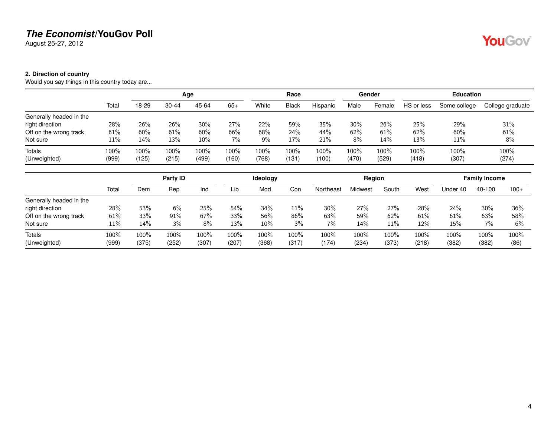August 25-27, 2012

### <span id="page-3-0"></span>**2. Direction of country**

Would you say things in this country today are...

|                         |         |       |         | Age   |       |         | Race         |          |       | Gender |            | <b>Education</b> |                  |
|-------------------------|---------|-------|---------|-------|-------|---------|--------------|----------|-------|--------|------------|------------------|------------------|
|                         | Total   | 18-29 | 30-44   | 45-64 | $65+$ | White   | <b>Black</b> | Hispanic | Male  | Female | HS or less | Some college     | College graduate |
| Generally headed in the |         |       |         |       |       |         |              |          |       |        |            |                  |                  |
| right direction         | 28%     | 26%   | 26%     | 30%   | 27%   | 22%     | 59%          | 35%      | 30%   | 26%    | 25%        | 29%              | 31%              |
| Off on the wrong track  | 61%     | 60%   | 61%     | 60%   | 66%   | 68%     | 24%          | 44%      | 62%   | 61%    | 62%        | 60%              | 61%              |
| Not sure                | 11%     | 14%   | 13%     | 10%   | $7\%$ | 9%      | 17%          | 21%      | 8%    | 14%    | 13%        | 11%              | 8%               |
| Totals                  | $100\%$ | 100%  | $100\%$ | 100%  | 100%  | $100\%$ | $100\%$      | 100%     | 100%  | 100%   | 100%       | 100%             | 100%             |
| (Unweighted)            | (999)   | (125) | (215)   | (499) | (160) | (768)   | (131         | (100)    | (470) | (529)  | (418)      | (307)            | (274)            |

|                         |         | Party ID |       |       | Ideology |         |       | Region    |         |       |            | <b>Family Income</b> |        |        |
|-------------------------|---------|----------|-------|-------|----------|---------|-------|-----------|---------|-------|------------|----------------------|--------|--------|
|                         | Total   | Dem      | Rep   | Ind   | Lib      | Mod     | Con   | Northeast | Midwest | South | West       | Under 40             | 40-100 | $100+$ |
| Generally headed in the |         |          |       |       |          |         |       |           |         |       |            |                      |        |        |
| right direction         | 28%     | 53%      | 6%    | 25%   | 54%      | 34%     | 11%   | 30%       | 27%     | 27%   | <b>28%</b> | 24%                  | 30%    | 36%    |
| Off on the wrong track  | 61%     | 33%      | 91%   | 67%   | 33%      | 56%     | 86%   | 63%       | 59%     | 62%   | 61%        | 61%                  | 63%    | 58%    |
| Not sure                | 11%     | 14%      | 3%    | 8%    | 13%      | 10%     | 3%    | 7%        | 14%     | 11%   | 12%        | 15%                  | 7%     | 6%     |
| Totals                  | $100\%$ | 100%     | 100%  | 100%  | 100%     | $100\%$ | 100%  | 100%      | 100%    | 100%  | $100\%$    | 100%                 | 100%   | 100%   |
| (Unweighted)            | (999)   | (375)    | (252) | (307) | (207)    | (368)   | (317) | (174)     | (234)   | (373) | (218)      | (382)                | (382)  | (86)   |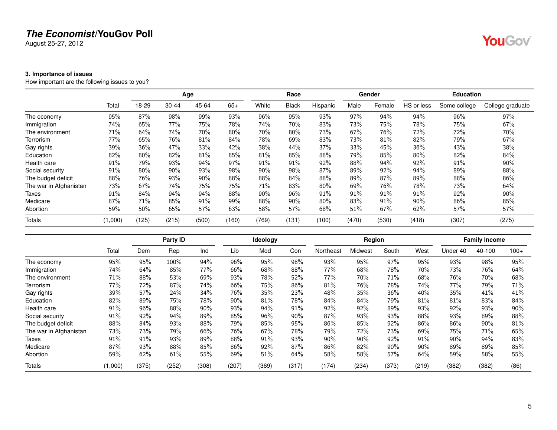August 25-27, 2012

### <span id="page-4-0"></span>**3. Importance of issues**

How important are the following issues to you?

|                        |         |       |       | Age   |       |       | Race         |          |       | Gender |            | <b>Education</b> |                  |
|------------------------|---------|-------|-------|-------|-------|-------|--------------|----------|-------|--------|------------|------------------|------------------|
|                        | Total   | 18-29 | 30-44 | 45-64 | $65+$ | White | <b>Black</b> | Hispanic | Male  | Female | HS or less | Some college     | College graduate |
| The economy            | 95%     | 87%   | 98%   | 99%   | 93%   | 96%   | 95%          | 93%      | 97%   | 94%    | 94%        | 96%              | 97%              |
| Immigration            | 74%     | 65%   | 77%   | 75%   | 78%   | 74%   | 70%          | 83%      | 73%   | 75%    | 78%        | 75%              | 67%              |
| The environment        | 71%     | 64%   | 74%   | 70%   | 80%   | 70%   | 80%          | 73%      | 67%   | 76%    | 72%        | 72%              | 70%              |
| Terrorism              | 77%     | 65%   | 76%   | 81%   | 84%   | 78%   | 69%          | 83%      | 73%   | 81%    | 82%        | 79%              | 67%              |
| Gay rights             | 39%     | 36%   | 47%   | 33%   | 42%   | 38%   | 44%          | 37%      | 33%   | 45%    | 36%        | 43%              | 38%              |
| Education              | 82%     | 80%   | 82%   | 81%   | 85%   | 81%   | 85%          | 88%      | 79%   | 85%    | 80%        | 82%              | 84%              |
| Health care            | 91%     | 79%   | 93%   | 94%   | 97%   | 91%   | 91%          | 92%      | 88%   | 94%    | 92%        | 91%              | 90%              |
| Social security        | 91%     | 80%   | 90%   | 93%   | 98%   | 90%   | 98%          | 87%      | 89%   | 92%    | 94%        | 89%              | 88%              |
| The budget deficit     | 88%     | 76%   | 93%   | 90%   | 88%   | 88%   | 84%          | 88%      | 89%   | 87%    | 89%        | 88%              | 86%              |
| The war in Afghanistan | 73%     | 67%   | 74%   | 75%   | 75%   | 71%   | 83%          | 80%      | 69%   | 76%    | 78%        | 73%              | 64%              |
| Taxes                  | 91%     | 84%   | 94%   | 94%   | 88%   | 90%   | 96%          | 91%      | 91%   | $91\%$ | 91%        | 92%              | 90%              |
| Medicare               | 87%     | 71%   | 85%   | 91%   | 99%   | 88%   | 90%          | 80%      | 83%   | 91%    | 90%        | 86%              | 85%              |
| Abortion               | 59%     | 50%   | 65%   | 57%   | 63%   | 58%   | 57%          | 68%      | 51%   | 67%    | 62%        | 57%              | 57%              |
| <b>Totals</b>          | (1,000) | (125) | (215) | (500) | (160) | (769) | (131)        | (100)    | (470) | (530)  | (418)      | (307)            | (275)            |

|                        |         |       | Party ID |        |        | Ideology |       |           | Region  |       |       |          | <b>Family Income</b> |        |
|------------------------|---------|-------|----------|--------|--------|----------|-------|-----------|---------|-------|-------|----------|----------------------|--------|
|                        | Total   | Dem   | Rep      | Ind    | Lib    | Mod      | Con   | Northeast | Midwest | South | West  | Under 40 | 40-100               | $100+$ |
| The economy            | 95%     | 95%   | 100%     | 94%    | 96%    | 95%      | 98%   | 93%       | 95%     | 97%   | 95%   | 93%      | 98%                  | 95%    |
| Immigration            | 74%     | 64%   | 85%      | 77%    | 66%    | 68%      | 88%   | 77%       | 68%     | 78%   | 70%   | 73%      | 76%                  | 64%    |
| The environment        | 71%     | 88%   | 53%      | 69%    | 93%    | 78%      | 52%   | 77%       | 70%     | 71%   | 68%   | 76%      | 70%                  | 68%    |
| Terrorism              | 77%     | 72%   | 87%      | 74%    | 66%    | 75%      | 86%   | 81%       | 76%     | 78%   | 74%   | 77%      | 79%                  | 71%    |
| Gay rights             | 39%     | 57%   | 24%      | 34%    | 76%    | 35%      | 23%   | 48%       | 35%     | 36%   | 40%   | 35%      | 41%                  | 41%    |
| Education              | 82%     | 89%   | 75%      | 78%    | $90\%$ | 81%      | 78%   | 84%       | 84%     | 79%   | 81%   | 81%      | 83%                  | 84%    |
| Health care            | 91%     | 96%   | 88%      | $90\%$ | 93%    | 94%      | 91%   | 92%       | 92%     | 89%   | 93%   | 92%      | 93%                  | 90%    |
| Social security        | 91%     | 92%   | 94%      | 89%    | 85%    | 96%      | 90%   | 87%       | 93%     | 93%   | 88%   | 93%      | 89%                  | 88%    |
| The budget deficit     | 88%     | 84%   | 93%      | 88%    | 79%    | 85%      | 95%   | 86%       | 85%     | 92%   | 86%   | 86%      | 90%                  | 81%    |
| The war in Afghanistan | 73%     | 73%   | 79%      | 66%    | 76%    | 67%      | 78%   | 79%       | 72%     | 73%   | 69%   | 75%      | 71%                  | 65%    |
| Taxes                  | 91%     | 91%   | 93%      | 89%    | 88%    | 91%      | 93%   | 90%       | 90%     | 92%   | 91%   | 90%      | 94%                  | 83%    |
| Medicare               | 87%     | 93%   | 88%      | 85%    | 86%    | 92%      | 87%   | 86%       | 82%     | 90%   | 90%   | 89%      | 89%                  | 85%    |
| Abortion               | 59%     | 62%   | 61%      | 55%    | 69%    | 51%      | 64%   | 58%       | 58%     | 57%   | 64%   | 59%      | 58%                  | 55%    |
| <b>Totals</b>          | (1,000) | (375) | (252)    | (308)  | (207)  | (369)    | (317) | (174)     | (234)   | (373) | (219) | (382)    | (382)                | (86)   |

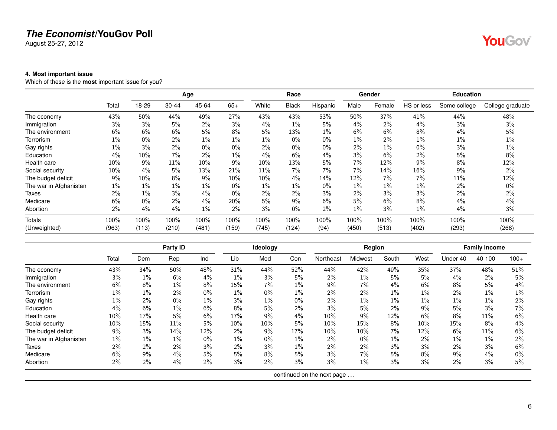August 25-27, 2012

### <span id="page-5-0"></span>**4. Most important issue**

Which of these is the **most** important issue for you?

|                        |       |       |           | Age   |       |       | Race         |          |       | Gender |            | <b>Education</b> |                  |
|------------------------|-------|-------|-----------|-------|-------|-------|--------------|----------|-------|--------|------------|------------------|------------------|
|                        | Total | 18-29 | $30 - 44$ | 45-64 | $65+$ | White | <b>Black</b> | Hispanic | Male  | Female | HS or less | Some college     | College graduate |
| The economy            | 43%   | 50%   | 44%       | 49%   | 27%   | 43%   | 43%          | 53%      | 50%   | 37%    | 41%        | 44%              | 48%              |
| Immigration            | 3%    | 3%    | 5%        | 2%    | 3%    | 4%    | $1\%$        | 5%       | $4\%$ | 2%     | 4%         | 3%               | 3%               |
| The environment        | 6%    | 6%    | 6%        | 5%    | 8%    | 5%    | 13%          | $1\%$    | 6%    | 6%     | 8%         | 4%               | 5%               |
| Terrorism              | $1\%$ | $0\%$ | 2%        | $1\%$ | $1\%$ | $1\%$ | $0\%$        | $0\%$    | $1\%$ | 2%     | 1%         | $1\%$            | $1\%$            |
| Gay rights             | 1%    | 3%    | 2%        | $0\%$ | $0\%$ | 2%    | $0\%$        | $0\%$    | 2%    | $1\%$  | 0%         | 3%               | 1%               |
| Education              | 4%    | 10%   | 7%        | 2%    | $1\%$ | 4%    | 6%           | 4%       | 3%    | 6%     | 2%         | 5%               | 8%               |
| Health care            | 10%   | 9%    | 11%       | 10%   | 9%    | 10%   | 13%          | 5%       | 7%    | 12%    | 9%         | 8%               | 12%              |
| Social security        | 10%   | 4%    | 5%        | 13%   | 21%   | 11%   | 7%           | 7%       | $7\%$ | 14%    | 16%        | $9\%$            | 2%               |
| The budget deficit     | 9%    | 10%   | 8%        | 9%    | 10%   | 10%   | 4%           | 14%      | 12%   | $7\%$  | 7%         | 11%              | 12%              |
| The war in Afghanistan | $1\%$ | $1\%$ | $1\%$     | $1\%$ | $0\%$ | $1\%$ | $1\%$        | 0%       | $1\%$ | $1\%$  | $1\%$      | 2%               | $0\%$            |
| Taxes                  | 2%    | $1\%$ | 3%        | 4%    | $0\%$ | 2%    | 2%           | 3%       | $2\%$ | 3%     | 3%         | $2\%$            | 2%               |
| Medicare               | 6%    | $0\%$ | 2%        | 4%    | 20%   | 5%    | 9%           | 6%       | 5%    | 6%     | 8%         | 4%               | 4%               |
| Abortion               | 2%    | 4%    | 4%        | $1\%$ | $2\%$ | 3%    | $0\%$        | 2%       | $1\%$ | 3%     | $1\%$      | 4%               | 3%               |
| Totals                 | 100%  | 100%  | 100%      | 100%  | 100%  | 100%  | 100%         | 100%     | 100%  | 100%   | 100%       | 100%             | 100%             |
| (Unweighted)           | (963) | (113) | (210)     | (481) | (159) | (745) | (124)        | (94)     | (450) | (513)  | (402)      | (293)            | (268)            |

|                        |        |       | Party ID |       |        | Ideology |       |                            | Region  |       |       |          | <b>Family Income</b> |        |
|------------------------|--------|-------|----------|-------|--------|----------|-------|----------------------------|---------|-------|-------|----------|----------------------|--------|
|                        | Total  | Dem   | Rep      | Ind   | Lib    | Mod      | Con   | Northeast                  | Midwest | South | West  | Under 40 | 40-100               | $100+$ |
| The economy            | 43%    | 34%   | 50%      | 48%   | 31%    | 44%      | 52%   | 44%                        | 42%     | 49%   | 35%   | 37%      | 48%                  | 51%    |
| Immigration            | 3%     | $1\%$ | 6%       | $4\%$ | $1\%$  | 3%       | 5%    | 2%                         | 1%      | 5%    | 5%    | 4%       | $2\%$                | 5%     |
| The environment        | 6%     | 8%    | $1\%$    | 8%    | 15%    | 7%       | $1\%$ | 9%                         | $7\%$   | 4%    | 6%    | 8%       | 5%                   | 4%     |
| Terrorism              | $1\%$  | $1\%$ | 2%       | $0\%$ | $1\%$  | $0\%$    | $1\%$ | 2%                         | 2%      | $1\%$ | $1\%$ | 2%       | $1\%$                | $1\%$  |
| Gay rights             | $1\%$  | 2%    | $0\%$    | $1\%$ | 3%     | $1\%$    | $0\%$ | 2%                         | 1%      | $1\%$ | $1\%$ | $1\%$    | $1\%$                | $2\%$  |
| Education              | $4\%$  | 6%    | $1\%$    | 6%    | 8%     | 5%       | $2\%$ | 3%                         | 5%      | 2%    | 9%    | 5%       | 3%                   | $7\%$  |
| Health care            | $10\%$ | 17%   | 5%       | 6%    | 17%    | 9%       | 4%    | 10%                        | 9%      | 12%   | 6%    | 8%       | 11%                  | 6%     |
| Social security        | $10\%$ | 15%   | 11%      | 5%    | $10\%$ | 10%      | 5%    | 10%                        | 15%     | 8%    | 10%   | 15%      | 8%                   | $4\%$  |
| The budget deficit     | 9%     | 3%    | 14%      | 12%   | 2%     | 9%       | 17%   | 10%                        | 10%     | 7%    | 12%   | 6%       | 11%                  | 6%     |
| The war in Afghanistan | $1\%$  | $1\%$ | $1\%$    | $0\%$ | $1\%$  | $0\%$    | $1\%$ | 2%                         | $0\%$   | $1\%$ | 2%    | $1\%$    | $1\%$                | 2%     |
| Taxes                  | 2%     | $2\%$ | 2%       | 3%    | 2%     | 3%       | $1\%$ | 2%                         | 2%      | 3%    | 3%    | $2\%$    | 3%                   | 6%     |
| Medicare               | 6%     | $9\%$ | 4%       | 5%    | 5%     | 8%       | 5%    | 3%                         | 7%      | 5%    | 8%    | 9%       | 4%                   | $0\%$  |
| Abortion               | 2%     | 2%    | 4%       | 2%    | 3%     | 2%       | 3%    | 3%                         | $1\%$   | 3%    | 3%    | 2%       | 3%                   | 5%     |
|                        |        |       |          |       |        |          |       | continued on the next page |         |       |       |          |                      |        |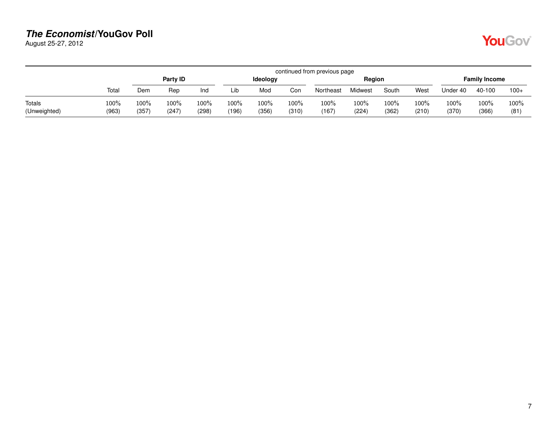August 25-27, 2012

| <b>Contract Contract Contract Contract Contract Contract Contract Contract Contract Contract Contract Contract Co</b> |  |
|-----------------------------------------------------------------------------------------------------------------------|--|
|-----------------------------------------------------------------------------------------------------------------------|--|

|                        |               |               |               |               |               |                 |               | continued from previous page |                  |               |               |               |                      |              |
|------------------------|---------------|---------------|---------------|---------------|---------------|-----------------|---------------|------------------------------|------------------|---------------|---------------|---------------|----------------------|--------------|
|                        |               |               | Party ID      |               |               | <b>Ideology</b> |               |                              | Region           |               |               |               | <b>Family Income</b> |              |
|                        | Total         | Dem           | Rep           | Ind           | Lib           | Mod             | Con           | Northeast                    | Midwest          | South         | West          | Under 40      | 40-100               | $100+$       |
| Totals<br>(Unweighted) | 100%<br>(963) | 100%<br>(357) | 100%<br>(247) | 100%<br>(298) | 100%<br>(196) | 100%<br>(356)   | 100%<br>(310) | 100%<br>(167)                | $100\%$<br>(224) | 100%<br>(362) | 100%<br>(210) | 100%<br>(370) | 100%<br>(366)        | 100%<br>(81) |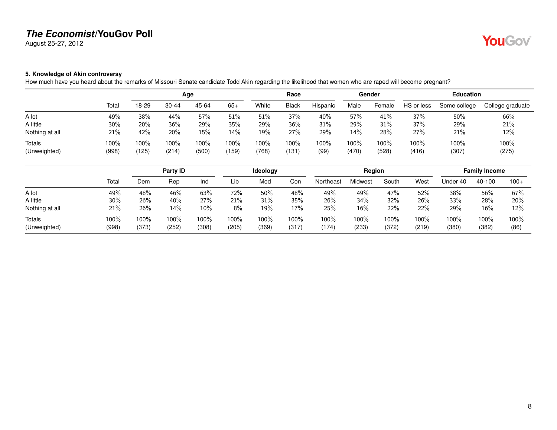August 25-27, 2012

# YouGov®

### <span id="page-7-0"></span>**5. Knowledge of Akin controversy**

How much have you heard about the remarks of Missouri Senate candidate Todd Akin regarding the likelihood that women who are raped will become pregnant?

|                        |               |               |               | Age           |               |               | Race         |              |               | Gender           |               | <b>Education</b> |                  |
|------------------------|---------------|---------------|---------------|---------------|---------------|---------------|--------------|--------------|---------------|------------------|---------------|------------------|------------------|
|                        | Total         | 18-29         | $30 - 44$     | 45-64         | $65+$         | White         | Black        | Hispanic     | Male          | Female           | HS or less    | Some college     | College graduate |
| A lot                  | 49%           | 38%           | 44%           | 57%           | 51%           | 51%           | 37%          | 40%          | 57%           | 41%              | 37%           | 50%              | 66%              |
| A little               | 30%           | 20%           | 36%           | 29%           | 35%           | 29%           | 36%          | 31%          | 29%           | 31%              | 37%           | 29%              | 21%              |
| Nothing at all         | 21%           | 42%           | 20%           | 15%           | 14%           | 19%           | 27%          | 29%          | 14%           | 28%              | 27%           | 21%              | 12%              |
| Totals<br>(Unweighted) | 100%<br>(998) | 100%<br>(125) | 100%<br>(214) | 100%<br>(500) | 100%<br>(159) | 100%<br>(768) | 100%<br>(131 | 100%<br>(99) | 100%<br>(470) | $100\%$<br>(528) | 100%<br>(416) | 100%<br>(307)    | 100%<br>(275)    |

|                        |               |               | Party ID      |               |               | <b>Ideology</b> |               |               | Reaion           |                  |               |                  | <b>Family Income</b> |                 |
|------------------------|---------------|---------------|---------------|---------------|---------------|-----------------|---------------|---------------|------------------|------------------|---------------|------------------|----------------------|-----------------|
|                        | Total         | Dem           | Rep           | Ind           | Lib           | Mod             | Con           | Northeast     | Midwest          | South            | West          | Under 40         | 40-100               | $100+$          |
| A lot                  | 49%           | 48%           | 46%           | 63%           | 72%           | 50%             | 48%           | 49%           | 49%              | 47%              | 52%           | 38%              | 56%                  | 67%             |
| A little               | 30%           | 26%           | 40%           | 27%           | 21%           | 31%             | 35%           | 26%           | 34%              | 32%              | 26%           | 33%              | 28%                  | 20%             |
| Nothing at all         | 21%           | 26%           | 14%           | 10%           | 8%            | 19%             | 17%           | 25%           | $16\%$           | 22%              | 22%           | 29%              | 16%                  | 12%             |
| Totals<br>(Unweighted) | 100%<br>(998) | 100%<br>(373) | 100%<br>(252) | 100%<br>(308) | 100%<br>(205) | 100%<br>(369)   | 100%<br>(317) | 100%<br>(174) | $100\%$<br>(233) | $100\%$<br>(372) | 100%<br>(219) | $100\%$<br>(380) | 100%<br>(382)        | $100\%$<br>(86) |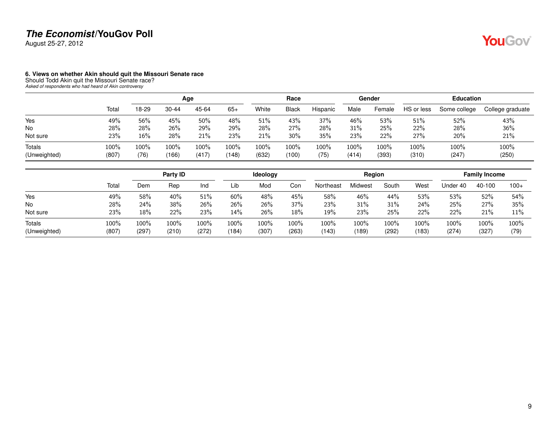August 25-27, 2012

# **YouGov**

### <span id="page-8-0"></span>**6. Views on whether Akin should quit the Missouri Senate race**

Should Todd Akin quit the Missouri Senate race? *Asked of respondents who had heard of Akin controversy*

|                               |               |              |               | Age           |               |               | Race          |              |               | Gender        |               | <b>Education</b> |                  |
|-------------------------------|---------------|--------------|---------------|---------------|---------------|---------------|---------------|--------------|---------------|---------------|---------------|------------------|------------------|
|                               | Total         | 18-29        | $30 - 44$     | 45-64         | $65+$         | White         | <b>Black</b>  | Hispanic     | Male          | Female        | HS or less    | Some college     | College graduate |
| Yes                           | 49%           | 56%          | 45%           | 50%           | 48%           | 51%           | 43%           | 37%          | 46%           | 53%           | $51\%$        | 52%              | 43%              |
| <b>No</b>                     | 28%           | 28%          | 26%           | 29%           | 29%           | 28%           | 27%           | 28%          | 31%           | 25%           | 22%           | 28%              | 36%              |
| Not sure                      | 23%           | 16%          | 28%           | 21%           | 23%           | 21%           | 30%           | 35%          | 23%           | 22%           | 27%           | 20%              | 21%              |
| <b>Totals</b><br>(Unweighted) | 100%<br>(807) | 100%<br>(76) | 100%<br>(166) | 100%<br>(417) | 100%<br>(148) | 100%<br>(632) | 100%<br>(100) | 100%<br>(75) | 100%<br>(414) | 100%<br>(393) | 100%<br>(310) | 100%<br>(247)    | 100%<br>(250)    |

|                        |               |               | Party ID      |               |               | <b>Ideology</b> |               |                  | Region        |               |               |               | <b>Family Income</b> |              |
|------------------------|---------------|---------------|---------------|---------------|---------------|-----------------|---------------|------------------|---------------|---------------|---------------|---------------|----------------------|--------------|
|                        | Total         | Dem           | Rep           | Ind           | Lib           | Mod             | Con           | Northeast        | Midwest       | South         | West          | Under 40      | 40-100               | $100+$       |
| Yes                    | 49%           | 58%           | 40%           | 51%           | 60%           | 48%             | 45%           | 58%              | 46%           | 44%           | 53%           | 53%           | 52%                  | 54%          |
| No                     | 28%           | 24%           | 38%           | 26%           | 26%           | 26%             | 37%           | 23%              | 31%           | 31%           | 24%           | 25%           | 27%                  | 35%          |
| Not sure               | 23%           | 18%           | 22%           | 23%           | 14%           | 26%             | 18%           | 19%              | 23%           | 25%           | 22%           | 22%           | 21%                  | 11%          |
| Totals<br>(Unweighted) | 100%<br>(807) | 100%<br>(297) | 100%<br>(210) | 100%<br>(272) | 100%<br>(184) | 100%<br>(307)   | 100%<br>(263) | $100\%$<br>(143) | 100%<br>(189) | 100%<br>(292) | 100%<br>(183) | 100%<br>(274) | 100%<br>(327)        | 100%<br>(79) |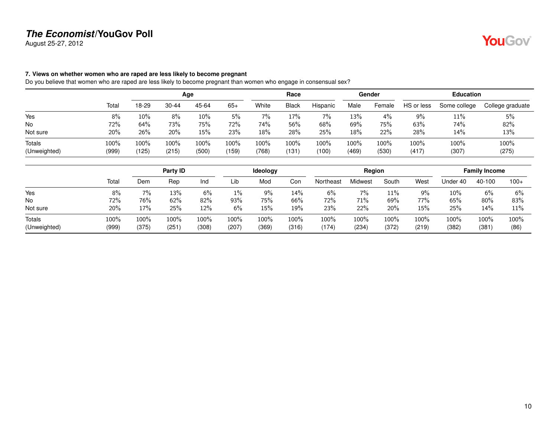August 25-27, 2012

### <span id="page-9-0"></span>**7. Views on whether women who are raped are less likely to become pregnant**

Do you believe that women who are raped are less likely to become pregnant than women who engage in consensual sex?

|       |       |           |       |              |       | Race         |          |       |        |                 | <b>Education</b> |                  |
|-------|-------|-----------|-------|--------------|-------|--------------|----------|-------|--------|-----------------|------------------|------------------|
| Total | 18-29 | $30 - 44$ | 45-64 | $65+$        | White | <b>Black</b> | Hispanic | Male  | Female | HS or less      | Some college     | College graduate |
| 8%    | 10%   | 8%        | 10%   | 5%           | 7%    | 17%          | 7%       | 13%   | 4%     | 9%              | 11%              | 5%               |
| 72%   | 64%   | 73%       | 75%   | 72%          | 74%   | 56%          | 68%      | 69%   | 75%    | 63%             | 74%              | 82%              |
| 20%   | 26%   | 20%       | 15%   | 23%          | 18%   | 28%          | 25%      | 18%   | 22%    | 28%             | 14%              | 13%              |
| 100%  | 100%  | 100%      | 100%  | 100%         | 100%  | 100%         | 100%     | 100%  | 100%   | 100%            | 100%             | 100%<br>(275)    |
|       | (999) | (125)     | (215) | Age<br>(500) | (159) | (768)        | (131)    | (100) | (469)  | Gender<br>(530) | (417)            | (307)            |

|                        |               |               | Party ID     |               |               | <b>Ideology</b> |               |               | Region           |               |               |               | <b>Family Income</b> |              |
|------------------------|---------------|---------------|--------------|---------------|---------------|-----------------|---------------|---------------|------------------|---------------|---------------|---------------|----------------------|--------------|
|                        | Total         | Dem           | Rep          | Ind           | Lib           | Mod             | Con           | Northeast     | <i>l</i> lidwest | South         | West          | Jnder 40      | 40-100               | $100+$       |
| Yes                    | 8%            | $7\%$         | 13%          | 6%            | 1%            | 9%              | 14%           | 6%            | 7%               | $11\%$        | 9%            | $10\%$        | 6%                   | 6%           |
| No                     | 72%           | 76%           | 62%          | 82%           | 93%           | 75%             | 66%           | 72%           | 71%              | 69%           | 77%           | 65%           | $80\%$               | 83%          |
| Not sure               | 20%           | 17%           | 25%          | 12%           | 6%            | 15%             | 19%           | 23%           | 22%              | 20%           | 15%           | 25%           | 14%                  | 11%          |
| Totals<br>(Unweighted) | 100%<br>(999) | 100%<br>(375) | 100%<br>(251 | 100%<br>(308) | 100%<br>(207) | 100%<br>(369)   | 100%<br>(316) | 100%<br>(174) | 100%<br>(234)    | 100%<br>(372) | 100%<br>(219) | 100%<br>(382) | 100%<br>(381         | 100%<br>(86) |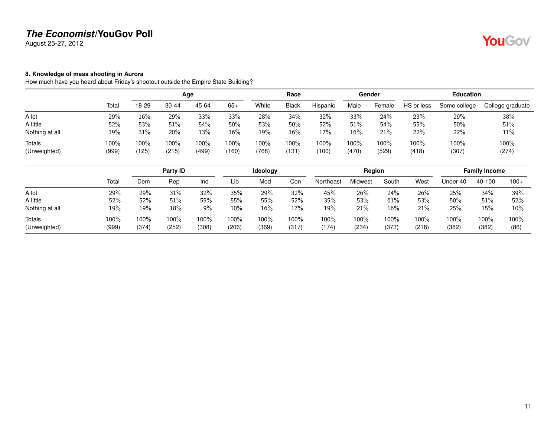August 25-27, 2012

# YouGov®

### <span id="page-10-0"></span>**8. Knowledge of mass shooting in Aurora**

How much have you heard about Friday's shootout outside the Empire State Building?

|               |               |               |               |               |               | Race         |               |               |               |               |               |                  |
|---------------|---------------|---------------|---------------|---------------|---------------|--------------|---------------|---------------|---------------|---------------|---------------|------------------|
| Total         | 18-29         | 30-44         | 45-64         | $65+$         | White         | <b>Black</b> | Hispanic      | Male          | Female        | HS or less    | Some college  | College graduate |
| 29%           | 16%           | 29%           | 33%           | 33%           | 28%           | 34%          | 32%           | 33%           | 24%           | 23%           | 29%           | 38%              |
| 52%           | 53%           | 51%           | 54%           | 50%           | 53%           | 50%          | 52%           | 51%           | 54%           | 55%           | 50%           | 51%              |
| 19%           | 31%           | 20%           | 13%           | 16%           | 19%           | 16%          | 17%           | 16%           | 21%           | 22%           | 22%           | 11%              |
| 100%<br>(999) | 100%<br>(125) | 100%<br>(215) | 100%<br>(499) | 100%<br>(160) | 100%<br>(768) | 100%<br>(131 | 100%<br>(100) | 100%<br>(470) | 100%<br>(529) | 100%<br>(418) | 100%<br>(307) | 100%<br>(274)    |
|               |               |               |               | Age           |               |              |               |               |               | Gender        |               | <b>Education</b> |

|                        |               |                  | Party ID      |               |               | <b>Ideology</b> |               |             | Region           |               |               |               | <b>Family Income</b> |              |
|------------------------|---------------|------------------|---------------|---------------|---------------|-----------------|---------------|-------------|------------------|---------------|---------------|---------------|----------------------|--------------|
|                        | Total         | Dem              | Rep           | Ind           | Lib           | Mod             | Con           | Northeast   | Midwest          | South         | West          | Under 40      | 40-100               | $100+$       |
| A lot                  | 29%           | 29%              | 31%           | 32%           | 35%           | 29%             | 32%           | 45%         | 26%              | 24%           | 26%           | 25%           | $34\%$               | 39%          |
| A little               | 52%           | 52%              | 51%           | 59%           | 55%           | 55%             | 52%           | 35%         | 53%              | 61%           | 53%           | 50%           | 51%                  | 52%          |
| Nothing at all         | 19%           | 19%              | 18%           | 9%            | 10%           | 16%             | 17%           | 19%         | 21%              | 16%           | 21%           | 25%           | 15%                  | $10\%$       |
| Totals<br>(Unweighted) | 100%<br>(999) | $100\%$<br>(374) | 100%<br>(252) | 100%<br>(308) | 100%<br>(206) | 100%<br>(369)   | 100%<br>(317) | 100%<br>174 | $100\%$<br>(234) | 100%<br>(373) | 100%<br>(218) | 100%<br>(382) | 100%<br>(382)        | 100%<br>(86) |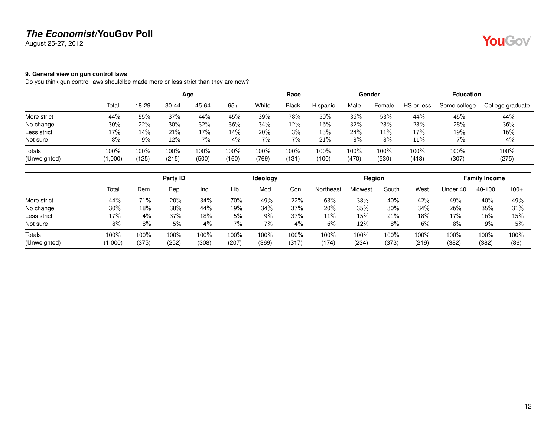August 25-27, 2012

# YouGov®

### <span id="page-11-0"></span>**9. General view on gun control laws**

Do you think gun control laws should be made more or less strict than they are now?

|                               |                 |                  |               | Age           |               |               | Race            |               |               | Gender        |               | <b>Education</b> |                  |
|-------------------------------|-----------------|------------------|---------------|---------------|---------------|---------------|-----------------|---------------|---------------|---------------|---------------|------------------|------------------|
|                               | Total           | 18-29            | $30 - 44$     | 45-64         | $65+$         | White         | <b>Black</b>    | Hispanic      | Male          | Female        | HS or less    | Some college     | College graduate |
| More strict                   | 44%             | 55%              | 37%           | 44%           | 45%           | 39%           | 78%             | 50%           | 36%           | 53%           | 44%           | 45%              | 44%              |
| No change                     | 30%             | 22%              | 30%           | 32%           | 36%           | 34%           | 12%             | 16%           | 32%           | 28%           | 28%           | 28%              | 36%              |
| Less strict                   | 17%             | 14%              | 21%           | 17%           | $14\%$        | 20%           | 3%              | 13%           | 24%           | 11%           | 17%           | 19%              | 16%              |
| Not sure                      | 8%              | 9%               | 12%           | 7%            | $4\%$         | 7%            | 7%              | 21%           | 8%            | 8%            | 11%           | 7%               | 4%               |
| <b>Totals</b><br>(Unweighted) | 100%<br>(1,000) | $100\%$<br>(125) | 100%<br>(215) | 100%<br>(500) | 100%<br>(160) | 100%<br>(769) | $100\%$<br>(131 | 100%<br>(100) | 100%<br>(470) | 100%<br>(530) | 100%<br>(418) | 100%<br>(307)    | 100%<br>(275)    |

|                        |                 |               | Party ID      |               |               | Ideology      |               |               | Region        |               |               |               | <b>Family Income</b> |              |
|------------------------|-----------------|---------------|---------------|---------------|---------------|---------------|---------------|---------------|---------------|---------------|---------------|---------------|----------------------|--------------|
|                        | Total           | Dem           | Rep           | Ind           | Lib           | Mod           | Con           | Northeast     | Midwest       | South         | West          | Jnder 40      | 40-100               | $100+$       |
| More strict            | 44%             | 71%           | 20%           | 34%           | 70%           | 49%           | 22%           | 63%           | 38%           | 40%           | 42%           | 49%           | 40%                  | 49%          |
| No change              | 30%             | 18%           | 38%           | 44%           | 19%           | 34%           | 37%           | 20%           | 35%           | 30%           | 34%           | 26%           | 35%                  | 31%          |
| Less strict            | 17%             | $4\%$         | 37%           | 18%           | 5%            | 9%            | 37%           | 11%           | 15%           | 21%           | 18%           | 17%           | 16%                  | 15%          |
| Not sure               | 8%              | 8%            | 5%            | 4%            | $7\%$         | 7%            | 4%            | 6%            | 12%           | 8%            | 6%            | 8%            | 9%                   | 5%           |
| Totals<br>(Unweighted) | 100%<br>(1,000) | 100%<br>(375) | 100%<br>(252) | 100%<br>(308) | 100%<br>(207) | 100%<br>(369) | 100%<br>(317) | 100%<br>(174) | 100%<br>(234) | 100%<br>(373) | 100%<br>(219) | 100%<br>(382) | 100%<br>(382)        | 100%<br>(86) |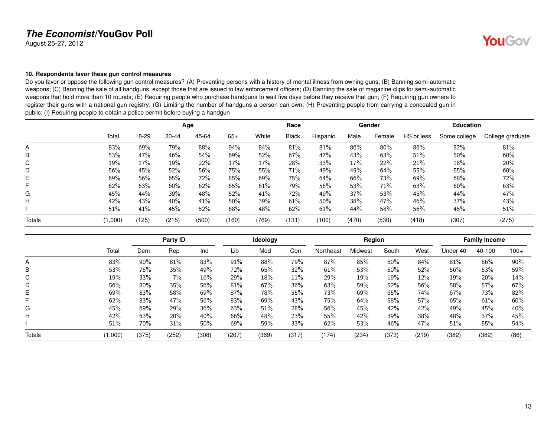August 25-27, 2012

### <span id="page-12-0"></span>**10. Respondents favor these gun control measures**

Do you favor or oppose the following gun control measures? (A) Preventing persons with a history of mental illness from owning guns; (B) Banning semi-automatic weapons; (C) Banning the sale of all handguns, except those that are issued to law enforcement officers; (D) Banning the sale of magazine clips for semi-automatic weapons that hold more than 10 rounds; (E) Requiring people who purchase handguns to wait five days before they receive that gun; (F) Requiring gun owners to register their guns with a national gun registry; (G) Limiting the number of handguns a person can own; (H) Preventing people from carrying a concealed gun in public; (I) Requiring people to obtain a police permit before buying a handgun

|        |         |       |       | Age   |       |       | Race         |          |       | Gender |            | <b>Education</b> |                  |
|--------|---------|-------|-------|-------|-------|-------|--------------|----------|-------|--------|------------|------------------|------------------|
|        | Total   | 18-29 | 30-44 | 45-64 | $65+$ | White | <b>Black</b> | Hispanic | Male  | Female | HS or less | Some college     | College graduate |
| A      | 83%     | 69%   | 79%   | 88%   | 94%   | 84%   | 81%          | 81%      | 86%   | 80%    | 86%        | 82%              | 81%              |
| B      | 53%     | 47%   | 46%   | 54%   | 69%   | 52%   | 67%          | 47%      | 43%   | 63%    | 51%        | 50%              | 60%              |
| C      | 19%     | 17%   | 19%   | 22%   | 17%   | 17%   | 28%          | 33%      | 17%   | 22%    | 21%        | 18%              | 20%              |
| D      | 56%     | 45%   | 52%   | 56%   | 75%   | 55%   | 71%          | 49%      | 49%   | 64%    | 55%        | 55%              | 60%              |
| Е      | 69%     | 56%   | 65%   | 72%   | 85%   | 69%   | 75%          | 64%      | 66%   | 73%    | 69%        | 68%              | 72%              |
| F.     | 62%     | 63%   | 60%   | 62%   | 65%   | 61%   | 79%          | 56%      | 53%   | 71%    | 63%        | 60%              | 63%              |
| G      | 45%     | 44%   | 39%   | 48%   | 52%   | 41%   | 72%          | 49%      | 37%   | 53%    | 45%        | 44%              | 47%              |
| н      | 42%     | 43%   | 40%   | 41%   | 50%   | 39%   | 61%          | 50%      | 38%   | 47%    | 46%        | 37%              | 43%              |
|        | 51%     | 41%   | 45%   | 52%   | 68%   | 48%   | 62%          | 61%      | 44%   | 58%    | 56%        | 45%              | 51%              |
| Totals | (1,000) | (125) | (215) | (500) | (160) | (769) | (131         | (100)    | (470) | (530)  | (418)      | (307)            | (275)            |

|               |         |       | Party ID |       |       | Ideology |       |           | Region  |       |       |          | <b>Family Income</b> |        |
|---------------|---------|-------|----------|-------|-------|----------|-------|-----------|---------|-------|-------|----------|----------------------|--------|
|               | Total   | Dem   | Rep      | Ind   | Lib   | Mod      | Con   | Northeast | Midwest | South | West  | Under 40 | 40-100               | $100+$ |
| A             | 83%     | 90%   | 81%      | 83%   | 91%   | 88%      | 79%   | 87%       | 85%     | 80%   | 84%   | 81%      | 86%                  | 90%    |
| В             | 53%     | 75%   | 35%      | 49%   | 72%   | 65%      | 32%   | 61%       | 53%     | 50%   | 52%   | 56%      | 53%                  | 59%    |
| C             | 19%     | 33%   | 7%       | 16%   | 29%   | 18%      | 11%   | 29%       | 19%     | 19%   | 12%   | 19%      | 20%                  | 14%    |
| D             | 56%     | 80%   | 35%      | 56%   | 81%   | 67%      | 36%   | 63%       | 59%     | 52%   | 56%   | 58%      | 57%                  | 67%    |
| Е             | 69%     | 83%   | 58%      | 69%   | 87%   | 78%      | 55%   | 73%       | 69%     | 65%   | 74%   | 67%      | 73%                  | 82%    |
| F             | 62%     | 83%   | 47%      | 56%   | 83%   | 69%      | 43%   | 75%       | 64%     | 58%   | 57%   | 65%      | 61%                  | 60%    |
| G             | 45%     | 69%   | 29%      | 36%   | 63%   | 51%      | 28%   | 56%       | 45%     | 42%   | 42%   | 49%      | 45%                  | 40%    |
| н             | 42%     | 63%   | 20%      | 40%   | 66%   | 48%      | 23%   | 55%       | 42%     | 39%   | 38%   | 48%      | 37%                  | 45%    |
|               | 51%     | 70%   | 31%      | 50%   | 69%   | 59%      | 33%   | 62%       | 53%     | 46%   | 47%   | 51%      | 55%                  | 54%    |
| <b>Totals</b> | (1,000) | (375) | (252)    | (308) | (207) | (369)    | (317) | (174)     | (234)   | (373) | (219) | (382)    | (382)                | (86)   |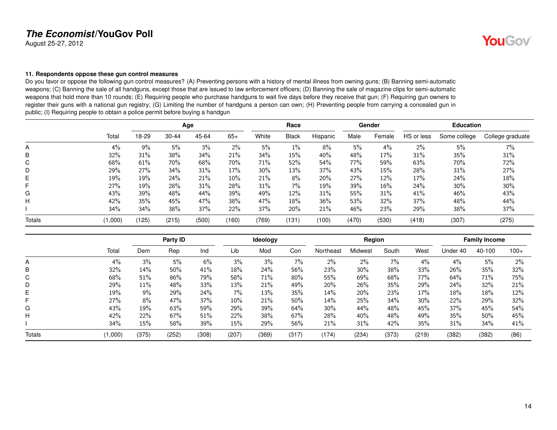August 25-27, 2012

### <span id="page-13-0"></span>**11. Respondents oppose these gun control measures**

Do you favor or oppose the following gun control measures? (A) Preventing persons with a history of mental illness from owning guns; (B) Banning semi-automatic weapons; (C) Banning the sale of all handguns, except those that are issued to law enforcement officers; (D) Banning the sale of magazine clips for semi-automatic weapons that hold more than 10 rounds; (E) Requiring people who purchase handguns to wait five days before they receive that gun; (F) Requiring gun owners to register their guns with a national gun registry; (G) Limiting the number of handguns a person can own; (H) Preventing people from carrying a concealed gun in public; (I) Requiring people to obtain a police permit before buying a handgun

|        |       |       |           | Age   |       |       | Race         |          |       | Gender |            | <b>Education</b> |                  |
|--------|-------|-------|-----------|-------|-------|-------|--------------|----------|-------|--------|------------|------------------|------------------|
|        | Total | 18-29 | $30 - 44$ | 45-64 | $65+$ | White | <b>Black</b> | Hispanic | Male  | Female | HS or less | Some college     | College graduate |
| A      | 4%    | 9%    | 5%        | 3%    | $2\%$ | 5%    | $1\%$        | 8%       | 5%    | 4%     | 2%         | 5%               | 7%               |
| B      | 32%   | 31%   | 38%       | 34%   | 21%   | 34%   | 15%          | 40%      | 48%   | 17%    | 31%        | 35%              | 31%              |
| C      | 68%   | 61%   | 70%       | 68%   | 70%   | 71%   | 52%          | 54%      | 77%   | 59%    | 63%        | 70%              | 72%              |
| D      | 29%   | 27%   | 34%       | 31%   | 17%   | 30%   | 13%          | 37%      | 43%   | 15%    | 28%        | 31%              | 27%              |
| Е      | 19%   | 19%   | 24%       | 21%   | 10%   | 21%   | 8%           | 20%      | 27%   | 12%    | 17%        | 24%              | 18%              |
| F      | 27%   | 19%   | 28%       | 31%   | 28%   | 31%   | $7\%$        | 19%      | 39%   | 16%    | 24%        | 30%              | 30%              |
| G      | 43%   | 39%   | 48%       | 44%   | 39%   | 49%   | 12%          | 31%      | 55%   | 31%    | 41%        | 46%              | 43%              |
| н      | 42%   | 35%   | 45%       | 47%   | 38%   | 47%   | $18\%$       | 36%      | 53%   | 32%    | 37%        | 48%              | 44%              |
|        | 34%   | 34%   | 38%       | 37%   | 22%   | 37%   | 20%          | 21%      | 46%   | 23%    | 29%        | 38%              | 37%              |
| Totals | 1,000 | (125) | (215)     | (500) | (160) | (769) | (131         | (100)    | (470) | (530)  | (418)      | (307)            | (275)            |

|               |         |       | Party ID |       |       | Ideology |       |           | Region  |       |       |          | <b>Family Income</b> |        |
|---------------|---------|-------|----------|-------|-------|----------|-------|-----------|---------|-------|-------|----------|----------------------|--------|
|               | Total   | Dem   | Rep      | Ind   | Lib   | Mod      | Con   | Northeast | Midwest | South | West  | Under 40 | 40-100               | $100+$ |
| A             | 4%      | 3%    | 5%       | 6%    | 3%    | 3%       | 7%    | $2\%$     | 2%      | 7%    | 4%    | 4%       | 5%                   | $2\%$  |
| B             | 32%     | 14%   | 50%      | 41%   | 18%   | 24%      | 56%   | 23%       | 30%     | 38%   | 33%   | 26%      | 35%                  | 32%    |
| C             | 68%     | 51%   | 86%      | 79%   | 58%   | 71%      | 80%   | 55%       | 69%     | 68%   | 77%   | 64%      | 71%                  | 75%    |
| D             | 29%     | 11%   | 48%      | 33%   | 13%   | 21%      | 49%   | 20%       | 26%     | 35%   | 29%   | 24%      | 32%                  | 21%    |
| Е             | 19%     | $9\%$ | 29%      | 24%   | 7%    | 13%      | 35%   | 14%       | 20%     | 23%   | 17%   | 18%      | 18%                  | 12%    |
| F             | 27%     | 8%    | 47%      | 37%   | 10%   | 21%      | 50%   | 14%       | 25%     | 34%   | 30%   | 22%      | 29%                  | 32%    |
| G             | 43%     | 19%   | 63%      | 59%   | 29%   | 39%      | 64%   | $30\%$    | 44%     | 48%   | 45%   | 37%      | 45%                  | 54%    |
| н             | 42%     | 22%   | 67%      | 51%   | 22%   | 38%      | 67%   | 28%       | 40%     | 48%   | 49%   | 35%      | 50%                  | 45%    |
|               | 34%     | 15%   | 58%      | 39%   | 15%   | 29%      | 56%   | 21%       | 31%     | 42%   | 35%   | 31%      | 34%                  | 41%    |
| <b>Totals</b> | (1,000) | (375) | (252)    | (308) | (207) | (369)    | (317) | (174)     | (234)   | (373) | (219) | (382)    | (382)                | (86)   |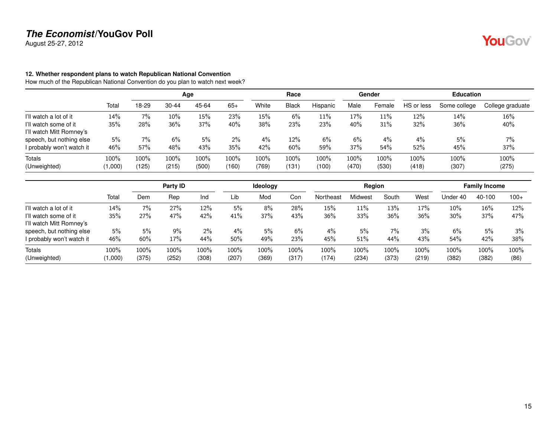August 25-27, 2012

### <span id="page-14-0"></span>**12. Whether respondent plans to watch Republican National Convention**

How much of the Republican National Convention do you plan to watch next week?

|                           |         |       |           | Age   |         |       | Race         |          |         | Gender |            | <b>Education</b> |                  |
|---------------------------|---------|-------|-----------|-------|---------|-------|--------------|----------|---------|--------|------------|------------------|------------------|
|                           | Total   | 18-29 | $30 - 44$ | 45-64 | $65+$   | White | <b>Black</b> | Hispanic | Male    | Female | HS or less | Some college     | College graduate |
| I'll watch a lot of it    | 14%     | 7%    | 10%       | 15%   | 23%     | 15%   | 6%           | 11%      | 17%     | 11%    | 12%        | 14%              | 16%              |
| I'll watch some of it     | 35%     | 28%   | 36%       | 37%   | 40%     | 38%   | 23%          | 23%      | 40%     | 31%    | 32%        | 36%              | 40%              |
| I'll watch Mitt Romney's  |         |       |           |       |         |       |              |          |         |        |            |                  |                  |
| speech, but nothing else  | 5%      | $7\%$ | 6%        | 5%    | $2\%$   | 4%    | 12%          | 6%       | 6%      | $4\%$  | 4%         | 5%               | 7%               |
| I probably won't watch it | 46%     | 57%   | 48%       | 43%   | 35%     | 42%   | 60%          | 59%      | 37%     | 54%    | 52%        | 45%              | 37%              |
| Totals                    | 100%    | 100%  | 100%      | 100%  | $100\%$ | 100%  | $100\%$      | 100%     | $100\%$ | 100%   | 100%       | 100%             | 100%             |
| (Unweighted)              | (1,000) | (125) | (215)     | (500) | (160)   | (769) | (131)        | (100)    | (470)   | (530)  | (418)      | (307)            | (275)            |

|                           |         |       | Party ID |       |         | Ideology |       |           | Region  |       |       |          | <b>Family Income</b> |        |
|---------------------------|---------|-------|----------|-------|---------|----------|-------|-----------|---------|-------|-------|----------|----------------------|--------|
|                           | Total   | Dem   | Rep      | Ind   | Lib     | Mod      | Con   | Northeast | Midwest | South | West  | Under 40 | 40-100               | $100+$ |
| I'll watch a lot of it    | 14%     | $7\%$ | 27%      | 12%   | $5\%$   | 8%       | 28%   | 15%       | 11%     | 13%   | 17%   | $10\%$   | 16%                  | 12%    |
| I'll watch some of it     | 35%     | 27%   | 47%      | 42%   | 41%     | 37%      | 43%   | 36%       | 33%     | 36%   | 36%   | 30%      | 37%                  | 47%    |
| I'll watch Mitt Romney's  |         |       |          |       |         |          |       |           |         |       |       |          |                      |        |
| speech, but nothing else  | 5%      | 5%    | 9%       | 2%    | 4%      | 5%       | 6%    | $4\%$     | 5%      | 7%    | 3%    | 6%       | 5%                   | 3%     |
| I probably won't watch it | 46%     | 60%   | 17%      | 44%   | 50%     | 49%      | 23%   | 45%       | 51%     | 44%   | 43%   | 54%      | 42%                  | 38%    |
| Totals                    | 100%    | 100%  | 100%     | 100%  | $100\%$ | 100%     | 100%  | $100\%$   | 100%    | 100%  | 100%  | 100%     | 100%                 | 100%   |
| (Unweighted)              | (1,000) | (375) | (252)    | (308) | (207)   | (369)    | (317) | (174)     | (234)   | (373) | (219) | (382)    | (382)                | (86)   |

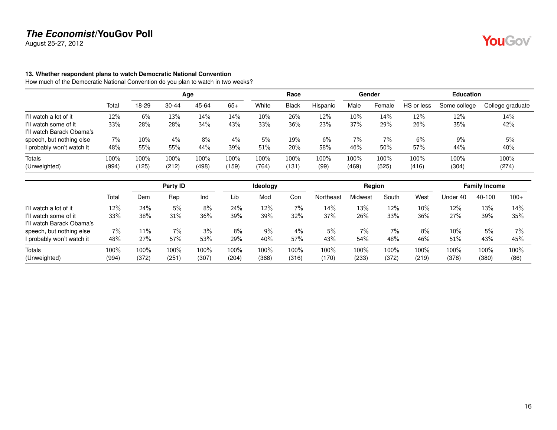August 25-27, 2012

### <span id="page-15-0"></span>**13. Whether respondent plans to watch Democratic National Convention**

How much of the Democratic National Convention do you plan to watch in two weeks?

|                           |       |        |           | Age   |       |       | Race         |          |        | Gender |            | <b>Education</b> |                  |
|---------------------------|-------|--------|-----------|-------|-------|-------|--------------|----------|--------|--------|------------|------------------|------------------|
|                           | Total | 18-29  | $30 - 44$ | 45-64 | $65+$ | White | <b>Black</b> | Hispanic | Male   | Female | HS or less | Some college     | College graduate |
| I'll watch a lot of it    | 12%   | 6%     | 13%       | 14%   | 14%   | 10%   | 26%          | 12%      | $10\%$ | 14%    | 12%        | 12%              | 14%              |
| I'll watch some of it     | 33%   | 28%    | 28%       | 34%   | 43%   | 33%   | 36%          | 23%      | 37%    | 29%    | 26%        | 35%              | 42%              |
| I'll watch Barack Obama's |       |        |           |       |       |       |              |          |        |        |            |                  |                  |
| speech, but nothing else  | 7%    | $10\%$ | $4\%$     | 8%    | $4\%$ | 5%    | 19%          | 6%       | $7\%$  | $7\%$  | 6%         | 9%               | 5%               |
| I probably won't watch it | 48%   | 55%    | 55%       | 44%   | 39%   | 51%   | 20%          | 58%      | 46%    | 50%    | 57%        | 44%              | 40%              |
| <b>Totals</b>             | 100%  | 100%   | 100%      | 100%  | 100%  | 100%  | $100\%$      | 100%     | 100%   | 100%   | 100%       | 100%             | 100%             |
| (Unweighted)              | (994) | (125)  | (212)     | (498) | (159) | (764) | (131)        | (99)     | (469)  | (525)  | (416)      | (304)            | (274)            |

|                           |       |       | Party ID |       |      | <b>Ideology</b> |       |           | Reaion  |       |        |          | <b>Family Income</b> |        |
|---------------------------|-------|-------|----------|-------|------|-----------------|-------|-----------|---------|-------|--------|----------|----------------------|--------|
|                           | Total | Dem   | Rep      | Ind   | Lib  | Mod             | Con   | Northeast | Midwest | South | West   | Under 40 | 40-100               | $100+$ |
| I'll watch a lot of it    | 12%   | 24%   | 5%       | 8%    | 24%  | 12%             | 7%    | 14%       | 13%     | 12%   | $10\%$ | 12%      | 13%                  | 14%    |
| I'll watch some of it     | 33%   | 38%   | 31%      | 36%   | 39%  | 39%             | 32%   | 37%       | 26%     | 33%   | 36%    | 27%      | 39%                  | 35%    |
| I'll watch Barack Obama's |       |       |          |       |      |                 |       |           |         |       |        |          |                      |        |
| speech, but nothing else  | $7\%$ | 11%   | 7%       | 3%    | 8%   | $9\%$           | 4%    | 5%        | $7\%$   | $7\%$ | 8%     | $10\%$   | 5%                   | $7\%$  |
| I probably won't watch it | 48%   | 27%   | 57%      | 53%   | 29%  | 40%             | 57%   | 43%       | 54%     | 48%   | 46%    | 51%      | 43%                  | 45%    |
| Totals                    | 100%  | 100%  | 100%     | 100%  | 100% | 100%            | 100%  | $100\%$   | 100%    | 100%  | 100%   | 100%     | 100%                 | 100%   |
| (Unweighted)              | (994) | (372) | (251)    | (307) | (204 | (368)           | (316) | (170)     | (233)   | (372) | (219)  | (378)    | (380)                | (86)   |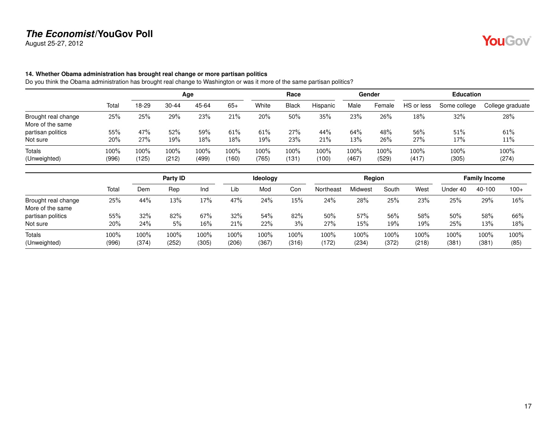August 25-27, 2012

### <span id="page-16-0"></span>**14. Whether Obama administration has brought real change or more partisan politics**

Do you think the Obama administration has brought real change to Washington or was it more of the same partisan politics?

|                     |       |       |           | Age   |       |       | Race         |          |         | Gender |            | <b>Education</b> |                  |
|---------------------|-------|-------|-----------|-------|-------|-------|--------------|----------|---------|--------|------------|------------------|------------------|
|                     | Total | 18-29 | $30 - 44$ | 45-64 | $65+$ | White | <b>Black</b> | Hispanic | Male    | Female | HS or less | Some college     | College graduate |
| Brought real change | 25%   | 25%   | 29%       | 23%   | 21%   | 20%   | 50%          | 35%      | 23%     | 26%    | 18%        | 32%              | 28%              |
| More of the same    |       |       |           |       |       |       |              |          |         |        |            |                  |                  |
| partisan politics   | 55%   | 47%   | 52%       | 59%   | 61%   | 61%   | 27%          | 44%      | 64%     | 48%    | 56%        | 51%              | 61%              |
| Not sure            | 20%   | 27%   | 19%       | 18%   | 18%   | 19%   | 23%          | 21%      | 13%     | 26%    | 27%        | 17%              | 11%              |
| <b>Totals</b>       | 100%  | 100%  | 100%      | 100%  | 100%  | 100%  | 100%         | 100%     | $100\%$ | 100%   | 100%       | 100%             | 100%             |
| (Unweighted)        | (996) | (125) | (212)     | (499) | (160) | (765) | (131)        | (100)    | (467)   | (529)  | (417)      | (305)            | (274)            |

|                                         |               |               | Party ID      |               |                  | Ideology      |               |               | Region        |               |               |               | <b>Family Income</b> |              |
|-----------------------------------------|---------------|---------------|---------------|---------------|------------------|---------------|---------------|---------------|---------------|---------------|---------------|---------------|----------------------|--------------|
|                                         | Total         | Dem           | Rep           | Ind           | Lib              | Mod           | Con           | Northeast     | Midwest       | South         | West          | Jnder 40      | 40-100               | $100+$       |
| Brought real change<br>More of the same | 25%           | 44%           | 13%           | 17%           | 47%              | 24%           | 15%           | 24%           | 28%           | 25%           | 23%           | 25%           | 29%                  | 16%          |
| partisan politics                       | 55%           | 32%           | 82%           | 67%           | 32%              | 54%           | 82%           | $50\%$        | 57%           | 56%           | 58%           | 50%           | 58%                  | 66%          |
| Not sure                                | 20%           | 24%           | 5%            | 16%           | 21%              | 22%           | 3%            | 27%           | 15%           | 19%           | 19%           | 25%           | 13%                  | 18%          |
| Totals<br>(Unweighted)                  | 100%<br>(996) | 100%<br>(374) | 100%<br>(252) | 100%<br>(305) | $100\%$<br>(206) | 100%<br>(367) | 100%<br>(316) | 100%<br>(172) | 100%<br>(234) | 100%<br>(372) | 100%<br>(218) | 100%<br>(381) | 100%<br>(381)        | 100%<br>(85) |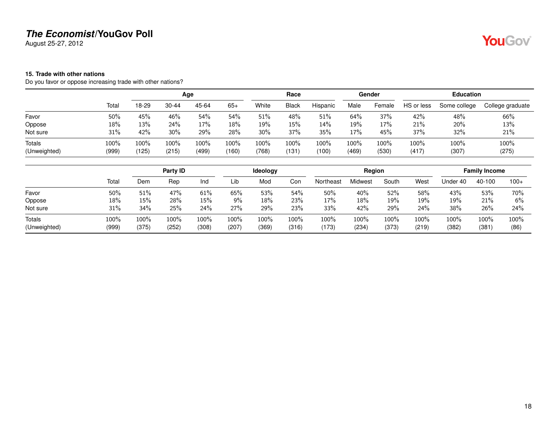August 25-27, 2012

### <span id="page-17-0"></span>**15. Trade with other nations**

Do you favor or oppose increasing trade with other nations?

|               |       |       |           | Age   |        |       | Race         |          |         | Gender |            | <b>Education</b> |                  |
|---------------|-------|-------|-----------|-------|--------|-------|--------------|----------|---------|--------|------------|------------------|------------------|
|               | Total | 18-29 | $30 - 44$ | 45-64 | $65+$  | White | <b>Black</b> | Hispanic | Male    | Female | HS or less | Some college     | College graduate |
| Favor         | 50%   | 45%   | 46%       | 54%   | 54%    | 51%   | 48%          | 51%      | 64%     | 37%    | 42%        | 48%              | 66%              |
| Oppose        | 18%   | 13%   | 24%       | 17%   | $18\%$ | 19%   | 15%          | 14%      | 19%     | 17%    | 21%        | 20%              | 13%              |
| Not sure      | 31%   | 42%   | 30%       | 29%   | 28%    | 30%   | 37%          | 35%      | 17%     | 45%    | 37%        | 32%              | 21%              |
| <b>Totals</b> | 100%  | 100%  | 100%      | 100%  | 100%   | 100%  | 100%         | 100%     | $100\%$ | 100%   | 100%       | 100%             | 100%             |
| (Unweighted)  | (999) | (125) | (215)     | (499) | (160)  | (768) | (131         | (100)    | (469)   | (530)  | (417)      | (307)            | (275)            |

|                               |               |               | Party ID      |               |               | Ideology      |               |               | Region           |               |               |               | <b>Family Income</b> |              |
|-------------------------------|---------------|---------------|---------------|---------------|---------------|---------------|---------------|---------------|------------------|---------------|---------------|---------------|----------------------|--------------|
|                               | Total         | Dem           | Rep           | Ind           | Lib           | Mod           | Con           | Northeast     | Midwest          | South         | West          | Under 40      | 40-100               | $100+$       |
| Favor                         | 50%           | 51%           | 47%           | 61%           | 65%           | 53%           | 54%           | 50%           | 40%              | 52%           | 58%           | 43%           | 53%                  | 70%          |
| Oppose                        | 18%           | 15%           | 28%           | 15%           | 9%            | 18%           | 23%           | 17%           | 18%              | 19%           | 19%           | 19%           | 21%                  | 6%           |
| Not sure                      | 31%           | 34%           | 25%           | 24%           | 27%           | 29%           | 23%           | 33%           | 42%              | 29%           | 24%           | 38%           | 26%                  | 24%          |
| <b>Totals</b><br>(Unweighted) | 100%<br>(999) | 100%<br>(375) | 100%<br>(252) | 100%<br>(308) | 100%<br>(207) | 100%<br>(369) | 100%<br>(316) | 100%<br>(173) | $100\%$<br>(234) | 100%<br>(373) | 100%<br>(219) | 100%<br>(382) | 100%<br>(381)        | 100%<br>(86) |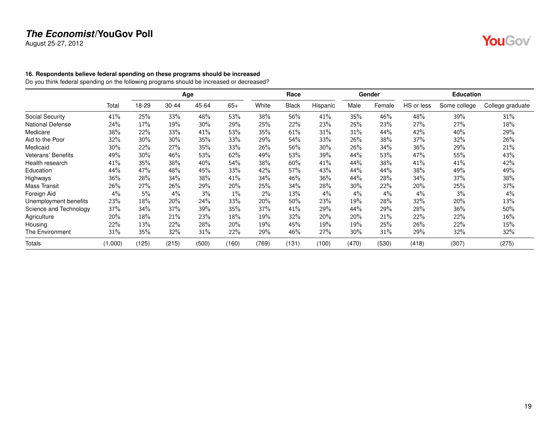August 25-27, 2012

# **YouGov**

### <span id="page-18-0"></span>**16. Respondents believe federal spending on these programs should be increased**

Do you think federal spending on the following programs should be increased or decreased?

|                         |         |       |           | Age   |       |       | Race         |          |        | Gender |            | <b>Education</b> |                  |
|-------------------------|---------|-------|-----------|-------|-------|-------|--------------|----------|--------|--------|------------|------------------|------------------|
|                         | Total   | 18-29 | $30 - 44$ | 45-64 | $65+$ | White | <b>Black</b> | Hispanic | Male   | Female | HS or less | Some college     | College graduate |
| Social Security         | 41%     | 25%   | 33%       | 48%   | 53%   | 38%   | 56%          | 41%      | 35%    | 46%    | 48%        | 39%              | 31%              |
| <b>National Defense</b> | 24%     | 17%   | 19%       | 30%   | 29%   | 25%   | 22%          | 23%      | 25%    | 23%    | 27%        | 27%              | 18%              |
| Medicare                | 38%     | 22%   | 33%       | 41%   | 53%   | 35%   | 61%          | 31%      | 31%    | 44%    | 42%        | 40%              | 29%              |
| Aid to the Poor         | 32%     | 30%   | 30%       | 35%   | 33%   | 29%   | 54%          | 33%      | 26%    | 38%    | 37%        | 32%              | 26%              |
| Medicaid                | 30%     | 22%   | 27%       | 35%   | 33%   | 26%   | 56%          | 30%      | 26%    | 34%    | 36%        | 29%              | 21%              |
| Veterans' Benefits      | 49%     | 30%   | 46%       | 53%   | 62%   | 49%   | 53%          | 39%      | 44%    | 53%    | 47%        | 55%              | 43%              |
| Health research         | 41%     | 35%   | 38%       | 40%   | 54%   | 38%   | 60%          | 41%      | 44%    | 38%    | 41%        | 41%              | 42%              |
| Education               | 44%     | 47%   | 48%       | 45%   | 33%   | 42%   | 57%          | 43%      | 44%    | 44%    | 38%        | 49%              | 49%              |
| Highways                | 36%     | 28%   | 34%       | 38%   | 41%   | 34%   | 46%          | 36%      | 44%    | 28%    | 34%        | 37%              | 38%              |
| <b>Mass Transit</b>     | 26%     | 27%   | 26%       | 29%   | 20%   | 25%   | 34%          | 28%      | $30\%$ | 22%    | 20%        | 25%              | 37%              |
| Foreign Aid             | 4%      | 5%    | $4\%$     | 3%    | $1\%$ | 2%    | 13%          | 4%       | $4\%$  | 4%     | $4\%$      | 3%               | $4\%$            |
| Unemployment benefits   | 23%     | 18%   | 20%       | 24%   | 33%   | 20%   | 50%          | 23%      | 19%    | 28%    | 32%        | 20%              | 13%              |
| Science and Technology  | 37%     | 34%   | 37%       | 39%   | 35%   | 37%   | 41%          | 29%      | 44%    | 29%    | 28%        | 36%              | 50%              |
| Agriculture             | 20%     | 18%   | 21%       | 23%   | 18%   | 19%   | 32%          | 20%      | 20%    | 21%    | 22%        | 22%              | 16%              |
| Housing                 | 22%     | 13%   | 22%       | 28%   | 20%   | 19%   | 45%          | 19%      | 19%    | 25%    | 26%        | 22%              | 15%              |
| <b>The Environment</b>  | 31%     | 35%   | 32%       | 31%   | 22%   | 29%   | 46%          | 27%      | $30\%$ | 31%    | 29%        | 32%              | 32%              |
| <b>Totals</b>           | (1,000) | (125) | (215)     | (500) | (160) | (769) | (131)        | (100)    | (470)  | (530)  | (418)      | (307)            | (275)            |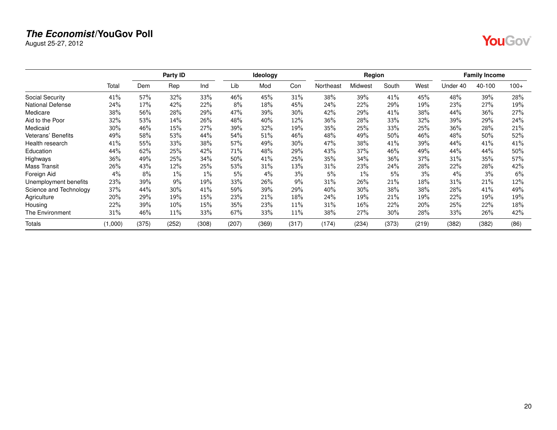August 25-27, 2012

|--|--|

|                           |         |       | Party ID |       |       | Ideology |       |           | Region  |        |       |          | <b>Family Income</b> |        |
|---------------------------|---------|-------|----------|-------|-------|----------|-------|-----------|---------|--------|-------|----------|----------------------|--------|
|                           | Total   | Dem   | Rep      | Ind   | Lib   | Mod      | Con   | Northeast | Midwest | South  | West  | Under 40 | 40-100               | $100+$ |
| Social Security           | 41%     | 57%   | 32%      | 33%   | 46%   | 45%      | 31%   | 38%       | 39%     | 41%    | 45%   | 48%      | 39%                  | 28%    |
| <b>National Defense</b>   | 24%     | 17%   | 42%      | 22%   | 8%    | 18%      | 45%   | 24%       | 22%     | 29%    | 19%   | 23%      | 27%                  | 19%    |
| Medicare                  | 38%     | 56%   | 28%      | 29%   | 47%   | 39%      | 30%   | 42%       | 29%     | 41%    | 38%   | 44%      | 36%                  | 27%    |
| Aid to the Poor           | 32%     | 53%   | 14%      | 26%   | 48%   | 40%      | 12%   | 36%       | 28%     | 33%    | 32%   | 39%      | 29%                  | 24%    |
| Medicaid                  | 30%     | 46%   | 15%      | 27%   | 39%   | 32%      | 19%   | 35%       | 25%     | 33%    | 25%   | 36%      | 28%                  | 21%    |
| <b>Veterans' Benefits</b> | 49%     | 58%   | 53%      | 44%   | 54%   | 51%      | 46%   | 48%       | 49%     | 50%    | 46%   | 48%      | 50%                  | 52%    |
| Health research           | 41%     | 55%   | 33%      | 38%   | 57%   | 49%      | 30%   | 47%       | 38%     | 41%    | 39%   | 44%      | 41%                  | 41%    |
| Education                 | 44%     | 62%   | 25%      | 42%   | 71%   | 48%      | 29%   | 43%       | 37%     | 46%    | 49%   | 44%      | 44%                  | 50%    |
| Highways                  | 36%     | 49%   | 25%      | 34%   | 50%   | 41%      | 25%   | 35%       | 34%     | $36\%$ | 37%   | 31%      | 35%                  | 57%    |
| <b>Mass Transit</b>       | 26%     | 43%   | 12%      | 25%   | 53%   | 31%      | 13%   | 31%       | 23%     | 24%    | 28%   | 22%      | 28%                  | 42%    |
| Foreign Aid               | 4%      | 8%    | $1\%$    | $1\%$ | 5%    | 4%       | 3%    | 5%        | $1\%$   | $5\%$  | 3%    | 4%       | 3%                   | 6%     |
| Unemployment benefits     | 23%     | 39%   | 9%       | 19%   | 33%   | 26%      | 9%    | 31%       | 26%     | 21%    | 18%   | 31%      | 21%                  | 12%    |
| Science and Technology    | 37%     | 44%   | $30\%$   | 41%   | 59%   | 39%      | 29%   | 40%       | 30%     | 38%    | 38%   | 28%      | 41%                  | 49%    |
| Agriculture               | 20%     | 29%   | 19%      | 15%   | 23%   | 21%      | 18%   | 24%       | 19%     | 21%    | 19%   | 22%      | 19%                  | 19%    |
| Housing                   | 22%     | 39%   | 10%      | 15%   | 35%   | 23%      | 11%   | 31%       | 16%     | 22%    | 20%   | 25%      | 22%                  | 18%    |
| The Environment           | 31%     | 46%   | 11%      | 33%   | 67%   | 33%      | 11%   | 38%       | 27%     | 30%    | 28%   | 33%      | 26%                  | 42%    |
| <b>Totals</b>             | (1,000) | (375) | (252)    | (308) | (207) | (369)    | (317) | (174)     | (234)   | (373)  | (219) | (382)    | (382)                | (86)   |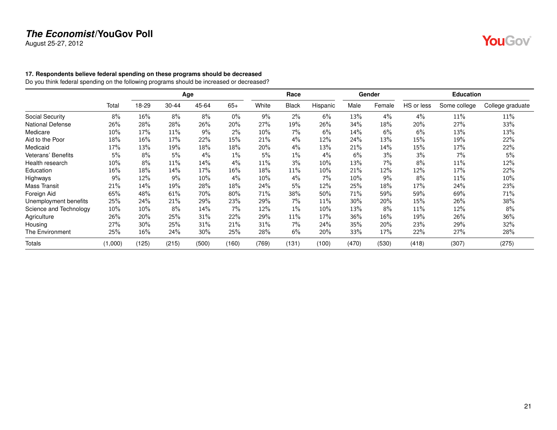August 25-27, 2012

# **YouGov**

### <span id="page-20-0"></span>**17. Respondents believe federal spending on these programs should be decreased**

Do you think federal spending on the following programs should be increased or decreased?

|                         |         |       |       | Age   |       |        | Race         |          |        | Gender |            | <b>Education</b> |                  |
|-------------------------|---------|-------|-------|-------|-------|--------|--------------|----------|--------|--------|------------|------------------|------------------|
|                         | Total   | 18-29 | 30-44 | 45-64 | $65+$ | White  | <b>Black</b> | Hispanic | Male   | Female | HS or less | Some college     | College graduate |
| Social Security         | 8%      | 16%   | 8%    | 8%    | $0\%$ | 9%     | $2\%$        | 6%       | 13%    | 4%     | 4%         | 11%              | 11%              |
| <b>National Defense</b> | 26%     | 28%   | 28%   | 26%   | 20%   | 27%    | 19%          | 26%      | 34%    | 18%    | 20%        | 27%              | 33%              |
| Medicare                | 10%     | 17%   | 11%   | 9%    | $2\%$ | 10%    | 7%           | 6%       | 14%    | 6%     | 6%         | 13%              | 13%              |
| Aid to the Poor         | 18%     | 16%   | 17%   | 22%   | 15%   | 21%    | $4\%$        | 12%      | 24%    | 13%    | 15%        | 19%              | 22%              |
| Medicaid                | 17%     | 13%   | 19%   | 18%   | 18%   | 20%    | $4\%$        | 13%      | 21%    | 14%    | 15%        | 17%              | 22%              |
| Veterans' Benefits      | 5%      | 8%    | 5%    | 4%    | $1\%$ | 5%     | $1\%$        | 4%       | 6%     | 3%     | 3%         | 7%               | 5%               |
| Health research         | 10%     | 8%    | 11%   | 14%   | $4\%$ | $11\%$ | 3%           | 10%      | 13%    | 7%     | 8%         | 11%              | 12%              |
| Education               | 16%     | 18%   | 14%   | 17%   | 16%   | 18%    | 11%          | 10%      | 21%    | 12%    | 12%        | 17%              | 22%              |
| Highways                | 9%      | 12%   | 9%    | 10%   | $4\%$ | 10%    | 4%           | $7\%$    | 10%    | 9%     | 8%         | 11%              | 10%              |
| <b>Mass Transit</b>     | 21%     | 14%   | 19%   | 28%   | 18%   | 24%    | 5%           | 12%      | 25%    | 18%    | 17%        | 24%              | 23%              |
| Foreign Aid             | 65%     | 48%   | 61%   | 70%   | 80%   | 71%    | 38%          | 50%      | 71%    | 59%    | 59%        | 69%              | 71%              |
| Unemployment benefits   | 25%     | 24%   | 21%   | 29%   | 23%   | 29%    | $7\%$        | 11%      | $30\%$ | 20%    | 15%        | 26%              | 38%              |
| Science and Technology  | 10%     | 10%   | 8%    | 14%   | 7%    | 12%    | $1\%$        | 10%      | 13%    | 8%     | 11%        | 12%              | 8%               |
| Agriculture             | 26%     | 20%   | 25%   | 31%   | 22%   | 29%    | $11\%$       | 17%      | 36%    | 16%    | 19%        | 26%              | 36%              |
| Housing                 | 27%     | 30%   | 25%   | 31%   | 21%   | 31%    | 7%           | 24%      | 35%    | 20%    | 23%        | 29%              | 32%              |
| The Environment         | 25%     | 16%   | 24%   | 30%   | 25%   | 28%    | 6%           | 20%      | 33%    | 17%    | 22%        | 27%              | 28%              |
| Totals                  | (1,000) | (125) | (215) | (500) | (160) | (769)  | (131)        | (100)    | (470)  | (530)  | (418)      | (307)            | (275)            |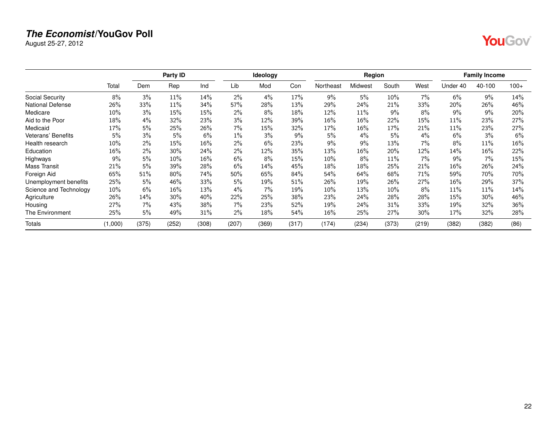August 25-27, 2012

|--|--|

|                           |         |       | Party ID |       |       | Ideology |       |           | Region  |        |        |          | <b>Family Income</b> |        |
|---------------------------|---------|-------|----------|-------|-------|----------|-------|-----------|---------|--------|--------|----------|----------------------|--------|
|                           | Total   | Dem   | Rep      | Ind   | Lib   | Mod      | Con   | Northeast | Midwest | South  | West   | Under 40 | 40-100               | $100+$ |
| Social Security           | 8%      | 3%    | 11%      | 14%   | 2%    | 4%       | 17%   | 9%        | 5%      | 10%    | 7%     | 6%       | 9%                   | 14%    |
| <b>National Defense</b>   | 26%     | 33%   | 11%      | 34%   | 57%   | 28%      | 13%   | 29%       | 24%     | 21%    | 33%    | 20%      | 26%                  | 46%    |
| Medicare                  | $10\%$  | 3%    | 15%      | 15%   | $2\%$ | 8%       | 18%   | 12%       | 11%     | 9%     | 8%     | $9\%$    | 9%                   | 20%    |
| Aid to the Poor           | 18%     | 4%    | 32%      | 23%   | 3%    | 12%      | 39%   | 16%       | 16%     | 22%    | 15%    | 11%      | 23%                  | 27%    |
| Medicaid                  | 17%     | 5%    | 25%      | 26%   | 7%    | 15%      | 32%   | 17%       | 16%     | 17%    | 21%    | 11%      | 23%                  | 27%    |
| <b>Veterans' Benefits</b> | 5%      | 3%    | 5%       | 6%    | 1%    | 3%       | 9%    | 5%        | 4%      | $5\%$  | 4%     | 6%       | 3%                   | 6%     |
| Health research           | 10%     | 2%    | 15%      | 16%   | 2%    | 6%       | 23%   | 9%        | 9%      | 13%    | 7%     | 8%       | 11%                  | 16%    |
| Education                 | 16%     | 2%    | 30%      | 24%   | 2%    | 12%      | 35%   | 13%       | 16%     | 20%    | 12%    | 14%      | 16%                  | 22%    |
| Highways                  | 9%      | 5%    | 10%      | 16%   | 6%    | 8%       | 15%   | 10%       | 8%      | 11%    | 7%     | 9%       | 7%                   | 15%    |
| <b>Mass Transit</b>       | 21%     | 5%    | 39%      | 28%   | 6%    | 14%      | 45%   | 18%       | 18%     | 25%    | 21%    | 16%      | 26%                  | 24%    |
| Foreign Aid               | 65%     | 51%   | 80%      | 74%   | 50%   | 65%      | 84%   | 54%       | 64%     | 68%    | 71%    | 59%      | 70%                  | 70%    |
| Unemployment benefits     | 25%     | 5%    | 46%      | 33%   | 5%    | 19%      | 51%   | 26%       | 19%     | 26%    | 27%    | 16%      | 29%                  | 37%    |
| Science and Technology    | 10%     | 6%    | 16%      | 13%   | 4%    | 7%       | 19%   | 10%       | 13%     | $10\%$ | 8%     | 11%      | 11%                  | 14%    |
| Agriculture               | 26%     | 14%   | 30%      | 40%   | 22%   | 25%      | 38%   | 23%       | 24%     | 28%    | 28%    | 15%      | 30%                  | 46%    |
| Housing                   | 27%     | 7%    | 43%      | 38%   | 7%    | 23%      | 52%   | 19%       | 24%     | 31%    | 33%    | 19%      | 32%                  | 36%    |
| The Environment           | 25%     | 5%    | 49%      | 31%   | 2%    | 18%      | 54%   | 16%       | 25%     | 27%    | $30\%$ | 17%      | 32%                  | 28%    |
| <b>Totals</b>             | (1,000) | (375) | (252)    | (308) | (207) | (369)    | (317) | (174)     | (234)   | (373)  | (219)  | (382)    | (382)                | (86)   |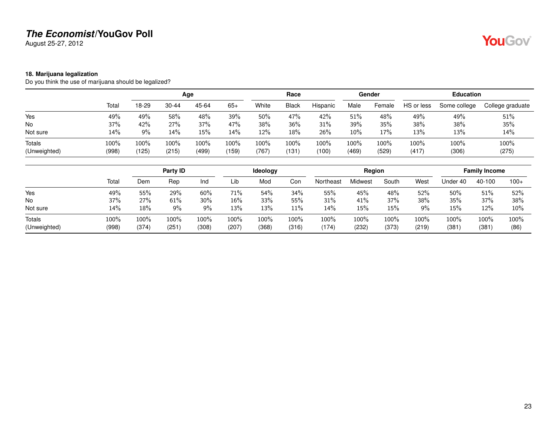August 25-27, 2012

### <span id="page-22-0"></span>**18. Marijuana legalization**

Do you think the use of marijuana should be legalized?

|              |       |       |           | Age   |       |       | Race         |          |       | Gender |            | <b>Education</b> |                  |
|--------------|-------|-------|-----------|-------|-------|-------|--------------|----------|-------|--------|------------|------------------|------------------|
|              | Total | 18-29 | $30 - 44$ | 45-64 | $65+$ | White | <b>Black</b> | Hispanic | Male  | Female | HS or less | Some college     | College graduate |
| Yes          | 49%   | 49%   | 58%       | 48%   | 39%   | 50%   | 47%          | 42%      | 51%   | 48%    | 49%        | 49%              | 51%              |
| No           | 37%   | 42%   | 27%       | 37%   | 47%   | 38%   | 36%          | 31%      | 39%   | 35%    | 38%        | 38%              | 35%              |
| Not sure     | 14%   | 9%    | 14%       | 15%   | 14%   | 12%   | 18%          | 26%      | 10%   | 17%    | 13%        | 13%              | 14%              |
| Totals       | 100%  | 100%  | 100%      | 100%  | 100%  | 100%  | 100%         | 100%     | 100%  | 100%   | 100%       | 100%             | 100%             |
| (Unweighted) | (998) | (125) | (215)     | (499) | (159) | (767) | (131         | (100)    | (469) | (529)  | (417)      | (306)            | (275)            |

|                               |               |               | Party ID      |               |               | Ideology      |               |               | Region        |               |               |              | <b>Family Income</b> |              |
|-------------------------------|---------------|---------------|---------------|---------------|---------------|---------------|---------------|---------------|---------------|---------------|---------------|--------------|----------------------|--------------|
|                               | Total         | Dem           | Rep           | Ind           | Lib           | Mod           | Con           | Northeast     | Midwest       | South         | West          | Under 40     | 40-100               | $100+$       |
| Yes                           | 49%           | 55%           | 29%           | 60%           | 71%           | 54%           | 34%           | 55%           | 45%           | 48%           | 52%           | 50%          | 51%                  | 52%          |
| No                            | 37%           | 27%           | 61%           | 30%           | 16%           | 33%           | 55%           | 31%           | 41%           | 37%           | 38%           | 35%          | 37%                  | 38%          |
| Not sure                      | 14%           | 18%           | 9%            | $9\%$         | 13%           | 13%           | 11%           | 14%           | 15%           | 15%           | $9\%$         | 15%          | 12%                  | 10%          |
| <b>Totals</b><br>(Unweighted) | 100%<br>(998) | 100%<br>(374) | 100%<br>(251) | 100%<br>(308) | 100%<br>(207) | 100%<br>(368) | 100%<br>(316) | 100%<br>(174) | 100%<br>(232) | 100%<br>(373) | 100%<br>(219) | 100%<br>(381 | 100%<br>(381)        | 100%<br>(86) |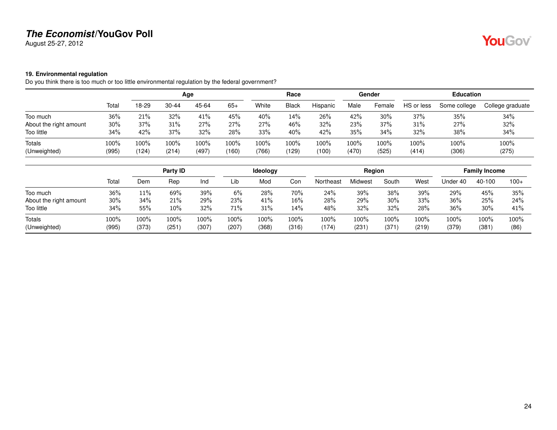August 25-27, 2012

# YouGov®

### <span id="page-23-0"></span>**19. Environmental regulation**

Do you think there is too much or too little environmental regulation by the federal government?

|                        |       |       |           | Age   |       |         | Race         |          |       | Gender |            | <b>Education</b> |                  |
|------------------------|-------|-------|-----------|-------|-------|---------|--------------|----------|-------|--------|------------|------------------|------------------|
|                        | Total | 18-29 | $30 - 44$ | 45-64 | $65+$ | White   | <b>Black</b> | Hispanic | Male  | Female | HS or less | Some college     | College graduate |
| Too much               | 36%   | 21%   | 32%       | 41%   | 45%   | 40%     | 14%          | 26%      | 42%   | 30%    | 37%        | 35%              | 34%              |
| About the right amount | 30%   | 37%   | 31%       | 27%   | 27%   | 27%     | 46%          | 32%      | 23%   | 37%    | 31%        | 27%              | 32%              |
| Too little             | 34%   | 42%   | 37%       | 32%   | 28%   | 33%     | 40%          | 42%      | 35%   | 34%    | 32%        | 38%              | 34%              |
| Totals                 | 100%  | 100%  | 100%      | 100%  | 100%  | $100\%$ | 100%         | 100%     | 100%  | 100%   | 100%       | 100%             | 100%             |
| (Unweighted)           | (995) | 124   | (214)     | (497) | (160) | (766)   | (129)        | (100)    | (470) | (525)  | (414)      | (306)            | (275)            |

|                        |               |               | Party ID      |               |               | <b>Ideology</b> |               |               | Region           |               |               |               | <b>Family Income</b> |              |
|------------------------|---------------|---------------|---------------|---------------|---------------|-----------------|---------------|---------------|------------------|---------------|---------------|---------------|----------------------|--------------|
|                        | Total         | Dem           | Rep           | Ind           | Lib           | Mod             | Con           | Northeast     | Midwest          | South         | West          | Under 40      | 40-100               | $100+$       |
| Too much               | 36%           | 11%           | 69%           | 39%           | 6%            | 28%             | 70%           | 24%           | 39%              | 38%           | 39%           | 29%           | 45%                  | 35%          |
| About the right amount | $30\%$        | 34%           | 21%           | 29%           | 23%           | 41%             | 16%           | 28%           | 29%              | 30%           | 33%           | 36%           | 25%                  | 24%          |
| Too little             | 34%           | 55%           | 10%           | 32%           | 71%           | 31%             | 14%           | 48%           | 32%              | 32%           | 28%           | 36%           | 30%                  | 41%          |
| Totals<br>(Unweighted) | 100%<br>(995) | 100%<br>(373) | 100%<br>(251) | 100%<br>(307) | 100%<br>(207) | 100%<br>(368)   | 100%<br>(316) | 100%<br>(174) | $100\%$<br>(231) | 100%<br>(371) | 100%<br>(219) | 100%<br>(379) | 100%<br>(381)        | 100%<br>(86) |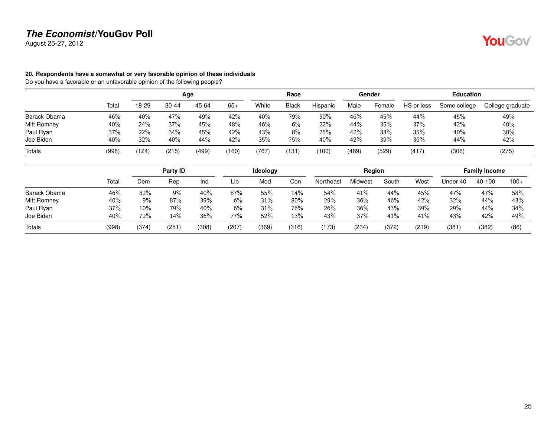August 25-27, 2012

# **YouGov**

### <span id="page-24-0"></span>**20. Respondents have a somewhat or very favorable opinion of these individuals**

Do you have a favorable or an unfavorable opinion of the following people?

|               |       |       |           | Age   |       |       | Race         |          |       | Gender |            | <b>Education</b> |                  |
|---------------|-------|-------|-----------|-------|-------|-------|--------------|----------|-------|--------|------------|------------------|------------------|
|               | Total | 18-29 | $30 - 44$ | 45-64 | $65+$ | White | <b>Black</b> | Hispanic | Male  | Female | HS or less | Some college     | College graduate |
| Barack Obama  | 46%   | 40%   | 47%       | 49%   | 42%   | 40%   | 79%          | 50%      | 46%   | 45%    | 44%        | 45%              | 49%              |
| Mitt Romney   | 40%   | 24%   | 37%       | 45%   | 48%   | 46%   | 6%           | 22%      | 44%   | 35%    | 37%        | 42%              | 40%              |
| Paul Ryan     | 37%   | 22%   | 34%       | 45%   | 42%   | 43%   | 8%           | 25%      | 42%   | 33%    | 35%        | 40%              | 38%              |
| Joe Biden     | 40%   | 32%   | 40%       | 44%   | 42%   | 35%   | 75%          | 40%      | 42%   | 39%    | 36%        | 44%              | 42%              |
| <b>Totals</b> | (998) | (124) | (215)     | (499) | (160) | (767) | (131         | (100)    | (469) | (529)  | (417)      | (306)            | (275)            |

|              |       |       | Party ID |       |       | <b>Ideology</b> |       |           | Region  |       |       |          | <b>Family Income</b> |        |
|--------------|-------|-------|----------|-------|-------|-----------------|-------|-----------|---------|-------|-------|----------|----------------------|--------|
|              | Total | Dem   | Rep      | Ind   | Lib   | Mod             | Con   | Northeast | Midwest | South | West  | Under 40 | 40-100               | $100+$ |
| Barack Obama | 46%   | 82%   | $9\%$    | 40%   | 87%   | 55%             | 14%   | 54%       | 41%     | 44%   | 45%   | 47%      | 47%                  | 58%    |
| Mitt Romney  | 40%   | $9\%$ | 87%      | 39%   | 6%    | 31%             | 80%   | 29%       | 36%     | 46%   | 42%   | 32%      | 44%                  | 43%    |
| Paul Ryan    | 37%   | 10%   | 79%      | 40%   | 6%    | 31%             | 76%   | 26%       | 36%     | 43%   | 39%   | 29%      | 44%                  | 34%    |
| Joe Biden    | 40%   | 72%   | 14%      | 36%   | 77%   | 52%             | 13%   | 43%       | 37%     | 41%   | 41%   | 43%      | 42%                  | 49%    |
| Totals       | (998) | (374) | (251)    | (308) | (207) | (369)           | (316) | (173)     | (234)   | (372) | (219) | (381     | (382)                | (86)   |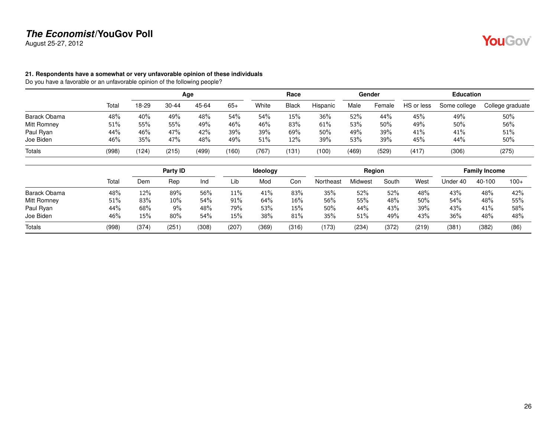August 25-27, 2012

# **YouGov**

### <span id="page-25-0"></span>**21. Respondents have a somewhat or very unfavorable opinion of these individuals**

Do you have a favorable or an unfavorable opinion of the following people?

|              |       |       |           | Age   |       |       | Race         |          |       | Gender |            | <b>Education</b> |                  |
|--------------|-------|-------|-----------|-------|-------|-------|--------------|----------|-------|--------|------------|------------------|------------------|
|              | Total | 18-29 | $30 - 44$ | 45-64 | $65+$ | White | <b>Black</b> | Hispanic | Male  | Female | HS or less | Some college     | College graduate |
| Barack Obama | 48%   | 40%   | 49%       | 48%   | 54%   | 54%   | 15%          | 36%      | 52%   | 44%    | 45%        | 49%              | 50%              |
| Mitt Romney  | 51%   | 55%   | 55%       | 49%   | 46%   | 46%   | 83%          | 61%      | 53%   | 50%    | 49%        | 50%              | 56%              |
| Paul Ryan    | 44%   | 46%   | 47%       | 42%   | 39%   | 39%   | 69%          | 50%      | 49%   | 39%    | 41%        | 41%              | 51%              |
| Joe Biden    | 46%   | 35%   | 47%       | 48%   | 49%   | 51%   | 12%          | 39%      | 53%   | 39%    | 45%        | 44%              | 50%              |
| Totals       | (998) | (124) | (215)     | (499) | (160) | (767  | (131         | (100)    | (469) | (529)  | (417)      | (306)            | (275)            |

|              |       |       | Party ID |       |        | <b>Ideology</b> |       |           | Region  |       |       |          | <b>Family Income</b> |        |
|--------------|-------|-------|----------|-------|--------|-----------------|-------|-----------|---------|-------|-------|----------|----------------------|--------|
|              | Total | Dem   | Rep      | Ind   | Lib    | Mod             | Con   | Northeast | Midwest | South | West  | Under 40 | 40-100               | $100+$ |
| Barack Obama | 48%   | 12%   | 89%      | 56%   | $11\%$ | 41%             | 83%   | 35%       | 52%     | 52%   | 48%   | 43%      | 48%                  | 42%    |
| Mitt Romney  | 51%   | 83%   | 10%      | 54%   | 91%    | 64%             | 16%   | 56%       | 55%     | 48%   | 50%   | 54%      | 48%                  | 55%    |
| Paul Ryan    | 44%   | 68%   | 9%       | 48%   | 79%    | 53%             | 15%   | 50%       | 44%     | 43%   | 39%   | 43%      | 41%                  | 58%    |
| Joe Biden    | 46%   | 15%   | 80%      | 54%   | 15%    | 38%             | 81%   | 35%       | 51%     | 49%   | 43%   | 36%      | 48%                  | 48%    |
| Totals       | (998) | (374) | (251     | (308) | (207)  | (369)           | (316) | (173)     | (234)   | (372) | (219) | (381     | (382)                | (86)   |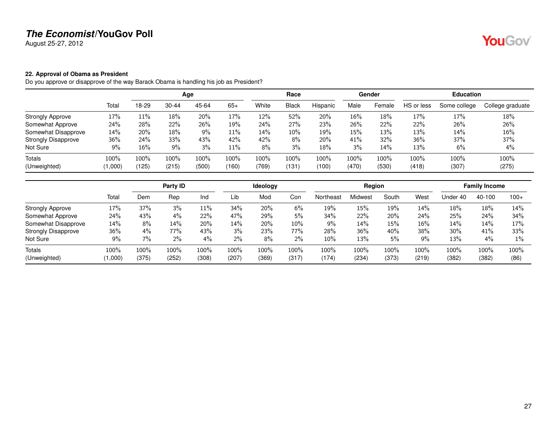August 25-27, 2012

### <span id="page-26-0"></span>**22. Approval of Obama as President**

Do you approve or disapprove of the way Barack Obama is handling his job as President?

|                            |         |       |           | Age   |       |       | Race         |          |       | Gender |            | <b>Education</b> |                  |
|----------------------------|---------|-------|-----------|-------|-------|-------|--------------|----------|-------|--------|------------|------------------|------------------|
|                            | Total   | 18-29 | $30 - 44$ | 45-64 | $65+$ | White | <b>Black</b> | Hispanic | Male  | Female | HS or less | Some college     | College graduate |
| <b>Strongly Approve</b>    | 17%     | 11%   | 18%       | 20%   | 17%   | 12%   | 52%          | 20%      | 16%   | 18%    | 17%        | 17%              | 18%              |
| Somewhat Approve           | 24%     | 28%   | 22%       | 26%   | 19%   | 24%   | 27%          | 23%      | 26%   | 22%    | 22%        | 26%              | 26%              |
| Somewhat Disapprove        | 14%     | 20%   | 18%       | 9%    | 11%   | 14%   | $10\%$       | 19%      | 15%   | 13%    | 13%        | 14%              | $16\%$           |
| <b>Strongly Disapprove</b> | 36%     | 24%   | 33%       | 43%   | 42%   | 42%   | 8%           | 20%      | 41%   | 32%    | 36%        | 37%              | 37%              |
| Not Sure                   | 9%      | 16%   | $9\%$     | 3%    | 11%   | 8%    | 3%           | 18%      | 3%    | 14%    | 13%        | 6%               | $4\%$            |
| <b>Totals</b>              | $100\%$ | 100%  | 100%      | 100%  | 100%  | 100%  | $100\%$      | 100%     | 100%  | 100%   | 100%       | 100%             | 100%             |
| (Unweighted)               | (000, 1 | (125) | (215)     | (500) | (160) | (769) | (131)        | (100)    | (470) | (530)  | (418)      | (307)            | (275)            |

|                            |         |         | Party ID |       |       | <b>Ideology</b> |        |           | Region  |       |       |          | <b>Family Income</b> |        |
|----------------------------|---------|---------|----------|-------|-------|-----------------|--------|-----------|---------|-------|-------|----------|----------------------|--------|
|                            | Total   | Dem     | Rep      | Ind   | Lib   | Mod             | Con    | Northeast | Midwest | South | West  | Under 40 | 40-100               | $100+$ |
| <b>Strongly Approve</b>    | 17%     | 37%     | 3%       | 11%   | 34%   | 20%             | 6%     | 19%       | 15%     | 19%   | 14%   | 18%      | 18%                  | 14%    |
| Somewhat Approve           | 24%     | 43%     | $4\%$    | 22%   | 47%   | 29%             | 5%     | 34%       | 22%     | 20%   | 24%   | 25%      | 24%                  | 34%    |
| Somewhat Disapprove        | 14%     | 8%      | 14%      | 20%   | 14%   | 20%             | $10\%$ | 9%        | 14%     | 15%   | 16%   | 14%      | 14%                  | 17%    |
| <b>Strongly Disapprove</b> | 36%     | 4%      | 77%      | 43%   | 3%    | 23%             | 77%    | 28%       | 36%     | 40%   | 38%   | 30%      | 41%                  | 33%    |
| Not Sure                   | 9%      | $7\%$   | 2%       | $4\%$ | $2\%$ | 8%              | $2\%$  | $10\%$    | 13%     | 5%    | 9%    | 13%      | 4%                   | $1\%$  |
| <b>Totals</b>              | $100\%$ | $100\%$ | 100%     | 100%  | 100%  | 100%            | 100%   | 100%      | 100%    | 100%  | 100%  | 100%     | 100%                 | 100%   |
| (Unweighted)               | (1,000) | (375)   | (252)    | (308) | (207  | (369)           | (317)  | (174)     | (234)   | (373) | (219) | (382)    | (382)                | (86)   |

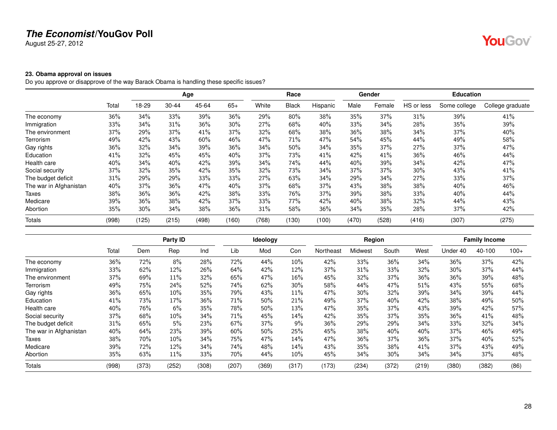August 25-27, 2012

# YouGov®

### <span id="page-27-0"></span>**23. Obama approval on issues**

Do you approve or disapprove of the way Barack Obama is handling these specific issues?

|                        |       |        |           | Age   |        |       | Race         |          |       | Gender |            | <b>Education</b> |                  |
|------------------------|-------|--------|-----------|-------|--------|-------|--------------|----------|-------|--------|------------|------------------|------------------|
|                        | Total | 18-29  | $30 - 44$ | 45-64 | $65+$  | White | <b>Black</b> | Hispanic | Male  | Female | HS or less | Some college     | College graduate |
| The economy            | 36%   | 34%    | 33%       | 39%   | 36%    | 29%   | 80%          | 38%      | 35%   | 37%    | 31%        | 39%              | 41%              |
| Immigration            | 33%   | 34%    | 31%       | 36%   | 30%    | 27%   | 68%          | 40%      | 33%   | 34%    | 28%        | 35%              | 39%              |
| The environment        | 37%   | 29%    | 37%       | 41%   | 37%    | 32%   | 68%          | 38%      | 36%   | 38%    | 34%        | 37%              | 40%              |
| Terrorism              | 49%   | 42%    | 43%       | 60%   | 46%    | 47%   | 71%          | 47%      | 54%   | 45%    | 44%        | 49%              | 58%              |
| Gay rights             | 36%   | 32%    | 34%       | 39%   | $36\%$ | 34%   | 50%          | 34%      | 35%   | 37%    | 27%        | 37%              | 47%              |
| Education              | 41%   | 32%    | 45%       | 45%   | 40%    | 37%   | 73%          | 41%      | 42%   | 41%    | 36%        | 46%              | 44%              |
| Health care            | 40%   | 34%    | 40%       | 42%   | 39%    | 34%   | 74%          | 44%      | 40%   | 39%    | 34%        | 42%              | 47%              |
| Social security        | 37%   | 32%    | 35%       | 42%   | 35%    | 32%   | 73%          | 34%      | 37%   | 37%    | 30%        | 43%              | 41%              |
| The budget deficit     | 31%   | 29%    | 29%       | 33%   | 33%    | 27%   | 63%          | 34%      | 29%   | 34%    | 27%        | 33%              | 37%              |
| The war in Afghanistan | 40%   | 37%    | 36%       | 47%   | 40%    | 37%   | 68%          | 37%      | 43%   | 38%    | 38%        | 40%              | 46%              |
| Taxes                  | 38%   | $36\%$ | 36%       | 42%   | 38%    | 33%   | 76%          | 37%      | 39%   | 38%    | 33%        | 40%              | 44%              |
| Medicare               | 39%   | 36%    | 38%       | 42%   | 37%    | 33%   | 77%          | 42%      | 40%   | 38%    | 32%        | 44%              | 43%              |
| Abortion               | 35%   | $30\%$ | 34%       | 38%   | 36%    | 31%   | 58%          | 36%      | 34%   | 35%    | 28%        | 37%              | 42%              |
| Totals                 | (998) | (125)  | (215)     | (498) | (160)  | (768) | (130)        | (100)    | (470) | (528)  | (416)      | (307)            | (275)            |

|                        |       |       | Party ID |       |       | Ideology |       |           | Region  |       |       |          | <b>Family Income</b> |        |
|------------------------|-------|-------|----------|-------|-------|----------|-------|-----------|---------|-------|-------|----------|----------------------|--------|
|                        | Total | Dem   | Rep      | Ind   | Lib   | Mod      | Con   | Northeast | Midwest | South | West  | Under 40 | 40-100               | $100+$ |
| The economy            | 36%   | 72%   | 8%       | 28%   | 72%   | 44%      | 10%   | 42%       | 33%     | 36%   | 34%   | 36%      | 37%                  | 42%    |
| Immigration            | 33%   | 62%   | 12%      | 26%   | 64%   | 42%      | 12%   | 37%       | 31%     | 33%   | 32%   | 30%      | 37%                  | 44%    |
| The environment        | 37%   | 69%   | $11\%$   | 32%   | 65%   | 47%      | 16%   | 45%       | 32%     | 37%   | 36%   | 36%      | 39%                  | 48%    |
| Terrorism              | 49%   | 75%   | 24%      | 52%   | 74%   | 62%      | 30%   | 58%       | 44%     | 47%   | 51%   | 43%      | 55%                  | 68%    |
| Gay rights             | 36%   | 65%   | 10%      | 35%   | 79%   | 43%      | 11%   | 47%       | 30%     | 32%   | 39%   | 34%      | 39%                  | 44%    |
| Education              | 41%   | 73%   | 17%      | 36%   | 71%   | 50%      | 21%   | 49%       | 37%     | 40%   | 42%   | 38%      | 49%                  | 50%    |
| Health care            | 40%   | 76%   | 6%       | 35%   | 78%   | 50%      | 13%   | 47%       | 35%     | 37%   | 43%   | 39%      | 42%                  | 57%    |
| Social security        | 37%   | 68%   | 10%      | 34%   | 71%   | 45%      | 14%   | 42%       | 35%     | 37%   | 35%   | 36%      | 41%                  | 48%    |
| The budget deficit     | 31%   | 65%   | 5%       | 23%   | 67%   | 37%      | 9%    | 36%       | 29%     | 29%   | 34%   | 33%      | 32%                  | 34%    |
| The war in Afghanistan | 40%   | 64%   | 23%      | 39%   | 60%   | 50%      | 25%   | 45%       | 38%     | 40%   | 40%   | 37%      | 46%                  | 49%    |
| Taxes                  | 38%   | 70%   | 10%      | 34%   | 75%   | 47%      | 14%   | 47%       | 36%     | 37%   | 36%   | 37%      | 40%                  | 52%    |
| Medicare               | 39%   | 72%   | 12%      | 34%   | 74%   | 48%      | 14%   | 43%       | 35%     | 38%   | 41%   | 37%      | 43%                  | 49%    |
| Abortion               | 35%   | 63%   | $11\%$   | 33%   | 70%   | 44%      | 10%   | 45%       | 34%     | 30%   | 34%   | 34%      | 37%                  | 48%    |
| Totals                 | (998) | (373) | (252)    | (308) | (207) | (369)    | (317) | (173)     | (234)   | (372) | (219) | (380)    | (382)                | (86)   |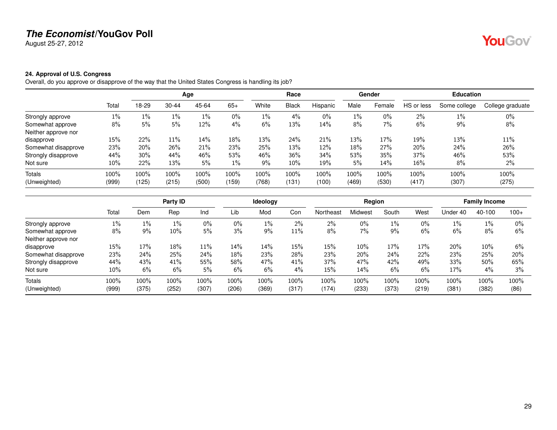August 25-27, 2012

# YouGov®

### <span id="page-28-0"></span>**24. Approval of U.S. Congress**

Overall, do you approve or disapprove of the way that the United States Congress is handling its job?

|                     |       |        |       | Age   |       |       | Race         |          |       | Gender |            | <b>Education</b> |                  |
|---------------------|-------|--------|-------|-------|-------|-------|--------------|----------|-------|--------|------------|------------------|------------------|
|                     | Total | 18-29  | 30-44 | 45-64 | $65+$ | White | <b>Black</b> | Hispanic | Male  | Female | HS or less | Some college     | College graduate |
| Strongly approve    | $1\%$ | $1\%$  | $1\%$ | $1\%$ | $0\%$ | $1\%$ | 4%           | $0\%$    | $1\%$ | $0\%$  | $2\%$      | $1\%$            | 0%               |
| Somewhat approve    | 8%    | 5%     | 5%    | 12%   | 4%    | 6%    | 13%          | 14%      | 8%    | 7%     | 6%         | 9%               | 8%               |
| Neither approve nor |       |        |       |       |       |       |              |          |       |        |            |                  |                  |
| disapprove          | 15%   | 22%    | 11%   | 14%   | 18%   | 13%   | 24%          | 21%      | 13%   | 17%    | 19%        | 13%              | 11%              |
| Somewhat disapprove | 23%   | 20%    | 26%   | 21%   | 23%   | 25%   | 13%          | 12%      | 18%   | 27%    | 20%        | 24%              | 26%              |
| Strongly disapprove | 44%   | $30\%$ | 44%   | 46%   | 53%   | 46%   | 36%          | 34%      | 53%   | 35%    | 37%        | 46%              | 53%              |
| Not sure            | 10%   | 22%    | 13%   | 5%    | $1\%$ | 9%    | $10\%$       | 19%      | $5\%$ | 14%    | 16%        | 8%               | 2%               |
| Totals              | 100%  | 100%   | 100%  | 100%  | 100%  | 100%  | 100%         | 100%     | 100%  | 100%   | 100%       | 100%             | 100%             |
| (Unweighted)        | (999) | (125)  | (215) | (500) | (159) | (768) | (131         | (100)    | (469) | (530)  | (417)      | (307)            | (275)            |

|                     |        |       | Party ID |        |       | Ideology |       |           | Region         |       |       |          | <b>Family Income</b> |         |
|---------------------|--------|-------|----------|--------|-------|----------|-------|-----------|----------------|-------|-------|----------|----------------------|---------|
|                     | Tota   | Dem   | Rep      | Ind    | Lib   | Mod      | Con   | Northeast | <b>Aidwest</b> | South | West  | Under 40 | 40-100               | $100+$  |
| Strongly approve    | $1\%$  | $1\%$ | $1\%$    | $0\%$  | $0\%$ | $1\%$    | $2\%$ | 2%        | $0\%$          | $1\%$ | 0%    | 1%       | $1\%$                | $0\%$   |
| Somewhat approve    | 8%     | 9%    | 10%      | 5%     | 3%    | $9\%$    | 11%   | 8%        | 7%             | 9%    | 6%    | 6%       | 8%                   | 6%      |
| Neither approve nor |        |       |          |        |       |          |       |           |                |       |       |          |                      |         |
| disapprove          | 15%    | 17%   | $18\%$   | $11\%$ | 14%   | 14%      | 15%   | 15%       | 10%            | 17%   | 17%   | 20%      | $10\%$               | 6%      |
| Somewhat disapprove | 23%    | 24%   | 25%      | 24%    | 18%   | 23%      | 28%   | 23%       | 20%            | 24%   | 22%   | 23%      | 25%                  | 20%     |
| Strongly disapprove | 44%    | 43%   | 41%      | 55%    | 58%   | 47%      | 41%   | 37%       | 47%            | 42%   | 49%   | 33%      | 50%                  | 65%     |
| Not sure            | $10\%$ | 6%    | 6%       | 5%     | $6\%$ | 6%       | $4\%$ | 15%       | 14%            | 6%    | 6%    | 17%      | $4\%$                | 3%      |
| Totals              | 100%   | 100%  | 100%     | 100%   | 100%  | 100%     | 100%  | 100%      | 100%           | 100%  | 100%  | 100%     | 100%                 | $100\%$ |
| (Unweighted)        | (999)  | (375) | (252)    | (307)  | (206) | (369)    | (317) | (174)     | (233)          | (373) | (219) | (381)    | (382)                | (86)    |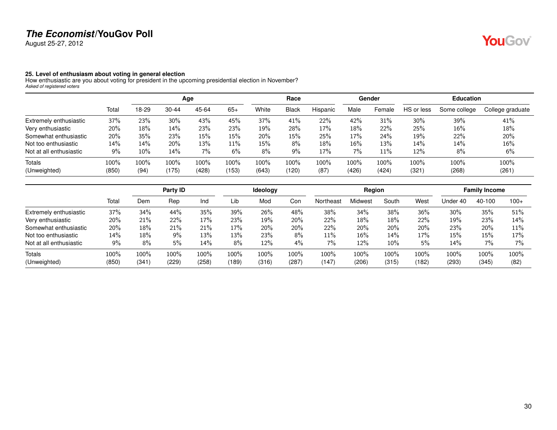August 25-27, 2012

### <span id="page-29-0"></span>**25. Level of enthusiasm about voting in general election**

How enthusiastic are you about voting for president in the upcoming presidential election in November? *Asked of registered voters*

|                         |       |       |       | Age   |       |         | Race         |          |       | Gender |            | <b>Education</b> |                  |
|-------------------------|-------|-------|-------|-------|-------|---------|--------------|----------|-------|--------|------------|------------------|------------------|
|                         | Total | 18-29 | 30-44 | 45-64 | $65+$ | White   | <b>Black</b> | Hispanic | Male  | Female | HS or less | Some college     | College graduate |
| Extremely enthusiastic  | 37%   | 23%   | 30%   | 43%   | 45%   | 37%     | 41%          | 22%      | 42%   | 31%    | 30%        | 39%              | 41%              |
| Very enthusiastic       | 20%   | 18%   | 14%   | 23%   | 23%   | 19%     | 28%          | 17%      | 18%   | 22%    | 25%        | $16\%$           | 18%              |
| Somewhat enthusiastic   | 20%   | 35%   | 23%   | 15%   | 15%   | 20%     | 15%          | 25%      | 17%   | 24%    | 19%        | 22%              | 20%              |
| Not too enthusiastic    | 14%   | 14%   | 20%   | 13%   | 11%   | 15%     | 8%           | 18%      | 16%   | 13%    | 14%        | 14%              | $16\%$           |
| Not at all enthusiastic | 9%    | 10%   | 14%   | 7%    | 6%    | 8%      | 9%           | 17%      | 7%    | 11%    | 12%        | 8%               | 6%               |
| <b>Totals</b>           | 100%  | 100%  | 100%  | 100%  | 100%  | $100\%$ | 100%         | 100%     | 100%  | 100%   | 100%       | 100%             | 100%             |
| (Unweighted)            | (850) | (94)  | (175) | (428) | (153) | (643)   | (120)        | (87)     | (426) | (424)  | (321)      | (268)            | (261)            |

|                         |       |       | Party ID |       |            | Ideology   |       |           | Region  |        |       |          | <b>Family Income</b> |        |
|-------------------------|-------|-------|----------|-------|------------|------------|-------|-----------|---------|--------|-------|----------|----------------------|--------|
|                         | Total | Dem   | Rep      | Ind   | Lib        | Mod        | Con   | Northeast | Midwest | South  | West  | Under 40 | 40-100               | $100+$ |
| Extremely enthusiastic  | 37%   | 34%   | 44%      | 35%   | 39%        | 26%        | 48%   | 38%       | 34%     | 38%    | 36%   | 30%      | 35%                  | 51%    |
| Very enthusiastic       | 20%   | 21%   | 22%      | 17%   | <b>23%</b> | 19%        | 20%   | 22%       | 18%     | 18%    | 22%   | 19%      | 23%                  | 14%    |
| Somewhat enthusiastic   | 20%   | 18%   | 21%      | 21%   | 17%        | 20%        | 20%   | 22%       | 20%     | 20%    | 20%   | 23%      | 20%                  | 11%    |
| Not too enthusiastic    | 14%   | 18%   | 9%       | 13%   | 13%        | <b>23%</b> | 8%    | $11\%$    | 16%     | 14%    | 17%   | 15%      | 15%                  | 17%    |
| Not at all enthusiastic | 9%    | 8%    | 5%       | 14%   | 8%         | 12%        | 4%    | 7%        | 12%     | $10\%$ | 5%    | 14%      | 7%                   | $7\%$  |
| Totals                  | 100%  | 100%  | 100%     | 100%  | 100%       | 100%       | 100%  | 100%      | 100%    | 100%   | 100%  | 100%     | 100%                 | 100%   |
| (Unweighted)            | (850) | (341) | (229)    | (258) | (189)      | (316)      | (287) | (147)     | (206)   | (315)  | (182) | (293)    | (345)                | (82)   |

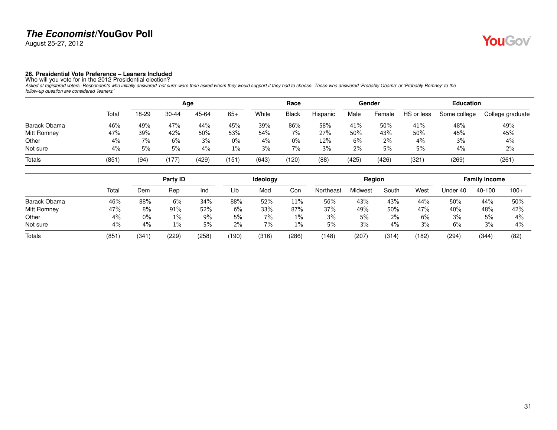August 25-27, 2012

# YouGov®

<span id="page-30-0"></span>**26. Presidential Vote Preference – Leaners Included**<br>Who will you vote for in the 2012 Presidential election?<br>Asked of registered voters. Respondents who initially answered 'not sure' were then asked whom they would suppo

|              |       |       |           | Age   |       |       | Race         |          |       | Gender |            | <b>Education</b> |                  |
|--------------|-------|-------|-----------|-------|-------|-------|--------------|----------|-------|--------|------------|------------------|------------------|
|              | Total | 18-29 | $30 - 44$ | 45-64 | $65+$ | White | <b>Black</b> | Hispanic | Male  | Female | HS or less | Some college     | College graduate |
| Barack Obama | 46%   | 49%   | 47%       | 44%   | 45%   | 39%   | 86%          | 58%      | 41%   | 50%    | 41%        | 48%              | 49%              |
| Mitt Romney  | 47%   | 39%   | 42%       | 50%   | 53%   | 54%   | $7\%$        | 27%      | 50%   | 43%    | 50%        | 45%              | 45%              |
| Other        | 4%    | 7%    | 6%        | 3%    | $0\%$ | 4%    | 0%           | 12%      | 6%    | 2%     | 4%         | 3%               | 4%               |
| Not sure     | 4%    | 5%    | 5%        | 4%    | 1%    | 3%    | 7%           | 3%       | $2\%$ | 5%     | 5%         | 4%               | 2%               |
| Totals       | (851) | (94)  | (177)     | (429) | (151  | (643) | (120)        | (88)     | (425) | (426)  | (321)      | (269)            | (261)            |

|              |       |       | Party ID |       |       | <b>Ideology</b> |       |           | Region  |       |       |          | <b>Family Income</b> |        |
|--------------|-------|-------|----------|-------|-------|-----------------|-------|-----------|---------|-------|-------|----------|----------------------|--------|
|              | Total | Dem   | Rep      | Ind   | Lib   | Mod             | Con   | Northeast | Midwest | South | West  | Under 40 | 40-100               | $100+$ |
| Barack Obama | 46%   | 88%   | 6%       | 34%   | 88%   | 52%             | 11%   | 56%       | 43%     | 43%   | 44%   | 50%      | 44%                  | 50%    |
| Mitt Romney  | 47%   | 8%    | $91\%$   | 52%   | 6%    | 33%             | 87%   | 37%       | 49%     | 50%   | 47%   | 40%      | 48%                  | 42%    |
| Other        | 4%    | $0\%$ | 1%       | 9%    | 5%    | 7%              | 1%    | 3%        | 5%      | $2\%$ | 6%    | 3%       | 5%                   | $4\%$  |
| Not sure     | 4%    | $4\%$ | 1%       | 5%    | 2%    | 7%              | 1%    | 5%        | 3%      | 4%    | 3%    | 6%       | 3%                   | $4\%$  |
| Totals       | (851  | (341  | (229)    | (258) | (190) | (316)           | (286) | (148)     | (207)   | (314) | (182) | (294)    | (344)                | (82)   |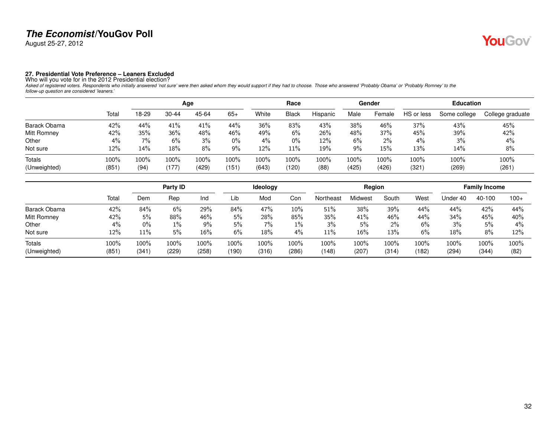August 25-27, 2012

# YouGov®

<span id="page-31-0"></span>**27. Presidential Vote Preference – Leaners Excluded**<br>Who will you vote for in the 2012 Presidential election?<br>Asked of registered voters. Respondents who initially answered 'not sure' were then asked whom they would suppo

|              |       |       |           | Age     |         |       | Race         |          |       | Gender |            | <b>Education</b> |                  |
|--------------|-------|-------|-----------|---------|---------|-------|--------------|----------|-------|--------|------------|------------------|------------------|
|              | Total | 18-29 | $30 - 44$ | 45-64   | $65+$   | White | <b>Black</b> | Hispanic | Male  | Female | HS or less | Some college     | College graduate |
| Barack Obama | 42%   | 44%   | 41%       | 41%     | 44%     | 36%   | 83%          | 43%      | 38%   | 46%    | 37%        | 43%              | 45%              |
| Mitt Romney  | 42%   | 35%   | 36%       | 48%     | 46%     | 49%   | 6%           | 26%      | 48%   | 37%    | 45%        | 39%              | 42%              |
| Other        | $4\%$ | 7%    | 6%        | 3%      | $0\%$   | 4%    | $0\%$        | 12%      | 6%    | $2\%$  | 4%         | 3%               | 4%               |
| Not sure     | 12%   | 14%   | 18%       | 8%      | 9%      | 12%   | 11%          | 19%      | 9%    | 15%    | 13%        | 14%              | 8%               |
| Totals       | 100%  | 100%  | 100%      | $100\%$ | $100\%$ | 100%  | 100%         | 100%     | 100%  | 100%   | 100%       | 100%             | 100%             |
| (Unweighted) | (851) | (94)  | (177)     | (429)   | (151)   | (643) | (120)        | (88)     | (425) | (426)  | (321)      | (269)            | (261)            |

|                    |       |       | Party ID |        |       | Ideology |        |           | Region          |       |       |          | <b>Family Income</b> |         |
|--------------------|-------|-------|----------|--------|-------|----------|--------|-----------|-----------------|-------|-------|----------|----------------------|---------|
|                    | Total | Dem   | Rep      | Ind    | ∟ib   | Mod      | Con    | Northeast | <i>A</i> idwest | South | West  | Under 40 | 40-100               | $100+$  |
| Barack Obama       | 42%   | 84%   | 6%       | 29%    | 84%   | 47%      | $10\%$ | 51%       | 38%             | 39%   | 44%   | 44%      | 42%                  | 44%     |
| <b>Mitt Romney</b> | 42%   | 5%    | 88%      | 46%    | 5%    | 28%      | 85%    | 35%       | 41%             | 46%   | 44%   | 34%      | 45%                  | 40%     |
| Other              | 4%    | $0\%$ | 1%       | 9%     | 5%    | $7\%$    | $1\%$  | 3%        | 5%              | $2\%$ | 6%    | 3%       | 5%                   | 4%      |
| Not sure           | 12%   | 11%   | 5%       | $16\%$ | $6\%$ | 18%      | 4%     | 11%       | 16%             | 13%   | 6%    | 18%      | 8%                   | 12%     |
| Totals             | 100%  | 100%  | 100%     | 100%   | 100%  | $100\%$  | 100%   | 100%      | 100%            | 100%  | 100%  | $100\%$  | 100%                 | $100\%$ |
| (Unweighted)       | (851  | (341  | (229)    | (258)  | (190) | (316)    | (286)  | (148)     | (207)           | (314) | (182) | (294)    | (344)                | (82)    |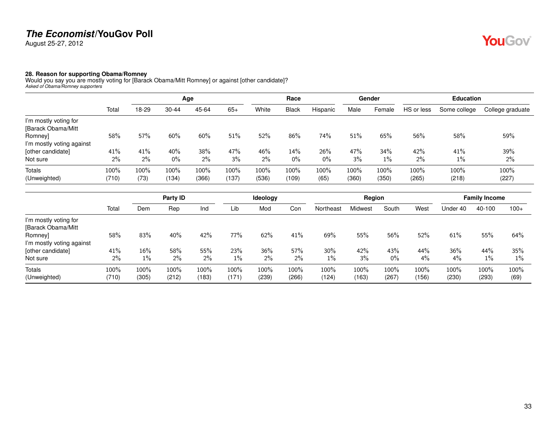August 25-27, 2012

# YouGov®

### <span id="page-32-0"></span>**28. Reason for supporting Obama/Romney**

Would you say you are mostly voting for [Barack Obama/Mitt Romney] or against [other candidate]? *Asked of Obama/Romney supporters*

|                           |       |       |       | Age   |       |       | Race         |          |       | Gender |            | <b>Education</b> |                  |
|---------------------------|-------|-------|-------|-------|-------|-------|--------------|----------|-------|--------|------------|------------------|------------------|
|                           | Total | 18-29 | 30-44 | 45-64 | $65+$ | White | <b>Black</b> | Hispanic | Male  | Female | HS or less | Some college     | College graduate |
| I'm mostly voting for     |       |       |       |       |       |       |              |          |       |        |            |                  |                  |
| [Barack Obama/Mitt        |       |       |       |       |       |       |              |          |       |        |            |                  |                  |
| Romney]                   | 58%   | 57%   | 60%   | 60%   | 51%   | 52%   | 86%          | 74%      | 51%   | 65%    | 56%        | 58%              | 59%              |
| I'm mostly voting against |       |       |       |       |       |       |              |          |       |        |            |                  |                  |
| [other candidate]         | 41%   | 41%   | 40%   | 38%   | 47%   | 46%   | 14%          | 26%      | 47%   | 34%    | 42%        | 41%              | 39%              |
| Not sure                  | 2%    | 2%    | $0\%$ | 2%    | 3%    | $2\%$ | $0\%$        | $0\%$    | 3%    | $1\%$  | $2\%$      | $1\%$            | 2%               |
| <b>Totals</b>             | 100%  | 100%  | 100%  | 100%  | 100%  | 100%  | 100%         | 100%     | 100%  | 100%   | 100%       | 100%             | 100%             |
| (Unweighted)              | (710) | (73)  | (134) | (366) | (137) | (536) | (109)        | (65)     | (360) | (350)  | (265)      | (218)            | (227)            |

|                           |       |       | Party ID |       |       | Ideology |       |           | Region  |       |       |          | <b>Family Income</b> |        |
|---------------------------|-------|-------|----------|-------|-------|----------|-------|-----------|---------|-------|-------|----------|----------------------|--------|
|                           | Total | Dem   | Rep      | Ind   | Lib   | Mod      | Con   | Northeast | Midwest | South | West  | Under 40 | 40-100               | $100+$ |
| I'm mostly voting for     |       |       |          |       |       |          |       |           |         |       |       |          |                      |        |
| [Barack Obama/Mitt        |       |       |          |       |       |          |       |           |         |       |       |          |                      |        |
| Romney]                   | 58%   | 83%   | 40%      | 42%   | 77%   | 62%      | 41%   | 69%       | 55%     | 56%   | 52%   | 61%      | 55%                  | 64%    |
| I'm mostly voting against |       |       |          |       |       |          |       |           |         |       |       |          |                      |        |
| [other candidate]         | 41%   | 16%   | 58%      | 55%   | 23%   | 36%      | 57%   | 30%       | 42%     | 43%   | 44%   | 36%      | 44%                  | 35%    |
| Not sure                  | $2\%$ | $1\%$ | $2\%$    | $2\%$ | $1\%$ | $2\%$    | $2\%$ | $1\%$     | 3%      | $0\%$ | 4%    | 4%       | $1\%$                | $1\%$  |
| <b>Totals</b>             | 100%  | 100%  | 100%     | 100%  | 100%  | 100%     | 100%  | 100%      | 100%    | 100%  | 100%  | 100%     | 100%                 | 100%   |
| (Unweighted)              | (710) | (305) | (212)    | (183) | (171) | (239)    | (266) | (124)     | (163)   | (267) | (156) | (230)    | (293)                | (69)   |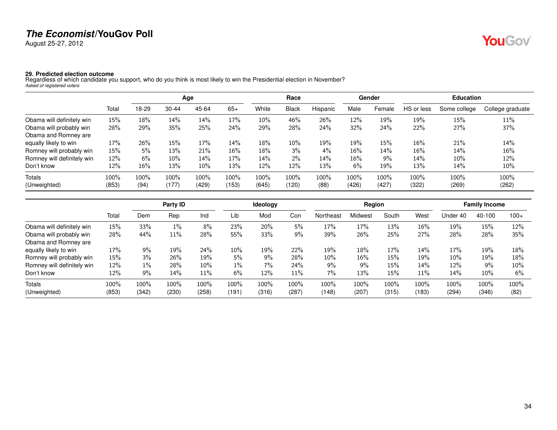August 25-27, 2012

# YouGov®

<span id="page-33-0"></span>**29. Predicted election outcome** Regardless of which candidate you support, who do you think is most likely to win the Presidential election in November? *Asked of registered voters*

|                            |       |         |       | Age   |       |       | Race         |          |        | Gender |            | <b>Education</b> |                  |
|----------------------------|-------|---------|-------|-------|-------|-------|--------------|----------|--------|--------|------------|------------------|------------------|
|                            | Total | 18-29   | 30-44 | 45-64 | $65+$ | White | <b>Black</b> | Hispanic | Male   | Female | HS or less | Some college     | College graduate |
| Obama will definitely win  | 15%   | 18%     | 14%   | 14%   | 17%   | 10%   | 46%          | 26%      | 12%    | 19%    | 19%        | 15%              | 11%              |
| Obama will probably win    | 28%   | 29%     | 35%   | 25%   | 24%   | 29%   | 28%          | 24%      | 32%    | 24%    | 22%        | 27%              | 37%              |
| Obama and Romney are       |       |         |       |       |       |       |              |          |        |        |            |                  |                  |
| equally likely to win      | 17%   | 26%     | 15%   | 17%   | 14%   | 18%   | $10\%$       | 19%      | 19%    | 15%    | 16%        | 21%              | 14%              |
| Romney will probably win   | 15%   | 5%      | 13%   | 21%   | 16%   | 18%   | $3\%$        | 4%       | $16\%$ | 14%    | 16%        | 14%              | 16%              |
| Romney will definitely win | 12%   | 6%      | 10%   | 14%   | 17%   | 14%   | $2\%$        | 14%      | 16%    | $9\%$  | 14%        | $10\%$           | 12%              |
| Don't know                 | 12%   | 16%     | 13%   | 10%   | 13%   | 12%   | 12%          | 13%      | 6%     | 19%    | 13%        | 14%              | $10\%$           |
| Totals                     | 100%  | $100\%$ | 100%  | 100%  | 100%  | 100%  | 100%         | 100%     | 100%   | 100%   | 100%       | 100%             | 100%             |
| (Unweighted)               | (853) | (94)    | (177) | (429) | (153) | (645) | (120)        | (88)     | (426)  | (427)  | (322)      | (269)            | (262)            |

|                            |       |       | Party ID |       |         | <b>Ideology</b> |       |           | Region  |       |       |          | <b>Family Income</b> |        |
|----------------------------|-------|-------|----------|-------|---------|-----------------|-------|-----------|---------|-------|-------|----------|----------------------|--------|
|                            | Tota  | Dem   | Rep      | Ind   | Lib     | Mod             | Con   | Northeast | Midwest | South | West  | Under 40 | 40-100               | $100+$ |
| Obama will definitely win  | 15%   | 33%   | $1\%$    | 8%    | 23%     | 20%             | 5%    | 17%       | 17%     | 13%   | 16%   | 19%      | 15%                  | 12%    |
| Obama will probably win    | 28%   | 44%   | 11%      | 28%   | 55%     | 33%             | 9%    | 39%       | 26%     | 25%   | 27%   | 28%      | 28%                  | 35%    |
| Obama and Romney are       |       |       |          |       |         |                 |       |           |         |       |       |          |                      |        |
| equally likely to win      | 17%   | 9%    | 19%      | 24%   | 10%     | 19%             | 22%   | 19%       | 18%     | 17%   | 14%   | 17%      | 19%                  | 18%    |
| Romney will probably win   | 15%   | 3%    | 26%      | 19%   | 5%      | 9%              | 28%   | 10%       | 16%     | 15%   | 19%   | 10%      | 19%                  | 18%    |
| Romney will definitely win | 12%   | $1\%$ | 28%      | 10%   | $1\%$   | 7%              | 24%   | 9%        | 9%      | 15%   | 14%   | 12%      | 9%                   | 10%    |
| Don't know                 | 12%   | 9%    | 14%      | 11%   | 6%      | 12%             | 11%   | 7%        | 13%     | 15%   | 11%   | 14%      | 10%                  | 6%     |
| Totals                     | 100%  | 100%  | 100%     | 100%  | $100\%$ | 100%            | 100%  | 100%      | 100%    | 100%  | 100%  | 100%     | 100%                 | 100%   |
| (Unweighted)               | (853) | (342) | (230)    | (258) | (191    | (316)           | (287) | (148)     | (207)   | (315) | (183) | (294)    | (346)                | (82)   |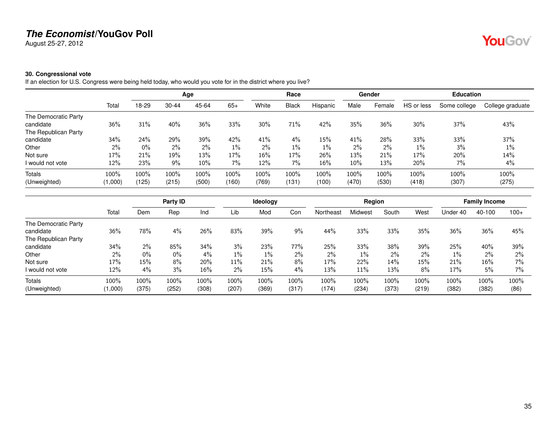August 25-27, 2012

### <span id="page-34-0"></span>**30. Congressional vote**

If an election for U.S. Congress were being held today, who would you vote for in the district where you live?

|                      |         |       |           | Age   |       |       | Race         |          |        | Gender |            | <b>Education</b> |                  |
|----------------------|---------|-------|-----------|-------|-------|-------|--------------|----------|--------|--------|------------|------------------|------------------|
|                      | Total   | 18-29 | $30 - 44$ | 45-64 | $65+$ | White | <b>Black</b> | Hispanic | Male   | Female | HS or less | Some college     | College graduate |
| The Democratic Party |         |       |           |       |       |       |              |          |        |        |            |                  |                  |
| candidate            | 36%     | 31%   | 40%       | 36%   | 33%   | 30%   | 71%          | 42%      | 35%    | 36%    | 30%        | 37%              | 43%              |
| The Republican Party |         |       |           |       |       |       |              |          |        |        |            |                  |                  |
| candidate            | 34%     | 24%   | 29%       | 39%   | 42%   | 41%   | 4%           | 15%      | 41%    | 28%    | 33%        | 33%              | 37%              |
| Other                | $2\%$   | $0\%$ | 2%        | $2\%$ | $1\%$ | $2\%$ | $1\%$        | $1\%$    | $2\%$  | 2%     | $1\%$      | 3%               | $1\%$            |
| Not sure             | 17%     | 21%   | 19%       | 13%   | 17%   | 16%   | 17%          | 26%      | 13%    | 21%    | 17%        | 20%              | 14%              |
| I would not vote     | 12%     | 23%   | 9%        | 10%   | $7\%$ | 12%   | 7%           | 16%      | $10\%$ | 13%    | 20%        | 7%               | 4%               |
| Totals               | $100\%$ | 100%  | 100%      | 100%  | 100%  | 100%  | 100%         | 100%     | 100%   | 100%   | 100%       | 100%             | 100%             |
| (Unweighted)         | (1,000) | (125) | (215)     | (500) | (160) | (769) | (131)        | (100)    | (470)  | (530)  | (418)      | (307)            | (275)            |

|                      |         |       | Party ID |       |       | Ideology |       |           | Region  |       |       |          | <b>Family Income</b> |        |
|----------------------|---------|-------|----------|-------|-------|----------|-------|-----------|---------|-------|-------|----------|----------------------|--------|
|                      | Total   | Dem   | Rep      | Ind   | Lib   | Mod      | Con   | Northeast | Midwest | South | West  | Under 40 | 40-100               | $100+$ |
| The Democratic Party |         |       |          |       |       |          |       |           |         |       |       |          |                      |        |
| candidate            | 36%     | 78%   | 4%       | 26%   | 83%   | 39%      | 9%    | 44%       | 33%     | 33%   | 35%   | 36%      | 36%                  | 45%    |
| The Republican Party |         |       |          |       |       |          |       |           |         |       |       |          |                      |        |
| candidate            | 34%     | 2%    | 85%      | 34%   | 3%    | 23%      | 77%   | 25%       | 33%     | 38%   | 39%   | 25%      | 40%                  | 39%    |
| Other                | 2%      | $0\%$ | $0\%$    | $4\%$ | $1\%$ | $1\%$    | $2\%$ | $2\%$     | $1\%$   | 2%    | $2\%$ | $1\%$    | 2%                   | $2\%$  |
| Not sure             | 17%     | 15%   | 8%       | 20%   | 11%   | 21%      | 8%    | 17%       | 22%     | 14%   | 15%   | 21%      | $16\%$               | 7%     |
| I would not vote     | 12%     | 4%    | 3%       | 16%   | 2%    | 15%      | 4%    | 13%       | 11%     | 13%   | 8%    | 17%      | 5%                   | $7\%$  |
| Totals               | 100%    | 100%  | 100%     | 100%  | 100%  | 100%     | 100%  | 100%      | 100%    | 100%  | 100%  | 100%     | 100%                 | 100%   |
| (Unweighted)         | (1,000) | (375) | (252)    | (308) | (207) | (369)    | (317) | (174)     | (234)   | (373) | (219) | (382)    | (382)                | (86)   |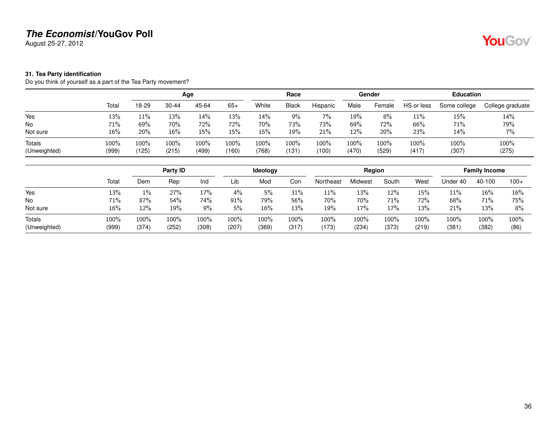August 25-27, 2012

### <span id="page-35-0"></span>**31. Tea Party identification**

Do you think of yourself as a part of the Tea Party movement?

|                        |               |               |               | Age           |               |               | Race             |               |               | Gender        |               | <b>Education</b> |                  |
|------------------------|---------------|---------------|---------------|---------------|---------------|---------------|------------------|---------------|---------------|---------------|---------------|------------------|------------------|
|                        | Total         | 18-29         | $30 - 44$     | 45-64         | $65+$         | White         | <b>Black</b>     | Hispanic      | Male          | Female        | HS or less    | Some college     | College graduate |
| Yes                    | 13%           | 11%           | 13%           | 14%           | 13%           | 14%           | 9%               | 7%            | 19%           | 8%            | 11%           | 15%              | 14%              |
| <b>No</b>              | 71%           | 69%           | 70%           | 72%           | 72%           | 70%           | 73%              | 73%           | 69%           | 72%           | 66%           | 71%              | 79%              |
| Not sure               | 16%           | 20%           | 16%           | 15%           | 15%           | 15%           | 19%              | 21%           | 12%           | 20%           | 23%           | 14%              | 7%               |
| Totals<br>(Unweighted) | 100%<br>(999) | 100%<br>(125) | 100%<br>(215) | 100%<br>(499) | 100%<br>(160) | 100%<br>(768) | $100\%$<br>(131) | 100%<br>(100) | 100%<br>(470) | 100%<br>(529) | 100%<br>(417) | 100%<br>(307)    | 100%<br>(275)    |

|                        |               |               | Party ID      |               |               | <b>Ideology</b> |               |               | Region          |               |               |               | <b>Family Income</b> |              |
|------------------------|---------------|---------------|---------------|---------------|---------------|-----------------|---------------|---------------|-----------------|---------------|---------------|---------------|----------------------|--------------|
|                        | Total         | Dem           | Rep           | Ind           | Lib           | Mod             | Con           | Northeast     | <i>A</i> idwest | South         | West          | Jnder 40      | 40-100               | $100+$       |
| Yes                    | 13%           | $1\%$         | 27%           | 17%           | 4%            | 5%              | 31%           | 11%           | 13%             | 12%           | 15%           | 11%           | 16%                  | 16%          |
| No                     | 71%           | 87%           | 54%           | 74%           | 91%           | 79%             | 56%           | 70%           | 70%             | 71%           | 72%           | 68%           | 71%                  | 75%          |
| Not sure               | 16%           | 12%           | 19%           | 9%            | 5%            | 16%             | 13%           | 19%           | 17%             | 17%           | 13%           | 21%           | 13%                  | 8%           |
| Totals<br>(Unweighted) | 100%<br>(999) | 100%<br>(374) | 100%<br>(252) | 100%<br>(308) | 100%<br>(207) | 100%<br>(369)   | 100%<br>(317) | 100%<br>(173) | 100%<br>(234)   | 100%<br>(373) | 100%<br>(219) | 100%<br>(381) | 100%<br>(382)        | 100%<br>(86) |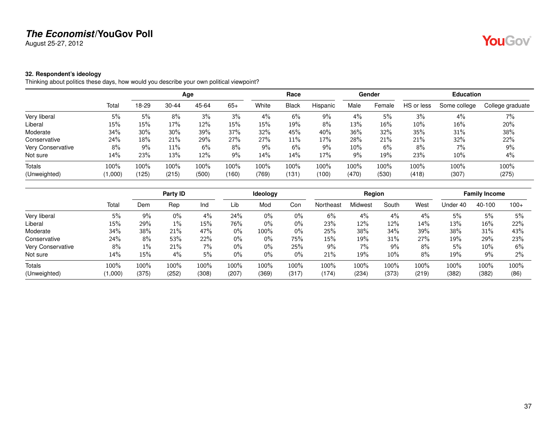August 25-27, 2012

# YouGov®

### <span id="page-36-0"></span>**32. Respondent's ideology**

Thinking about politics these days, how would you describe your own political viewpoint?

|                   |         |       |           | Age   |       |       | Race         |          |       | Gender |            | <b>Education</b> |                  |
|-------------------|---------|-------|-----------|-------|-------|-------|--------------|----------|-------|--------|------------|------------------|------------------|
|                   | Total   | 18-29 | $30 - 44$ | 45-64 | $65+$ | White | <b>Black</b> | Hispanic | Male  | Female | HS or less | Some college     | College graduate |
| Very liberal      | 5%      | 5%    | 8%        | 3%    | 3%    | 4%    | 6%           | 9%       | 4%    | 5%     | 3%         | 4%               | 7%               |
| Liberal           | 15%     | 15%   | 17%       | 12%   | 15%   | 15%   | 19%          | 8%       | 13%   | 16%    | $10\%$     | 16%              | 20%              |
| Moderate          | 34%     | 30%   | 30%       | 39%   | 37%   | 32%   | 45%          | 40%      | 36%   | 32%    | 35%        | 31%              | 38%              |
| Conservative      | 24%     | 18%   | 21%       | 29%   | 27%   | 27%   | 11%          | 17%      | 28%   | 21%    | 21%        | 32%              | 22%              |
| Very Conservative | 8%      | $9\%$ | 11%       | 6%    | 8%    | 9%    | 6%           | 9%       | 10%   | 6%     | 8%         | $7\%$            | 9%               |
| Not sure          | 14%     | 23%   | 13%       | 12%   | 9%    | 14%   | 14%          | 17%      | 9%    | 19%    | 23%        | 10%              | 4%               |
| <b>Totals</b>     | 100%    | 100%  | 100%      | 100%  | 100%  | 100%  | 100%         | 100%     | 100%  | 100%   | 100%       | 100%             | 100%             |
| (Unweighted)      | (000, 1 | (125) | (215)     | (500) | (160) | (769) | (131         | (100)    | (470) | (530)  | (418)      | (307)            | (275)            |

|                          |         |       | Party ID |       |       | Ideology |       |           | Region  |       |       |          | <b>Family Income</b> |        |
|--------------------------|---------|-------|----------|-------|-------|----------|-------|-----------|---------|-------|-------|----------|----------------------|--------|
|                          | Total   | Dem   | Rep      | Ind   | Lib   | Mod      | Con   | Northeast | Midwest | South | West  | Under 40 | 40-100               | $100+$ |
| Very liberal             | 5%      | $9\%$ | $0\%$    | $4\%$ | 24%   | $0\%$    | 0%    | 6%        | 4%      | 4%    | 4%    | 5%       | 5%                   | 5%     |
| Liberal                  | 15%     | 29%   | $1\%$    | 15%   | 76%   | 0%       | 0%    | 23%       | 12%     | 12%   | 14%   | 13%      | 16%                  | 22%    |
| Moderate                 | 34%     | 38%   | 21%      | 47%   | 0%    | 100%     | 0%    | 25%       | 38%     | 34%   | 39%   | 38%      | 31%                  | 43%    |
| Conservative             | 24%     | 8%    | 53%      | 22%   | $0\%$ | $0\%$    | 75%   | 15%       | 19%     | 31%   | 27%   | 19%      | 29%                  | 23%    |
| <b>Very Conservative</b> | 8%      | $1\%$ | 21%      | $7\%$ | $0\%$ | $0\%$    | 25%   | 9%        | 7%      | 9%    | 8%    | 5%       | $10\%$               | 6%     |
| Not sure                 | 14%     | 15%   | 4%       | 5%    | $0\%$ | $0\%$    | 0%    | 21%       | 19%     | 10%   | 8%    | 19%      | 9%                   | 2%     |
| Totals                   | 100%    | 100%  | 100%     | 100%  | 100%  | 100%     | 100%  | 100%      | 100%    | 100%  | 100%  | 100%     | 100%                 | 100%   |
| (Unweighted)             | (1,000) | (375) | (252)    | (308) | (207) | (369)    | (317) | (174)     | (234)   | (373) | (219) | (382)    | (382)                | (86)   |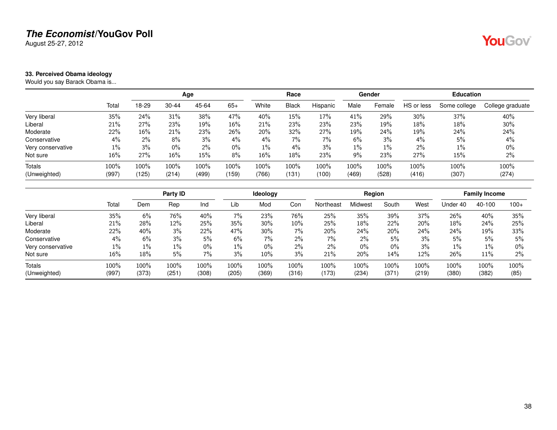August 25-27, 2012

### <span id="page-37-0"></span>**33. Perceived Obama ideology**

Would you say Barack Obama is...

|                   |        |         |       | Age    |       |         | Race         |          |       | Gender |            | <b>Education</b> |                  |
|-------------------|--------|---------|-------|--------|-------|---------|--------------|----------|-------|--------|------------|------------------|------------------|
|                   | Total  | 18-29   | 30-44 | 45-64  | $65+$ | White   | <b>Black</b> | Hispanic | Male  | Female | HS or less | Some college     | College graduate |
| Very liberal      | 35%    | 24%     | 31%   | 38%    | 47%   | 40%     | 15%          | 17%      | 41%   | 29%    | 30%        | 37%              | 40%              |
| Liberal           | 21%    | 27%     | 23%   | 19%    | 16%   | 21%     | 23%          | 23%      | 23%   | 19%    | 18%        | 18%              | 30%              |
| Moderate          | 22%    | 16%     | 21%   | 23%    | 26%   | 20%     | 32%          | 27%      | 19%   | 24%    | 19%        | 24%              | 24%              |
| Conservative      | 4%     | $2\%$   | 8%    | 3%     | $4\%$ | 4%      | 7%           | 7%       | 6%    | 3%     | 4%         | 5%               | $4\%$            |
| Very conservative | $1\%$  | 3%      | $0\%$ | 2%     | $0\%$ | $1\%$   | $4\%$        | 3%       | $1\%$ | $1\%$  | 2%         | $1\%$            | $0\%$            |
| Not sure          | $16\%$ | 27%     | 16%   | $15\%$ | 8%    | 16%     | 18%          | 23%      | 9%    | 23%    | 27%        | 15%              | 2%               |
| Totals            | 100%   | $100\%$ | 100%  | 100%   | 100%  | $100\%$ | 100%         | 100%     | 100%  | 100%   | 100%       | 100%             | 100%             |
| (Unweighted)      | (997)  | (125)   | (214) | (499)  | (159) | (766)   | (131         | (100)    | (469) | (528)  | (416)      | (307)            | (274)            |

|                   |        |       | Party ID |       |       | <b>Ideology</b> |       |           | Region         |       |       |          | <b>Family Income</b> |        |
|-------------------|--------|-------|----------|-------|-------|-----------------|-------|-----------|----------------|-------|-------|----------|----------------------|--------|
|                   | Total  | Dem   | Rep      | Ind   | Lib   | Mod             | Con   | Northeast | <b>Aidwest</b> | South | West  | Under 40 | 40-100               | $100+$ |
| Very liberal      | 35%    | 6%    | 76%      | 40%   | 7%    | 23%             | 76%   | 25%       | 35%            | 39%   | 37%   | 26%      | 40%                  | 35%    |
| Liberal           | 21%    | 28%   | 12%      | 25%   | 35%   | 30%             | 10%   | 25%       | 18%            | 22%   | 20%   | 18%      | 24%                  | 25%    |
| Moderate          | 22%    | 40%   | 3%       | 22%   | 47%   | $30\%$          | 7%    | 20%       | 24%            | 20%   | 24%   | 24%      | 19%                  | 33%    |
| Conservative      | 4%     | 6%    | 3%       | 5%    | 6%    | 7%              | 2%    | 7%        | 2%             | 5%    | 3%    | 5%       | 5%                   | 5%     |
| Very conservative | $1\%$  | 1%    | 1%       | $0\%$ | 1%    | 0%              | 2%    | $2\%$     | 0%             | $0\%$ | 3%    | $1\%$    | $1\%$                | $0\%$  |
| Not sure          | $16\%$ | 18%   | 5%       | 7%    | 3%    | 10%             | 3%    | 21%       | 20%            | 14%   | 12%   | 26%      | 11%                  | 2%     |
| <b>Totals</b>     | 100%   | 100%  | 100%     | 100%  | 100%  | 100%            | 100%  | 100%      | 100%           | 100%  | 100%  | 100%     | 100%                 | 100%   |
| (Unweighted)      | (997)  | (373) | (251)    | (308) | (205) | (369)           | (316) | (173)     | (234)          | (371) | (219) | (380)    | (382)                | (85)   |

38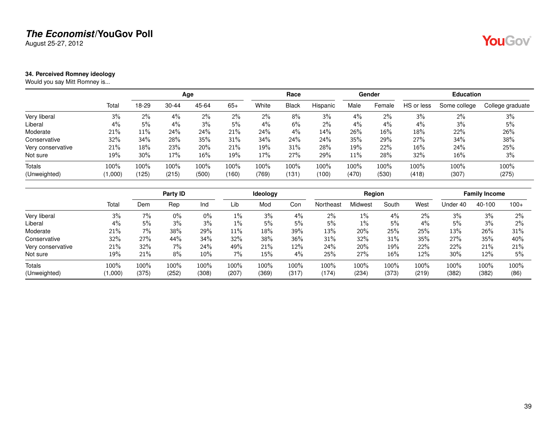August 25-27, 2012

### <span id="page-38-0"></span>**34. Perceived Romney ideology**

Would you say Mitt Romney is...

|                   |         |       |           | Age   |       |       | Race         |          |       | Gender |            | <b>Education</b> |                  |
|-------------------|---------|-------|-----------|-------|-------|-------|--------------|----------|-------|--------|------------|------------------|------------------|
|                   | Total   | 18-29 | $30 - 44$ | 45-64 | $65+$ | White | <b>Black</b> | Hispanic | Male  | Female | HS or less | Some college     | College graduate |
| Very liberal      | 3%      | $2\%$ | 4%        | 2%    | 2%    | 2%    | 8%           | 3%       | $4\%$ | $2\%$  | 3%         | 2%               | 3%               |
| Liberal           | 4%      | 5%    | 4%        | 3%    | 5%    | 4%    | 6%           | 2%       | $4\%$ | 4%     | 4%         | 3%               | 5%               |
| Moderate          | 21%     | 11%   | 24%       | 24%   | 21%   | 24%   | 4%           | 14%      | 26%   | 16%    | 18%        | 22%              | 26%              |
| Conservative      | 32%     | 34%   | 28%       | 35%   | 31%   | 34%   | 24%          | 24%      | 35%   | 29%    | 27%        | 34%              | 38%              |
| Very conservative | 21%     | 18%   | 23%       | 20%   | 21%   | 19%   | 31%          | 28%      | 19%   | 22%    | 16%        | 24%              | 25%              |
| Not sure          | 19%     | 30%   | 17%       | 16%   | 19%   | 17%   | 27%          | 29%      | 11%   | 28%    | 32%        | 16%              | 3%               |
| Totals            | 100%    | 100%  | 100%      | 100%  | 100%  | 100%  | 100%         | 100%     | 100%  | 100%   | 100%       | 100%             | 100%             |
| (Unweighted)      | (1,000) | (125) | (215)     | (500) | (160) | (769) | (131)        | (100)    | (470) | (530)  | (418)      | (307)            | (275)            |

|                   |         |       | Party ID |       |       | Ideology |       |           | Region  |       |       |          | <b>Family Income</b> |        |
|-------------------|---------|-------|----------|-------|-------|----------|-------|-----------|---------|-------|-------|----------|----------------------|--------|
|                   | Total   | Dem   | Rep      | Ind   | Lib   | Mod      | Con   | Northeast | Midwest | South | West  | Under 40 | 40-100               | $100+$ |
| Very liberal      | 3%      | 7%    | $0\%$    | 0%    | 1%    | 3%       | 4%    | 2%        | $1\%$   | 4%    | $2\%$ | 3%       | 3%                   | $2\%$  |
| Liberal           | 4%      | 5%    | 3%       | 3%    | $1\%$ | 5%       | 5%    | 5%        | $1\%$   | 5%    | 4%    | 5%       | 3%                   | $2\%$  |
| Moderate          | 21%     | $7\%$ | 38%      | 29%   | 11%   | 18%      | 39%   | 13%       | 20%     | 25%   | 25%   | 13%      | 26%                  | 31%    |
| Conservative      | 32%     | 27%   | 44%      | 34%   | 32%   | 38%      | 36%   | 31%       | 32%     | 31%   | 35%   | 27%      | 35%                  | 40%    |
| Very conservative | 21%     | 32%   | 7%       | 24%   | 49%   | 21%      | 12%   | 24%       | 20%     | 19%   | 22%   | 22%      | 21%                  | 21%    |
| Not sure          | 19%     | 21%   | 8%       | 10%   | 7%    | 15%      | 4%    | 25%       | 27%     | 16%   | 12%   | 30%      | 12%                  | 5%     |
| <b>Totals</b>     | 100%    | 100%  | 100%     | 100%  | 100%  | 100%     | 100%  | 100%      | 100%    | 100%  | 100%  | 100%     | 100%                 | 100%   |
| (Unweighted)      | (1,000) | (375) | (252)    | (308) | (207) | (369)    | (317) | (174)     | (234)   | (373) | (219) | (382)    | (382)                | (86)   |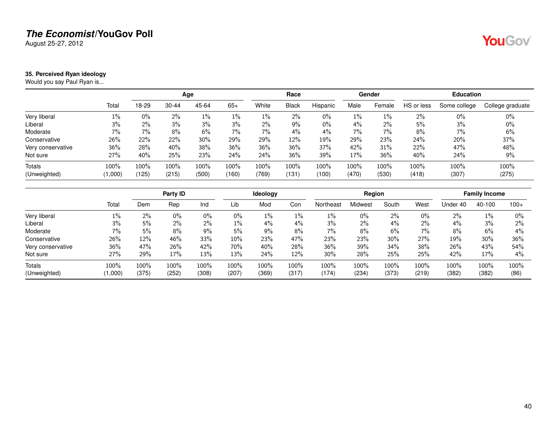August 25-27, 2012

### <span id="page-39-0"></span>**35. Perceived Ryan ideology**

Would you say Paul Ryan is...

|                   |         |         |           | Age   |       |       | Race         |          |         | Gender |            | <b>Education</b> |                  |
|-------------------|---------|---------|-----------|-------|-------|-------|--------------|----------|---------|--------|------------|------------------|------------------|
|                   | Total   | 18-29   | $30 - 44$ | 45-64 | $65+$ | White | <b>Black</b> | Hispanic | Male    | Female | HS or less | Some college     | College graduate |
| Very liberal      | $1\%$   | $0\%$   | 2%        | $1\%$ | $1\%$ | $1\%$ | $2\%$        | $0\%$    | $1\%$   | $1\%$  | $2\%$      | $0\%$            | $0\%$            |
| Liberal           | 3%      | $2\%$   | 3%        | 3%    | $3\%$ | 2%    | $9\%$        | $0\%$    | $4\%$   | $2\%$  | 5%         | 3%               | $0\%$            |
| Moderate          | 7%      | 7%      | 8%        | 6%    | $7\%$ | 7%    | $4\%$        | 4%       | $7\%$   | 7%     | 8%         | 7%               | 6%               |
| Conservative      | 26%     | 22%     | 22%       | 30%   | 29%   | 29%   | 12%          | 19%      | 29%     | 23%    | 24%        | 20%              | 37%              |
| Very conservative | 36%     | 28%     | 40%       | 38%   | 36%   | 36%   | 36%          | 37%      | 42%     | 31%    | 22%        | 47%              | 48%              |
| Not sure          | 27%     | 40%     | 25%       | 23%   | 24%   | 24%   | 36%          | 39%      | 17%     | 36%    | 40%        | 24%              | 9%               |
| <b>Totals</b>     | 100%    | $100\%$ | 100%      | 100%  | 100%  | 100%  | $100\%$      | 100%     | $100\%$ | 100%   | 100%       | 100%             | 100%             |
| (Unweighted)      | (1,000) | (125)   | (215)     | (500) | (160) | (769) | (131)        | (100)    | (470)   | (530)  | (418)      | (307)            | (275)            |

|                   |         |       | Party ID |       |       | <b>Ideology</b> |       |           | Region  |       |       |          | <b>Family Income</b> |        |
|-------------------|---------|-------|----------|-------|-------|-----------------|-------|-----------|---------|-------|-------|----------|----------------------|--------|
|                   | Total   | Dem   | Rep      | Ind   | Lib   | Mod             | Con   | Northeast | Midwest | South | West  | Under 40 | 40-100               | $100+$ |
| Very liberal      | $1\%$   | 2%    | $0\%$    | $0\%$ | $0\%$ | 1%              | 1%    | $1\%$     | 0%      | 2%    | $0\%$ | $2\%$    | 1%                   | 0%     |
| Liberal           | 3%      | 5%    | 2%       | 2%    | $1\%$ | 4%              | 4%    | 3%        | 2%      | 4%    | 2%    | $4\%$    | 3%                   | 2%     |
| Moderate          | 7%      | 5%    | 8%       | $9\%$ | 5%    | $9\%$           | 8%    | $7\%$     | 8%      | 6%    | $7\%$ | 8%       | 6%                   | 4%     |
| Conservative      | 26%     | 12%   | 46%      | 33%   | 10%   | 23%             | 47%   | 23%       | 23%     | 30%   | 27%   | 19%      | 30%                  | 36%    |
| Very conservative | 36%     | 47%   | 26%      | 42%   | 70%   | 40%             | 28%   | 36%       | 39%     | 34%   | 38%   | 26%      | 43%                  | 54%    |
| Not sure          | 27%     | 29%   | 17%      | 13%   | 13%   | 24%             | 12%   | $30\%$    | 28%     | 25%   | 25%   | 42%      | 17%                  | 4%     |
| <b>Totals</b>     | 100%    | 100%  | 100%     | 100%  | 100%  | 100%            | 100%  | 100%      | 100%    | 100%  | 100%  | $100\%$  | 100%                 | 100%   |
| (Unweighted)      | (1,000) | (375) | (252)    | (308) | (207) | (369)           | (317) | (174)     | (234)   | (373) | (219) | (382)    | (382)                | (86)   |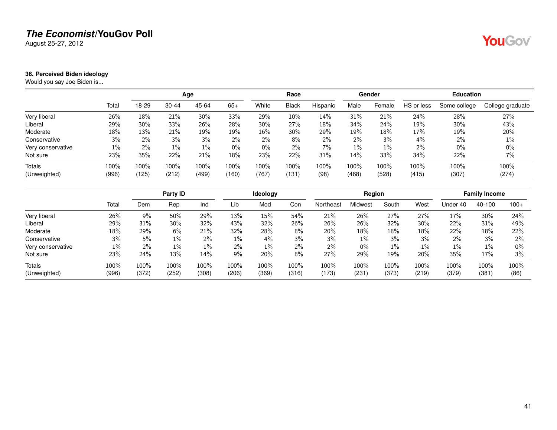August 25-27, 2012

### <span id="page-40-0"></span>**36. Perceived Biden ideology**

Would you say Joe Biden is...

|                   |       |       |           | Age   |       |        | Race         |          |       | Gender |            | <b>Education</b> |                  |
|-------------------|-------|-------|-----------|-------|-------|--------|--------------|----------|-------|--------|------------|------------------|------------------|
|                   | Total | 18-29 | $30 - 44$ | 45-64 | $65+$ | White  | <b>Black</b> | Hispanic | Male  | Female | HS or less | Some college     | College graduate |
| Very liberal      | 26%   | 18%   | 21%       | 30%   | 33%   | 29%    | 10%          | 14%      | 31%   | 21%    | 24%        | 28%              | 27%              |
| Liberal           | 29%   | 30%   | 33%       | 26%   | 28%   | $30\%$ | 27%          | 18%      | 34%   | 24%    | 19%        | 30%              | 43%              |
| Moderate          | 18%   | 13%   | 21%       | 19%   | 19%   | 16%    | 30%          | 29%      | 19%   | 18%    | 17%        | 19%              | 20%              |
| Conservative      | 3%    | $2\%$ | 3%        | 3%    | $2\%$ | $2\%$  | 8%           | $2\%$    | 2%    | 3%     | 4%         | 2%               | $1\%$            |
| Very conservative | $1\%$ | $2\%$ | $1\%$     | $1\%$ | $0\%$ | $0\%$  | 2%           | $7\%$    | $1\%$ | $1\%$  | 2%         | $0\%$            | $0\%$            |
| Not sure          | 23%   | 35%   | 22%       | 21%   | 18%   | 23%    | 22%          | 31%      | 14%   | 33%    | 34%        | 22%              | $7\%$            |
| <b>Totals</b>     | 100%  | 100%  | 100%      | 100%  | 100%  | 100%   | 100%         | 100%     | 100%  | 100%   | 100%       | 100%             | 100%             |
| (Unweighted)      | (996) | (125) | (212)     | (499) | (160) | (767)  | (131         | (98)     | (468) | (528)  | (415)      | (307)            | (274)            |

|                   |       |       | Party ID |       |       | Ideology |       |           | Region  |       |        |          | <b>Family Income</b> |        |
|-------------------|-------|-------|----------|-------|-------|----------|-------|-----------|---------|-------|--------|----------|----------------------|--------|
|                   | Total | Dem   | Rep      | Ind   | Lib   | Mod      | Con   | Northeast | Midwest | South | West   | Under 40 | 40-100               | $100+$ |
| Very liberal      | 26%   | 9%    | 50%      | 29%   | 13%   | 15%      | 54%   | 21%       | 26%     | 27%   | 27%    | 17%      | 30%                  | 24%    |
| Liberal           | 29%   | 31%   | 30%      | 32%   | 43%   | 32%      | 26%   | 26%       | 26%     | 32%   | $30\%$ | 22%      | 31%                  | 49%    |
| Moderate          | 18%   | 29%   | 6%       | 21%   | 32%   | 28%      | 8%    | 20%       | 18%     | 18%   | 18%    | 22%      | 18%                  | 22%    |
| Conservative      | 3%    | 5%    | $1\%$    | $2\%$ | $1\%$ | 4%       | 3%    | 3%        | $1\%$   | 3%    | 3%     | 2%       | 3%                   | $2\%$  |
| Very conservative | 1%    | 2%    | $1\%$    | $1\%$ | 2%    | $1\%$    | 2%    | 2%        | 0%      | $1\%$ | $1\%$  | $1\%$    | 1%                   | $0\%$  |
| Not sure          | 23%   | 24%   | 13%      | 14%   | 9%    | 20%      | 8%    | 27%       | 29%     | 19%   | 20%    | 35%      | 17%                  | 3%     |
| <b>Totals</b>     | 100%  | 100%  | 100%     | 100%  | 100%  | 100%     | 100%  | 100%      | 100%    | 100%  | 100%   | 100%     | 100%                 | 100%   |
| (Unweighted)      | (996) | (372) | (252)    | (308) | (206) | (369)    | (316) | (173)     | (231)   | (373) | (219)  | (379)    | (381)                | (86)   |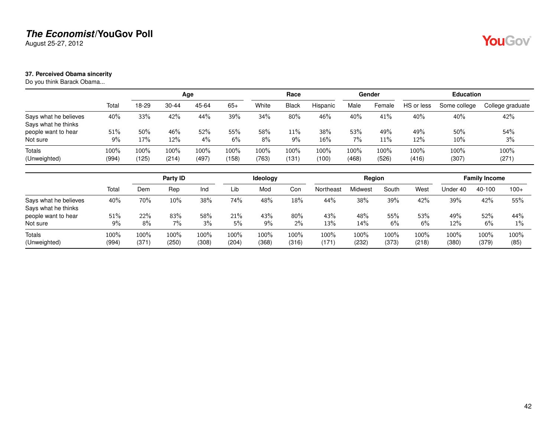August 25-27, 2012

### <span id="page-41-0"></span>**37. Perceived Obama sincerity**

Do you think Barack Obama...

|                                              |               |               |               | Age           |               |               | Race          |               |               | Gender        |               | <b>Education</b> |                  |
|----------------------------------------------|---------------|---------------|---------------|---------------|---------------|---------------|---------------|---------------|---------------|---------------|---------------|------------------|------------------|
|                                              | Total         | 18-29         | 30-44         | 45-64         | $65+$         | White         | <b>Black</b>  | Hispanic      | Male          | Female        | HS or less    | Some college     | College graduate |
| Says what he believes<br>Says what he thinks | 40%           | 33%           | 42%           | 44%           | 39%           | 34%           | 80%           | 46%           | 40%           | 41%           | 40%           | 40%              | 42%              |
| people want to hear<br>Not sure              | 51%<br>9%     | $50\%$<br>17% | 46%<br>12%    | 52%<br>$4\%$  | 55%<br>6%     | 58%<br>8%     | 11%<br>9%     | 38%<br>16%    | 53%<br>7%     | 49%<br>11%    | 49%<br>12%    | 50%<br>10%       | 54%<br>3%        |
| Totals<br>(Unweighted)                       | 100%<br>(994) | 100%<br>(125) | 100%<br>(214) | 100%<br>(497) | 100%<br>(158) | 100%<br>(763) | 100%<br>(131) | 100%<br>(100) | 100%<br>(468) | 100%<br>(526) | 100%<br>(416) | 100%<br>(307)    | 100%<br>(271)    |

|                                              |               |               | Party ID      |               |                  | Ideology      |               |               | Region        |               |               |               | <b>Family Income</b> |              |
|----------------------------------------------|---------------|---------------|---------------|---------------|------------------|---------------|---------------|---------------|---------------|---------------|---------------|---------------|----------------------|--------------|
|                                              | Total         | Dem           | Rep           | Ind           | Lib              | Mod           | Con           | Northeast     | Midwest       | South         | West          | Under 40      | 40-100               | $100+$       |
| Says what he believes<br>Says what he thinks | 40%           | 70%           | $10\%$        | 38%           | 74%              | 48%           | 18%           | 44%           | 38%           | 39%           | 42%           | 39%           | 42%                  | 55%          |
| people want to hear<br>Not sure              | 51%<br>9%     | 22%<br>8%     | 83%<br>7%     | 58%<br>3%     | 21%<br>5%        | 43%<br>$9\%$  | 80%<br>$2\%$  | 43%<br>13%    | 48%<br>14%    | 55%<br>6%     | 53%<br>6%     | 49%<br>12%    | 52%<br>6%            | 44%<br>$1\%$ |
| <b>Totals</b><br>(Unweighted)                | 100%<br>(994) | 100%<br>(371) | 100%<br>(250) | 100%<br>(308) | $100\%$<br>(204) | 100%<br>(368) | 100%<br>(316) | 100%<br>(171) | 100%<br>(232) | 100%<br>(373) | 100%<br>(218) | 100%<br>(380) | 100%<br>(379)        | 100%<br>(85) |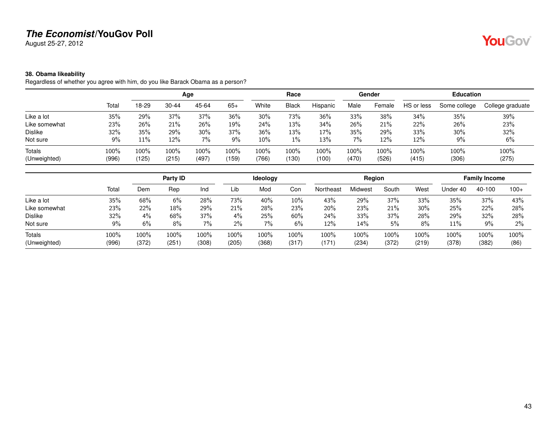August 25-27, 2012

### <span id="page-42-0"></span>**38. Obama likeability**

Regardless of whether you agree with him, do you like Barack Obama as a person?

|               |               |               |               |               |               | Race          |               |               |               |               |               |                  |
|---------------|---------------|---------------|---------------|---------------|---------------|---------------|---------------|---------------|---------------|---------------|---------------|------------------|
| Total         | 18-29         | 30-44         | 45-64         | $65+$         | White         | <b>Black</b>  | Hispanic      | Male          | Female        | HS or less    | Some college  | College graduate |
| 35%           | 29%           | 37%           | 37%           | 36%           | 30%           | 73%           | 36%           | 33%           | 38%           | 34%           | 35%           | 39%              |
| 23%           | 26%           | 21%           | 26%           | 19%           | 24%           | 13%           | 34%           | 26%           | 21%           | 22%           | 26%           | 23%              |
| 32%           | 35%           | 29%           | $30\%$        | 37%           | 36%           | 13%           | 17%           | 35%           | 29%           | 33%           | 30%           | 32%              |
| 9%            | 11%           | 12%           | 7%            | 9%            | $10\%$        | $1\%$         | 13%           | 7%            | 12%           | 12%           | 9%            | 6%               |
| 100%<br>(996) | 100%<br>(125) | 100%<br>(215) | 100%<br>(497) | 100%<br>(159) | 100%<br>(766) | 100%<br>(130) | 100%<br>(100) | 100%<br>(470) | 100%<br>(526) | 100%<br>(415) | 100%<br>(306) | 100%<br>(275)    |
|               |               |               |               | Age           |               |               |               |               |               | Gender        |               | <b>Education</b> |

|                |       |       | Party ID |         |       | <b>Ideology</b> |        |           | Region  |       |       |          | <b>Family Income</b> |        |
|----------------|-------|-------|----------|---------|-------|-----------------|--------|-----------|---------|-------|-------|----------|----------------------|--------|
|                | Total | Dem   | Rep      | Ind     | Lib   | Mod             | Con    | Northeast | Midwest | South | West  | Jnder 40 | 40-100               | $100+$ |
| Like a lot     | 35%   | 68%   | 6%       | 28%     | 73%   | 40%             | 10%    | 43%       | 29%     | 37%   | 33%   | 35%      | 37%                  | 43%    |
| Like somewhat  | 23%   | 22%   | 18%      | 29%     | 21%   | 28%             | 23%    | 20%       | 23%     | 21%   | 30%   | 25%      | 22%                  | 28%    |
| <b>Dislike</b> | 32%   | 4%    | 68%      | 37%     | 4%    | 25%             | $60\%$ | 24%       | 33%     | 37%   | 28%   | 29%      | 32%                  | 28%    |
| Not sure       | 9%    | 6%    | 8%       | $7\%$   | 2%    | 7%              | 6%     | 12%       | 14%     | 5%    | 8%    | 11%      | 9%                   | 2%     |
| <b>Totals</b>  | 100%  | 100%  | 100%     | $100\%$ | 100%  | $100\%$         | 100%   | 100%      | 100%    | 100%  | 100%  | 100%     | 100%                 | 100%   |
| (Unweighted)   | (996) | (372) | (251     | (308)   | (205) | (368)           | (317)  | (171)     | (234)   | (372) | (219) | (378)    | (382)                | (86)   |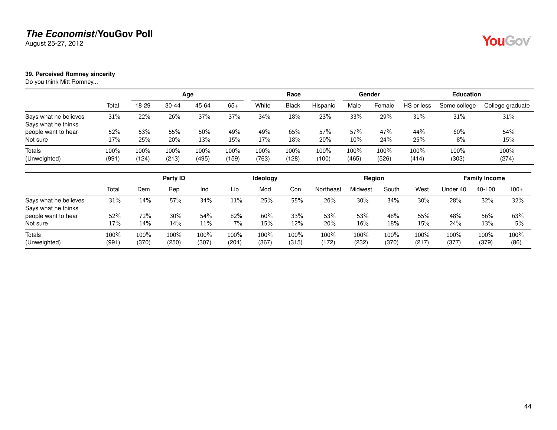August 25-27, 2012

### <span id="page-43-0"></span>**39. Perceived Romney sincerity**

Do you think Mitt Romney...

|                                              |               |               |               | Age           |               |               | Race          |               |               | Gender        |               | <b>Education</b> |                  |
|----------------------------------------------|---------------|---------------|---------------|---------------|---------------|---------------|---------------|---------------|---------------|---------------|---------------|------------------|------------------|
|                                              | Total         | 18-29         | $30 - 44$     | 45-64         | $65+$         | White         | <b>Black</b>  | Hispanic      | Male          | Female        | HS or less    | Some college     | College graduate |
| Says what he believes<br>Says what he thinks | 31%           | 22%           | 26%           | 37%           | 37%           | 34%           | $18\%$        | 23%           | 33%           | 29%           | 31%           | 31%              | 31%              |
| people want to hear<br>Not sure              | 52%<br>17%    | 53%<br>25%    | 55%<br>20%    | 50%<br>13%    | 49%<br>15%    | 49%<br>17%    | 65%<br>$18\%$ | 57%<br>20%    | 57%<br>10%    | 47%<br>24%    | 44%<br>25%    | 60%<br>8%        | 54%<br>15%       |
| <b>Totals</b><br>(Unweighted)                | 100%<br>(991) | 100%<br>(124) | 100%<br>(213) | 100%<br>(495) | 100%<br>(159) | 100%<br>(763) | 100%<br>(128) | 100%<br>(100) | 100%<br>(465) | 100%<br>(526) | 100%<br>(414) | 100%<br>(303)    | 100%<br>(274)    |

|                                              |               |                  | Party ID      |               |                  | <b>Ideology</b> |               |               | Region        |               |               |               | <b>Family Income</b> |              |
|----------------------------------------------|---------------|------------------|---------------|---------------|------------------|-----------------|---------------|---------------|---------------|---------------|---------------|---------------|----------------------|--------------|
|                                              | Total         | Dem              | Rep           | Ind           | Lib              | Mod             | Con           | Northeast     | Midwest       | South         | West          | Under 40      | 40-100               | $100+$       |
| Says what he believes<br>Says what he thinks | 31%           | 14%              | 57%           | 34%           | 11%              | 25%             | 55%           | 26%           | 30%           | 34%           | 30%           | 28%           | 32%                  | 32%          |
| people want to hear<br>Not sure              | 52%<br>17%    | 72%<br>14%       | $30\%$<br>14% | 54%<br>11%    | 82%<br>7%        | 60%<br>15%      | 33%<br>12%    | 53%<br>20%    | 53%<br>16%    | 48%<br>18%    | 55%<br>15%    | 48%<br>24%    | 56%<br>13%           | 63%<br>5%    |
| <b>Totals</b><br>(Unweighted)                | 100%<br>(991) | $100\%$<br>(370) | 100%<br>(250) | 100%<br>(307) | $100\%$<br>(204) | 100%<br>(367)   | 100%<br>(315) | 100%<br>(172) | 100%<br>(232) | 100%<br>(370) | 100%<br>(217) | 100%<br>(377) | 100%<br>(379)        | 100%<br>(86) |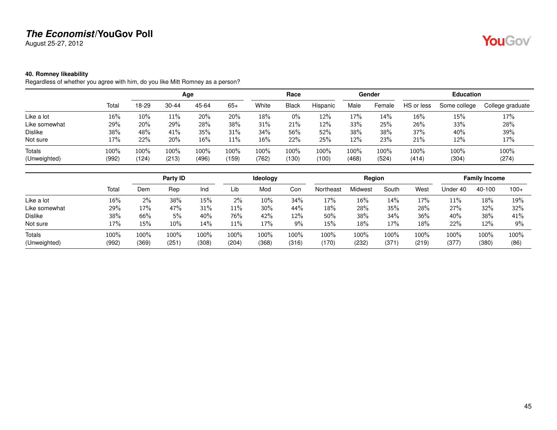August 25-27, 2012

### <span id="page-44-0"></span>**40. Romney likeability**

Regardless of whether you agree with him, do you like Mitt Romney as a person?

|                        |               |              |               | Age           |               |                  | Race          |               |               | Gender        |               | <b>Education</b> |                  |
|------------------------|---------------|--------------|---------------|---------------|---------------|------------------|---------------|---------------|---------------|---------------|---------------|------------------|------------------|
|                        | Total         | 18-29        | $30 - 44$     | 45-64         | $65+$         | White            | <b>Black</b>  | Hispanic      | Male          | Female        | HS or less    | Some college     | College graduate |
| Like a lot             | 16%           | 10%          | 11%           | 20%           | 20%           | 18%              | $0\%$         | 12%           | 17%           | 14%           | $16\%$        | 15%              | 17%              |
| Like somewhat          | 29%           | 20%          | 29%           | 28%           | 38%           | 31%              | 21%           | 12%           | 33%           | 25%           | 26%           | 33%              | 28%              |
| <b>Dislike</b>         | 38%           | 48%          | 41%           | 35%           | 31%           | 34%              | 56%           | 52%           | 38%           | 38%           | 37%           | 40%              | 39%              |
| Not sure               | 17%           | 22%          | 20%           | $16\%$        | 11%           | 16%              | 22%           | 25%           | 12%           | 23%           | 21%           | 12%              | 17%              |
| Totals<br>(Unweighted) | 100%<br>(992) | 100%<br>124) | 100%<br>(213) | 100%<br>(496) | 100%<br>(159) | $100\%$<br>(762) | 100%<br>(130) | 100%<br>(100) | 100%<br>(468) | 100%<br>(524) | 100%<br>(414) | 100%<br>(304)    | 100%<br>(274)    |

|                |       |       | Party ID |       |        | Ideology |       |           | Region  |       |        |          | <b>Family Income</b> |        |
|----------------|-------|-------|----------|-------|--------|----------|-------|-----------|---------|-------|--------|----------|----------------------|--------|
|                | Total | Dem   | Rep      | Ind   | Lib    | Mod      | Con   | Northeast | Midwest | South | West   | Jnder 40 | 40-100               | $100+$ |
| Like a lot     | 16%   | 2%    | 38%      | 15%   | $2\%$  | $10\%$   | 34%   | 17%       | 16%     | 14%   | 17%    | 11%      | 18%                  | 19%    |
| Like somewhat  | 29%   | 17%   | 47%      | 31%   | $11\%$ | $30\%$   | 44%   | 18%       | 28%     | 35%   | 28%    | 27%      | 32%                  | 32%    |
| <b>Dislike</b> | 38%   | 66%   | 5%       | 40%   | 76%    | 42%      | 12%   | 50%       | 38%     | 34%   | 36%    | 40%      | 38%                  | 41%    |
| Not sure       | 17%   | 15%   | 10%      | 14%   | 11%    | 17%      | 9%    | 15%       | 18%     | 17%   | $18\%$ | 22%      | 12%                  | 9%     |
| Totals         | 100%  | 100%  | 100%     | 100%  | 100%   | 100%     | 100%  | 100%      | 100%    | 100%  | 100%   | 100%     | 100%                 | 100%   |
| (Unweighted)   | (992) | (369) | (251     | (308) | (204)  | (368)    | (316) | (170)     | (232)   | (371) | (219)  | (377)    | (380)                | (86)   |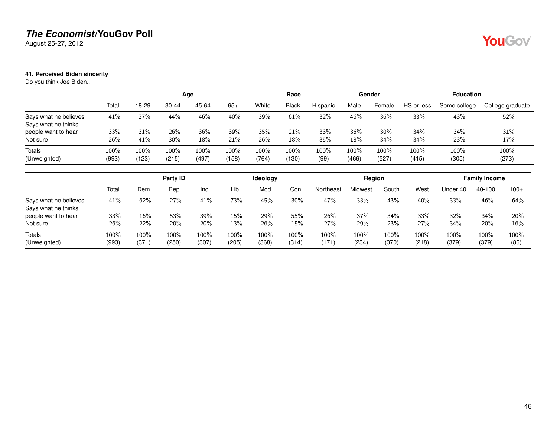August 25-27, 2012

### <span id="page-45-0"></span>**41. Perceived Biden sincerity**

Do you think Joe Biden..

|                                              |               |               |               | Age           |               |               | Race             |              |               | Gender        |               | <b>Education</b> |                  |
|----------------------------------------------|---------------|---------------|---------------|---------------|---------------|---------------|------------------|--------------|---------------|---------------|---------------|------------------|------------------|
|                                              | Total         | 18-29         | $30 - 44$     | 45-64         | $65+$         | White         | <b>Black</b>     | Hispanic     | Male          | Female        | HS or less    | Some college     | College graduate |
| Says what he believes<br>Says what he thinks | 41%           | 27%           | 44%           | 46%           | 40%           | 39%           | 61%              | 32%          | 46%           | 36%           | 33%           | 43%              | 52%              |
| people want to hear<br>Not sure              | 33%<br>26%    | 31%<br>41%    | 26%<br>30%    | 36%<br>18%    | 39%<br>21%    | 35%<br>26%    | 21%<br>18%       | 33%<br>35%   | 36%<br>18%    | 30%<br>34%    | 34%<br>34%    | 34%<br>23%       | 31%<br>17%       |
| Totals<br>(Unweighted)                       | 100%<br>(993) | 100%<br>(123) | 100%<br>(215) | 100%<br>(497) | 100%<br>(158) | 100%<br>(764) | $100\%$<br>(130) | 100%<br>(99) | 100%<br>(466) | 100%<br>(527) | 100%<br>(415) | 100%<br>(305)    | 100%<br>(273)    |

|                                              |               |               | Party ID      |               |               | <b>Ideology</b> |               |               | Region           |               |               |               | <b>Family Income</b> |              |
|----------------------------------------------|---------------|---------------|---------------|---------------|---------------|-----------------|---------------|---------------|------------------|---------------|---------------|---------------|----------------------|--------------|
|                                              | Total         | Dem           | Rep           | Ind           | Lib           | Mod             | Con           | Northeast     | Midwest          | South         | West          | Under 40      | 40-100               | $100+$       |
| Says what he believes<br>Says what he thinks | 41%           | 62%           | 27%           | 41%           | 73%           | 45%             | 30%           | 47%           | 33%              | 43%           | 40%           | 33%           | 46%                  | 64%          |
| people want to hear<br>Not sure              | 33%<br>26%    | 16%<br>22%    | 53%<br>20%    | 39%<br>20%    | 15%<br>13%    | 29%<br>26%      | 55%<br>15%    | 26%<br>27%    | 37%<br>29%       | 34%<br>23%    | 33%<br>27%    | 32%<br>34%    | 34%<br>20%           | 20%<br>16%   |
| Totals<br>(Unweighted)                       | 100%<br>(993) | 100%<br>(371) | 100%<br>(250) | 100%<br>(307) | 100%<br>(205) | 100%<br>(368)   | 100%<br>(314) | 100%<br>(171) | $100\%$<br>(234) | 100%<br>(370) | 100%<br>(218) | 100%<br>(379) | 100%<br>(379)        | 100%<br>(86) |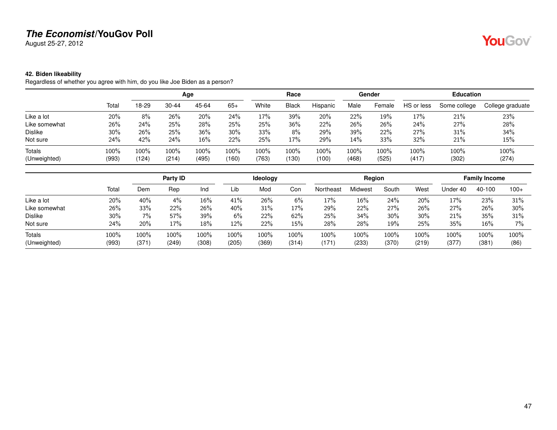August 25-27, 2012

### <span id="page-46-0"></span>**42. Biden likeability**

Regardless of whether you agree with him, do you like Joe Biden as a person?

|                        |               | Age              |               |               |                  |               | Race          |               |                  | Gender        |               | <b>Education</b> |                  |
|------------------------|---------------|------------------|---------------|---------------|------------------|---------------|---------------|---------------|------------------|---------------|---------------|------------------|------------------|
|                        | Total         | 18-29            | 30-44         | 45-64         | $65+$            | White         | <b>Black</b>  | Hispanic      | Male             | Female        | HS or less    | Some college     | College graduate |
| Like a lot             | 20%           | 8%               | 26%           | 20%           | 24%              | 17%           | 39%           | 20%           | 22%              | 19%           | 17%           | 21%              | 23%              |
| Like somewhat          | 26%           | 24%              | 25%           | 28%           | 25%              | 25%           | 36%           | 22%           | 26%              | 26%           | 24%           | 27%              | 28%              |
| Dislike                | 30%           | 26%              | 25%           | 36%           | $30\%$           | 33%           | 8%            | 29%           | 39%              | 22%           | 27%           | 31%              | 34%              |
| Not sure               | 24%           | 42%              | 24%           | $16\%$        | 22%              | 25%           | 17%           | 29%           | 14%              | 33%           | 32%           | 21%              | 15%              |
| Totals<br>(Unweighted) | 100%<br>(993) | $100\%$<br>(124) | 100%<br>(214) | 100%<br>(495) | $100\%$<br>(160) | 100%<br>(763) | 100%<br>(130) | 100%<br>(100) | $100\%$<br>(468) | 100%<br>(525) | 100%<br>(417) | 100%<br>(302)    | 100%<br>(274)    |

|                |       |      | Party ID |        |       | Ideology |       |           | Region  |       |       |          | <b>Family Income</b> |        |
|----------------|-------|------|----------|--------|-------|----------|-------|-----------|---------|-------|-------|----------|----------------------|--------|
|                | Total | Dem  | Rep      | Ind    | Lib   | Mod      | Con   | Northeast | Midwest | South | West  | Jnder 40 | 40-100               | $100+$ |
| Like a lot     | 20%   | 40%  | 4%       | $16\%$ | 41%   | 26%      | 6%    | 17%       | 16%     | 24%   | 20%   | 17%      | 23%                  | 31%    |
| Like somewhat  | 26%   | 33%  | 22%      | 26%    | 40%   | 31%      | 17%   | 29%       | 22%     | 27%   | 26%   | 27%      | 26%                  | 30%    |
| <b>Dislike</b> | 30%   | 7%   | 57%      | 39%    | $6\%$ | 22%      | 62%   | 25%       | 34%     | 30%   | 30%   | 21%      | 35%                  | 31%    |
| Not sure       | 24%   | 20%  | 17%      | 18%    | 12%   | 22%      | 15%   | 28%       | 28%     | 19%   | 25%   | 35%      | 16%                  | $7\%$  |
| Totals         | 100%  | 100% | 100%     | 100%   | 100%  | $100\%$  | 100%  | 100%      | 100%    | 100%  | 100%  | 100%     | 100%                 | 100%   |
| (Unweighted)   | (993) | (371 | (249)    | (308)  | (205) | (369)    | (314) | (171)     | (233)   | (370) | (219) | (377)    | (381)                | (86)   |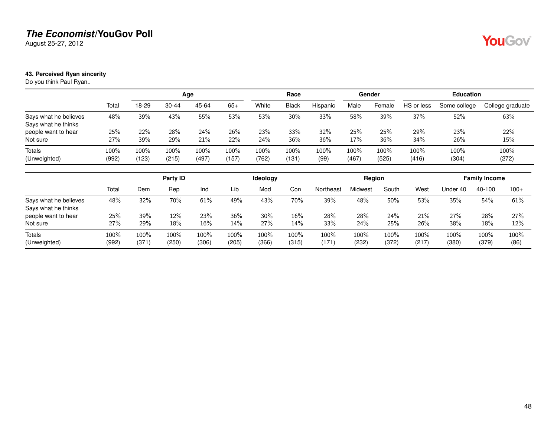August 25-27, 2012

### <span id="page-47-0"></span>**43. Perceived Ryan sincerity**

Do you think Paul Ryan..

|                                              |                  |               |               | Age           |               |               | Race            |              |               | Gender        |               | <b>Education</b> |                  |
|----------------------------------------------|------------------|---------------|---------------|---------------|---------------|---------------|-----------------|--------------|---------------|---------------|---------------|------------------|------------------|
|                                              | Total            | 18-29         | $30 - 44$     | 45-64         | $65+$         | White         | <b>Black</b>    | Hispanic     | Male          | Female        | HS or less    | Some college     | College graduate |
| Says what he believes<br>Says what he thinks | 48%              | 39%           | 43%           | 55%           | 53%           | 53%           | 30%             | 33%          | 58%           | 39%           | 37%           | 52%              | 63%              |
| people want to hear                          | 25%              | 22%           | 28%           | 24%           | 26%           | <b>23%</b>    | 33%             | 32%          | 25%           | 25%           | 29%           | 23%              | 22%              |
| Not sure                                     | 27%              | 39%           | 29%           | 21%           | 22%           | 24%           | 36%             | 36%          | 17%           | 36%           | 34%           | 26%              | 15%              |
| Totals<br>(Unweighted)                       | $100\%$<br>(992) | 100%<br>(123) | 100%<br>(215) | 100%<br>(497) | 100%<br>(157) | 100%<br>(762) | $100\%$<br>(131 | 100%<br>(99) | 100%<br>(467) | 100%<br>(525) | 100%<br>(416) | 100%<br>(304)    | 100%<br>(272)    |

|                                              |               |                  | Party ID      |               |                  | <b>Ideology</b> |               |                   | Region        |               |               |               | <b>Family Income</b> |              |
|----------------------------------------------|---------------|------------------|---------------|---------------|------------------|-----------------|---------------|-------------------|---------------|---------------|---------------|---------------|----------------------|--------------|
|                                              | Total         | Dem              | Rep           | Ind           | Lib              | Mod             | Con           | Northeast         | Midwest       | South         | West          | Under 40      | 40-100               | $100+$       |
| Says what he believes<br>Says what he thinks | 48%           | 32%              | 70%           | 61%           | 49%              | 43%             | 70%           | 39%               | 48%           | 50%           | 53%           | 35%           | 54%                  | 61%          |
| people want to hear<br>Not sure              | 25%<br>27%    | 39%<br>29%       | 12%<br>18%    | 23%<br>16%    | 36%<br>14%       | 30%<br>27%      | $16\%$<br>14% | <b>28%</b><br>33% | 28%<br>24%    | 24%<br>25%    | 21%<br>26%    | 27%<br>38%    | 28%<br>18%           | 27%<br>12%   |
| <b>Totals</b><br>(Unweighted)                | 100%<br>(992) | $100\%$<br>(371) | 100%<br>(250) | 100%<br>(306) | $100\%$<br>(205) | 100%<br>(366)   | 100%<br>(315) | 100%<br>(171)     | 100%<br>(232) | 100%<br>(372) | 100%<br>(217) | 100%<br>(380) | 100%<br>(379)        | 100%<br>(86) |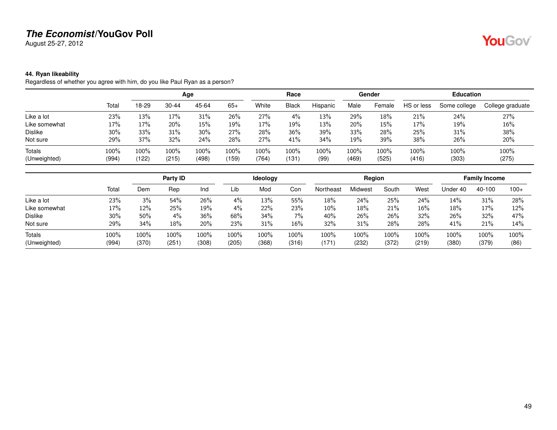August 25-27, 2012

### <span id="page-48-0"></span>**44. Ryan likeability**

Regardless of whether you agree with him, do you like Paul Ryan as a person?

|                |       |       |           | Age   |       |       | Race         |          |       | Gender |            | <b>Education</b> |                  |
|----------------|-------|-------|-----------|-------|-------|-------|--------------|----------|-------|--------|------------|------------------|------------------|
|                | Total | 18-29 | $30 - 44$ | 45-64 | $65+$ | White | <b>Black</b> | Hispanic | Male  | Female | HS or less | Some college     | College graduate |
| Like a lot     | 23%   | 13%   | 17%       | 31%   | 26%   | 27%   | $4\%$        | 13%      | 29%   | 18%    | 21%        | 24%              | 27%              |
| Like somewhat  | 17%   | 17%   | 20%       | 15%   | 19%   | 17%   | 19%          | 13%      | 20%   | 15%    | 17%        | 19%              | 16%              |
| <b>Dislike</b> | 30%   | 33%   | 31%       | 30%   | 27%   | 28%   | 36%          | 39%      | 33%   | 28%    | 25%        | 31%              | 38%              |
| Not sure       | 29%   | 37%   | 32%       | 24%   | 28%   | 27%   | 41%          | 34%      | 19%   | 39%    | 38%        | 26%              | 20%              |
| Totals         | 100%  | 100%  | 100%      | 100%  | 100%  | 100%  | 100%         | 100%     | 100%  | 100%   | 100%       | 100%             | 100%             |
| (Unweighted)   | (994) | (122) | (215)     | (498) | (159) | (764) | (131         | (99)     | (469) | (525)  | (416)      | (303)            | (275)            |

|               |       |       | Party ID |       |       | Ideology |       |           | Region  |       |       |          | <b>Family Income</b> |        |
|---------------|-------|-------|----------|-------|-------|----------|-------|-----------|---------|-------|-------|----------|----------------------|--------|
|               | Total | Dem   | Rep      | Ind   | Lib   | Mod      | Con   | Northeast | Midwest | South | West  | Under 40 | 40-100               | $100+$ |
| Like a lot    | 23%   | 3%    | 54%      | 26%   | 4%    | 13%      | 55%   | 18%       | 24%     | 25%   | 24%   | 14%      | 31%                  | 28%    |
| Like somewhat | 17%   | 12%   | 25%      | 19%   | 4%    | 22%      | 23%   | 10%       | 18%     | 21%   | 16%   | 18%      | 17%                  | 12%    |
| Dislike       | 30%   | 50%   | 4%       | 36%   | 68%   | 34%      | 7%    | 40%       | 26%     | 26%   | 32%   | 26%      | 32%                  | 47%    |
| Not sure      | 29%   | 34%   | 18%      | 20%   | 23%   | 31%      | 16%   | 32%       | 31%     | 28%   | 28%   | 41%      | 21%                  | 14%    |
| Totals        | 100%  | 100%  | 100%     | 100%  | 100%  | 100%     | 100%  | 100%      | 100%    | 100%  | 100%  | 100%     | 100%                 | 100%   |
| (Unweighted)  | (994) | (370) | (251)    | (308) | (205) | (368)    | (316) | (171)     | (232)   | (372) | (219) | (380)    | (379)                | (86)   |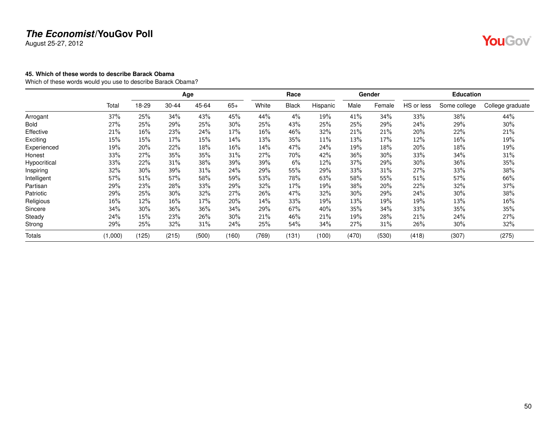August 25-27, 2012

### <span id="page-49-0"></span>**45. Which of these words to describe Barack Obama**

Which of these words would you use to describe Barack Obama?

|               |         |       |       | Age   |        |       | Race         |          |       | Gender |            | <b>Education</b> |                  |
|---------------|---------|-------|-------|-------|--------|-------|--------------|----------|-------|--------|------------|------------------|------------------|
|               | Total   | 18-29 | 30-44 | 45-64 | $65+$  | White | <b>Black</b> | Hispanic | Male  | Female | HS or less | Some college     | College graduate |
| Arrogant      | 37%     | 25%   | 34%   | 43%   | 45%    | 44%   | 4%           | 19%      | 41%   | 34%    | 33%        | 38%              | 44%              |
| Bold          | 27%     | 25%   | 29%   | 25%   | 30%    | 25%   | 43%          | 25%      | 25%   | 29%    | 24%        | 29%              | 30%              |
| Effective     | 21%     | 16%   | 23%   | 24%   | 17%    | 16%   | 46%          | 32%      | 21%   | 21%    | 20%        | 22%              | 21%              |
| Exciting      | 15%     | 15%   | 17%   | 15%   | 14%    | 13%   | 35%          | 11%      | 13%   | 17%    | 12%        | 16%              | 19%              |
| Experienced   | 19%     | 20%   | 22%   | 18%   | $16\%$ | 14%   | 47%          | 24%      | 19%   | 18%    | 20%        | 18%              | 19%              |
| Honest        | 33%     | 27%   | 35%   | 35%   | 31%    | 27%   | 70%          | 42%      | 36%   | 30%    | 33%        | 34%              | 31%              |
| Hypocritical  | 33%     | 22%   | 31%   | 38%   | 39%    | 39%   | 6%           | 12%      | 37%   | 29%    | 30%        | 36%              | 35%              |
| Inspiring     | 32%     | 30%   | 39%   | 31%   | 24%    | 29%   | 55%          | 29%      | 33%   | 31%    | 27%        | 33%              | 38%              |
| Intelligent   | 57%     | 51%   | 57%   | 58%   | 59%    | 53%   | 78%          | 63%      | 58%   | 55%    | 51%        | 57%              | 66%              |
| Partisan      | 29%     | 23%   | 28%   | 33%   | 29%    | 32%   | 17%          | 19%      | 38%   | 20%    | 22%        | 32%              | 37%              |
| Patriotic     | 29%     | 25%   | 30%   | 32%   | 27%    | 26%   | 47%          | 32%      | 30%   | 29%    | 24%        | 30%              | 38%              |
| Religious     | 16%     | 12%   | 16%   | 17%   | 20%    | 14%   | 33%          | 19%      | 13%   | 19%    | 19%        | 13%              | $16\%$           |
| Sincere       | 34%     | 30%   | 36%   | 36%   | 34%    | 29%   | 67%          | 40%      | 35%   | 34%    | 33%        | 35%              | 35%              |
| Steady        | 24%     | 15%   | 23%   | 26%   | $30\%$ | 21%   | 46%          | 21%      | 19%   | 28%    | 21%        | 24%              | 27%              |
| Strong        | 29%     | 25%   | 32%   | 31%   | 24%    | 25%   | 54%          | 34%      | 27%   | 31%    | 26%        | 30%              | 32%              |
| <b>Totals</b> | (1,000) | (125) | (215) | (500) | (160)  | (769) | (131)        | (100)    | (470) | (530)  | (418)      | (307)            | (275)            |

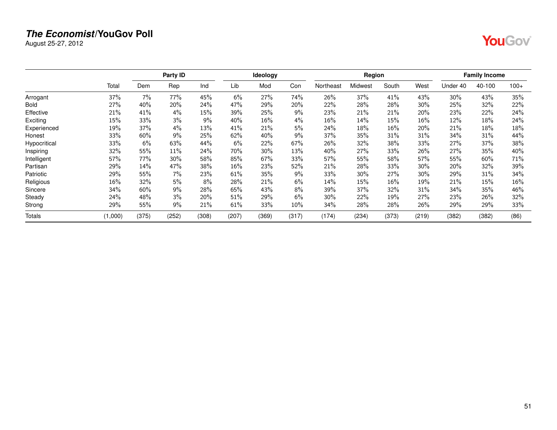August 25-27, 2012

|--|--|

|              |         |       | Party ID |       |       | Ideology |       |           | Region  |       |       |          | <b>Family Income</b> |        |
|--------------|---------|-------|----------|-------|-------|----------|-------|-----------|---------|-------|-------|----------|----------------------|--------|
|              | Total   | Dem   | Rep      | Ind   | Lib   | Mod      | Con   | Northeast | Midwest | South | West  | Under 40 | 40-100               | $100+$ |
| Arrogant     | 37%     | 7%    | 77%      | 45%   | 6%    | 27%      | 74%   | 26%       | 37%     | 41%   | 43%   | 30%      | 43%                  | 35%    |
| Bold         | 27%     | 40%   | 20%      | 24%   | 47%   | 29%      | 20%   | 22%       | 28%     | 28%   | 30%   | 25%      | 32%                  | 22%    |
| Effective    | 21%     | 41%   | 4%       | 15%   | 39%   | 25%      | 9%    | 23%       | 21%     | 21%   | 20%   | 23%      | 22%                  | 24%    |
| Exciting     | 15%     | 33%   | 3%       | 9%    | 40%   | 16%      | 4%    | 16%       | 14%     | 15%   | 16%   | 12%      | 18%                  | 24%    |
| Experienced  | 19%     | 37%   | 4%       | 13%   | 41%   | 21%      | 5%    | 24%       | 18%     | 16%   | 20%   | 21%      | 18%                  | 18%    |
| Honest       | 33%     | 60%   | 9%       | 25%   | 62%   | 40%      | 9%    | 37%       | 35%     | 31%   | 31%   | 34%      | 31%                  | 44%    |
| Hypocritical | 33%     | 6%    | 63%      | 44%   | 6%    | 22%      | 67%   | 26%       | 32%     | 38%   | 33%   | 27%      | 37%                  | 38%    |
| Inspiring    | 32%     | 55%   | 11%      | 24%   | 70%   | 30%      | 13%   | 40%       | 27%     | 33%   | 26%   | 27%      | 35%                  | 40%    |
| Intelligent  | 57%     | 77%   | 30%      | 58%   | 85%   | 67%      | 33%   | 57%       | 55%     | 58%   | 57%   | 55%      | 60%                  | 71%    |
| Partisan     | 29%     | 14%   | 47%      | 38%   | 16%   | 23%      | 52%   | 21%       | 28%     | 33%   | 30%   | 20%      | 32%                  | 39%    |
| Patriotic    | 29%     | 55%   | 7%       | 23%   | 61%   | 35%      | 9%    | 33%       | 30%     | 27%   | 30%   | 29%      | 31%                  | 34%    |
| Religious    | 16%     | 32%   | 5%       | 8%    | 28%   | 21%      | 6%    | 14%       | 15%     | 16%   | 19%   | 21%      | 15%                  | 16%    |
| Sincere      | 34%     | 60%   | 9%       | 28%   | 65%   | 43%      | 8%    | 39%       | 37%     | 32%   | 31%   | 34%      | 35%                  | 46%    |
| Steady       | 24%     | 48%   | 3%       | 20%   | 51%   | 29%      | 6%    | 30%       | 22%     | 19%   | 27%   | 23%      | 26%                  | 32%    |
| Strong       | 29%     | 55%   | 9%       | 21%   | 61%   | 33%      | 10%   | 34%       | 28%     | 28%   | 26%   | 29%      | 29%                  | 33%    |
| Totals       | (1,000) | (375) | (252)    | (308) | (207) | (369)    | (317) | (174)     | (234)   | (373) | (219) | (382)    | (382)                | (86)   |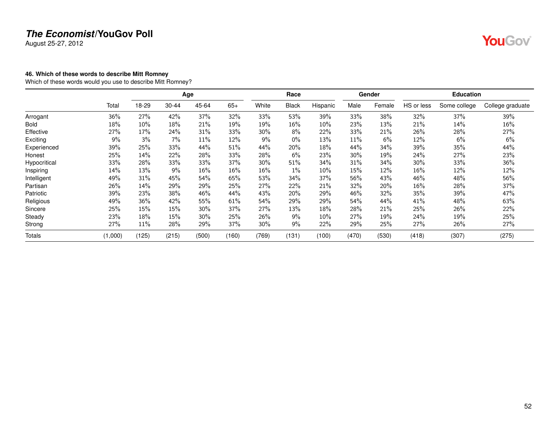August 25-27, 2012

### <span id="page-51-0"></span>**46. Which of these words to describe Mitt Romney**

Which of these words would you use to describe Mitt Romney?

|               |         |       |           | Age   |       | Race  |              |          | Gender |        | <b>Education</b> |              |                  |  |
|---------------|---------|-------|-----------|-------|-------|-------|--------------|----------|--------|--------|------------------|--------------|------------------|--|
|               | Total   | 18-29 | $30 - 44$ | 45-64 | $65+$ | White | <b>Black</b> | Hispanic | Male   | Female | HS or less       | Some college | College graduate |  |
| Arrogant      | 36%     | 27%   | 42%       | 37%   | 32%   | 33%   | 53%          | 39%      | 33%    | 38%    | 32%              | 37%          | 39%              |  |
| <b>Bold</b>   | 18%     | 10%   | 18%       | 21%   | 19%   | 19%   | 16%          | 10%      | 23%    | 13%    | 21%              | 14%          | 16%              |  |
| Effective     | 27%     | 17%   | 24%       | 31%   | 33%   | 30%   | 8%           | 22%      | 33%    | 21%    | 26%              | 28%          | 27%              |  |
| Exciting      | 9%      | 3%    | $7\%$     | 11%   | 12%   | 9%    | $0\%$        | 13%      | 11%    | 6%     | 12%              | 6%           | 6%               |  |
| Experienced   | 39%     | 25%   | 33%       | 44%   | 51%   | 44%   | 20%          | 18%      | 44%    | 34%    | 39%              | 35%          | 44%              |  |
| Honest        | 25%     | 14%   | 22%       | 28%   | 33%   | 28%   | 6%           | 23%      | 30%    | 19%    | 24%              | 27%          | 23%              |  |
| Hypocritical  | 33%     | 28%   | 33%       | 33%   | 37%   | 30%   | 51%          | 34%      | 31%    | 34%    | 30%              | 33%          | 36%              |  |
| Inspiring     | 14%     | 13%   | 9%        | 16%   | 16%   | 16%   | 1%           | 10%      | 15%    | 12%    | 16%              | 12%          | 12%              |  |
| Intelligent   | 49%     | 31%   | 45%       | 54%   | 65%   | 53%   | 34%          | 37%      | 56%    | 43%    | 46%              | 48%          | 56%              |  |
| Partisan      | 26%     | 14%   | 29%       | 29%   | 25%   | 27%   | 22%          | 21%      | 32%    | 20%    | 16%              | 28%          | 37%              |  |
| Patriotic     | 39%     | 23%   | 38%       | 46%   | 44%   | 43%   | 20%          | 29%      | 46%    | 32%    | 35%              | 39%          | 47%              |  |
| Religious     | 49%     | 36%   | 42%       | 55%   | 61%   | 54%   | 29%          | 29%      | 54%    | 44%    | 41%              | 48%          | 63%              |  |
| Sincere       | 25%     | 15%   | 15%       | 30%   | 37%   | 27%   | 13%          | 18%      | 28%    | 21%    | 25%              | 26%          | 22%              |  |
| Steady        | 23%     | 18%   | 15%       | 30%   | 25%   | 26%   | 9%           | 10%      | 27%    | 19%    | 24%              | 19%          | 25%              |  |
| Strong        | 27%     | 11%   | 28%       | 29%   | 37%   | 30%   | 9%           | 22%      | 29%    | 25%    | 27%              | 26%          | 27%              |  |
| <b>Totals</b> | (1,000) | (125) | (215)     | (500) | (160) | (769) | (131)        | (100)    | (470)  | (530)  | (418)            | (307)        | (275)            |  |

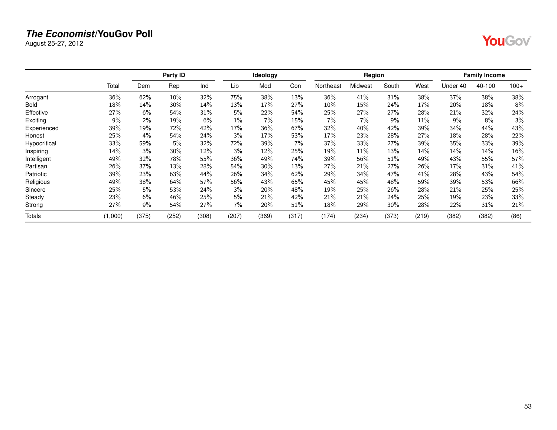August 25-27, 2012

| r : |  |
|-----|--|
|-----|--|

|              |         |       | Party ID |       |       | Ideology |       |           | Region  |        |       |          | <b>Family Income</b> |        |
|--------------|---------|-------|----------|-------|-------|----------|-------|-----------|---------|--------|-------|----------|----------------------|--------|
|              | Total   | Dem   | Rep      | Ind   | Lib   | Mod      | Con   | Northeast | Midwest | South  | West  | Under 40 | 40-100               | $100+$ |
| Arrogant     | 36%     | 62%   | 10%      | 32%   | 75%   | 38%      | 13%   | 36%       | 41%     | 31%    | 38%   | 37%      | 38%                  | 38%    |
| Bold         | 18%     | 14%   | 30%      | 14%   | 13%   | 17%      | 27%   | 10%       | 15%     | 24%    | 17%   | 20%      | 18%                  | 8%     |
| Effective    | 27%     | 6%    | 54%      | 31%   | 5%    | 22%      | 54%   | 25%       | 27%     | 27%    | 28%   | 21%      | 32%                  | 24%    |
| Exciting     | 9%      | 2%    | 19%      | 6%    | 1%    | 7%       | 15%   | 7%        | $7\%$   | 9%     | 11%   | 9%       | $8\%$                | 3%     |
| Experienced  | 39%     | 19%   | 72%      | 42%   | 17%   | 36%      | 67%   | 32%       | 40%     | 42%    | 39%   | 34%      | 44%                  | 43%    |
| Honest       | 25%     | 4%    | 54%      | 24%   | 3%    | 17%      | 53%   | 17%       | 23%     | 28%    | 27%   | 18%      | 28%                  | 22%    |
| Hypocritical | 33%     | 59%   | 5%       | 32%   | 72%   | 39%      | 7%    | 37%       | 33%     | 27%    | 39%   | 35%      | 33%                  | 39%    |
| Inspiring    | 14%     | 3%    | 30%      | 12%   | 3%    | 12%      | 25%   | 19%       | 11%     | 13%    | 14%   | 14%      | 14%                  | $16\%$ |
| Intelligent  | 49%     | 32%   | 78%      | 55%   | 36%   | 49%      | 74%   | 39%       | 56%     | 51%    | 49%   | 43%      | 55%                  | 57%    |
| Partisan     | 26%     | 37%   | 13%      | 28%   | 54%   | 30%      | 13%   | 27%       | 21%     | 27%    | 26%   | 17%      | 31%                  | 41%    |
| Patriotic    | 39%     | 23%   | 63%      | 44%   | 26%   | 34%      | 62%   | 29%       | 34%     | 47%    | 41%   | 28%      | 43%                  | 54%    |
| Religious    | 49%     | 38%   | 64%      | 57%   | 56%   | 43%      | 65%   | 45%       | 45%     | 48%    | 59%   | 39%      | 53%                  | 66%    |
| Sincere      | 25%     | 5%    | 53%      | 24%   | 3%    | 20%      | 48%   | 19%       | 25%     | 26%    | 28%   | 21%      | 25%                  | 25%    |
| Steady       | 23%     | 6%    | 46%      | 25%   | 5%    | 21%      | 42%   | 21%       | 21%     | 24%    | 25%   | 19%      | 23%                  | 33%    |
| Strong       | 27%     | 9%    | 54%      | 27%   | 7%    | 20%      | 51%   | 18%       | 29%     | $30\%$ | 28%   | 22%      | 31%                  | 21%    |
| Totals       | (1,000) | (375) | (252)    | (308) | (207) | (369)    | (317) | (174)     | (234)   | (373)  | (219) | (382)    | (382)                | (86)   |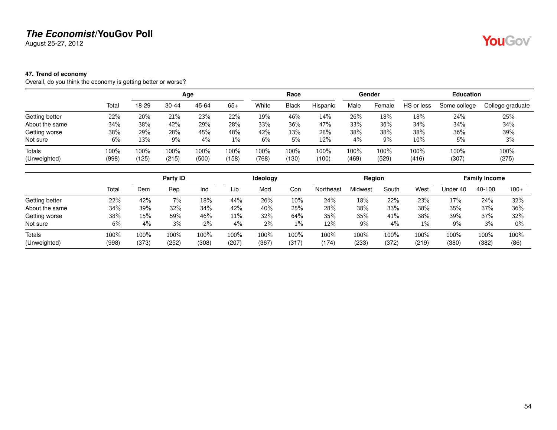August 25-27, 2012

### <span id="page-53-0"></span>**47. Trend of economy**

Overall, do you think the economy is getting better or worse?

|                |       |       | Age       |       |       |       | Race  |          | Gender |        | <b>Education</b> |              |                  |
|----------------|-------|-------|-----------|-------|-------|-------|-------|----------|--------|--------|------------------|--------------|------------------|
|                | Total | 18-29 | $30 - 44$ | 45-64 | $65+$ | White | Black | Hispanic | Male   | Female | HS or less       | Some college | College graduate |
| Getting better | 22%   | 20%   | 21%       | 23%   | 22%   | 19%   | 46%   | 14%      | 26%    | 18%    | 18%              | 24%          | 25%              |
| About the same | 34%   | 38%   | 42%       | 29%   | 28%   | 33%   | 36%   | 47%      | 33%    | 36%    | 34%              | 34%          | 34%              |
| Getting worse  | 38%   | 29%   | 28%       | 45%   | 48%   | 42%   | 13%   | 28%      | 38%    | 38%    | 38%              | 36%          | 39%              |
| Not sure       | 6%    | 13%   | 9%        | 4%    | $1\%$ | 6%    | 5%    | 12%      | 4%     | $9\%$  | $10\%$           | 5%           | 3%               |
| Totals         | 100%  | 100%  | 100%      | 100%  | 100%  | 100%  | 100%  | 100%     | 100%   | 100%   | 100%             | 100%         | 100%             |
| (Unweighted)   | (998) | (125) | (215)     | (500) | (158) | (768) | (130) | (100)    | (469)  | (529)  | (416)            | (307)        | (275)            |

|                |       | Party ID |       |       |        | Ideology |       | Region    |         |       |       | <b>Family Income</b> |        |        |
|----------------|-------|----------|-------|-------|--------|----------|-------|-----------|---------|-------|-------|----------------------|--------|--------|
|                | Total | Dem      | Rep   | Ind   | Lib    | Mod      | Con   | Northeast | Midwest | South | West  | Under 40             | 40-100 | $100+$ |
| Getting better | 22%   | 42%      | 7%    | 18%   | 44%    | 26%      | 10%   | 24%       | 18%     | 22%   | 23%   | 17%                  | 24%    | 32%    |
| About the same | 34%   | 39%      | 32%   | 34%   | 42%    | 40%      | 25%   | 28%       | 38%     | 33%   | 38%   | 35%                  | 37%    | 36%    |
| Getting worse  | 38%   | 15%      | 59%   | 46%   | $11\%$ | 32%      | 64%   | 35%       | 35%     | 41%   | 38%   | 39%                  | 37%    | 32%    |
| Not sure       | 6%    | 4%       | 3%    | $2\%$ | $4\%$  | 2%       | 1%    | 12%       | 9%      | 4%    | $1\%$ | 9%                   | 3%     | $0\%$  |
| Totals         | 100%  | 100%     | 100%  | 100%  | 100%   | 100%     | 100%  | $100\%$   | 100%    | 100%  | 100%  | $100\%$              | 100%   | 100%   |
| (Unweighted)   | (998) | (373)    | (252) | (308) | (207)  | (367)    | (317) | (174)     | (233)   | (372) | (219) | (380)                | (382)  | (86)   |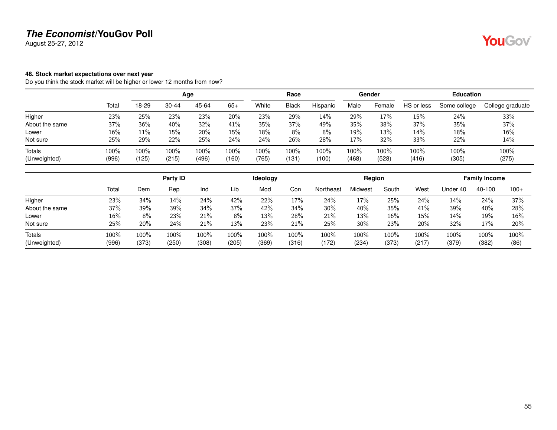August 25-27, 2012

### <span id="page-54-0"></span>**48. Stock market expectations over next year**

Do you think the stock market will be higher or lower 12 months from now?

|                        |               | Age           |               |               |               | Race          |                                     |               | Gender        |               | <b>Education</b> |               |                  |  |
|------------------------|---------------|---------------|---------------|---------------|---------------|---------------|-------------------------------------|---------------|---------------|---------------|------------------|---------------|------------------|--|
|                        | Total         | 18-29         | $30 - 44$     | 45-64         | $65+$         | White         | <b>Black</b>                        | Hispanic      | Male          | Female        | HS or less       | Some college  | College graduate |  |
| Higher                 | 23%           | 25%           | 23%           | 23%           | 20%           | 23%           | 29%                                 | 14%           | 29%           | 17%           | 15%              | 24%           | 33%              |  |
| About the same         | 37%           | 36%           | 40%           | 32%           | 41%           | 35%           | 37%                                 | 49%           | 35%           | 38%           | 37%              | 35%           | 37%              |  |
| Lower                  | $16\%$        | 11%           | 15%           | 20%           | 15%           | 18%           | 8%                                  | 8%            | 19%           | 13%           | 14%              | 18%           | 16%              |  |
| Not sure               | 25%           | 29%           | 22%           | 25%           | 24%           | 24%           | 26%                                 | 28%           | 17%           | 32%           | 33%              | 22%           | 14%              |  |
| Totals<br>(Unweighted) | 100%<br>(996) | 100%<br>(125) | 100%<br>(215) | 100%<br>(496) | 100%<br>(160) | 100%<br>(765) | 100%<br>$^{\prime}$ 131 $^{\prime}$ | 100%<br>(100) | 100%<br>(468) | 100%<br>(528) | 100%<br>(416)    | 100%<br>(305) | 100%<br>(275)    |  |

|       |         | Party ID |       |       | Ideology |       |           |         |       |                 |          |        |                               |
|-------|---------|----------|-------|-------|----------|-------|-----------|---------|-------|-----------------|----------|--------|-------------------------------|
| Total | Dem     | Rep      | Ind   | Lib   | Mod      | Con   | Northeast | Midwest | South | West            | Jnder 40 | 40-100 | $100+$                        |
| 23%   | 34%     | 14%      | 24%   | 42%   | 22%      | 17%   | 24%       | 17%     | 25%   | 24%             | 14%      | 24%    | 37%                           |
| 37%   | 39%     | 39%      | 34%   | 37%   | 42%      | 34%   | 30%       | 40%     | 35%   | 41%             | 39%      | 40%    | 28%                           |
| 16%   | 8%      | 23%      | 21%   | 8%    | 13%      | 28%   | 21%       | 13%     | 16%   | 15%             | 14%      | 19%    | 16%                           |
| 25%   | 20%     | 24%      | 21%   | 13%   | 23%      | 21%   | 25%       | 30%     | 23%   | 20%             | 32%      | 17%    | 20%                           |
| 100%  | $100\%$ | 100%     | 100%  | 100%  | 100%     | 100%  | 100%      | 100%    | 100%  | 100%            | 100%     | 100%   | 100%<br>(86)                  |
|       | (996    | (373)    | (250) | (308) | (205)    | (369) | (316)     | (172)   | (234) | Region<br>(373) | (217)    | (379)  | <b>Family Income</b><br>(382) |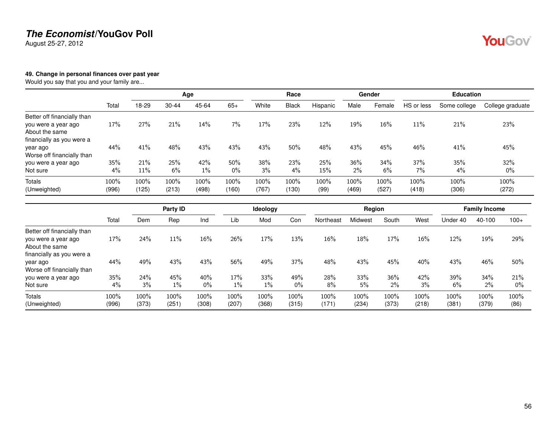August 25-27, 2012

### <span id="page-55-0"></span>**49. Change in personal finances over past year**

Would you say that you and your family are...

|                                                    |               |               |               | Age           |               |               | Race          |              | Gender        |               | <b>Education</b> |               |                  |  |
|----------------------------------------------------|---------------|---------------|---------------|---------------|---------------|---------------|---------------|--------------|---------------|---------------|------------------|---------------|------------------|--|
|                                                    | Total         | 18-29         | $30 - 44$     | 45-64         | $65+$         | White         | <b>Black</b>  | Hispanic     | Male          | Female        | HS or less       | Some college  | College graduate |  |
| Better off financially than<br>you were a year ago | 17%           | 27%           | 21%           | 14%           | 7%            | 17%           | 23%           | 12%          | 19%           | 16%           | 11%              | 21%           | 23%              |  |
| About the same<br>financially as you were a        |               |               |               |               |               |               |               |              |               |               |                  |               |                  |  |
| year ago<br>Worse off financially than             | 44%           | 41%           | 48%           | 43%           | 43%           | 43%           | 50%           | 48%          | 43%           | 45%           | 46%              | 41%           | 45%              |  |
| you were a year ago                                | 35%           | 21%           | 25%           | 42%           | 50%           | 38%           | 23%           | 25%          | 36%           | 34%           | 37%              | 35%           | 32%              |  |
| Not sure                                           | 4%            | 11%           | 6%            | $1\%$         | $0\%$         | 3%            | 4%            | 15%          | 2%            | 6%            | 7%               | 4%            | $0\%$            |  |
| <b>Totals</b><br>(Unweighted)                      | 100%<br>(996) | 100%<br>(125) | 100%<br>(213) | 100%<br>(498) | 100%<br>(160) | 100%<br>(767) | 100%<br>(130) | 100%<br>(99) | 100%<br>(469) | 100%<br>(527) | 100%<br>(418)    | 100%<br>(306) | 100%<br>(272)    |  |

|                                                    |       |       | Party ID |       |       | Ideology |       |           | Region  |       |       |          | <b>Family Income</b> |        |
|----------------------------------------------------|-------|-------|----------|-------|-------|----------|-------|-----------|---------|-------|-------|----------|----------------------|--------|
|                                                    | Total | Dem   | Rep      | Ind   | Lib   | Mod      | Con   | Northeast | Midwest | South | West  | Under 40 | 40-100               | $100+$ |
| Better off financially than<br>you were a year ago | 17%   | 24%   | 11%      | 16%   | 26%   | 17%      | 13%   | 16%       | 18%     | 17%   | 16%   | 12%      | 19%                  | 29%    |
| About the same                                     |       |       |          |       |       |          |       |           |         |       |       |          |                      |        |
| financially as you were a<br>year ago              | 44%   | 49%   | 43%      | 43%   | 56%   | 49%      | 37%   | 48%       | 43%     | 45%   | 40%   | 43%      | 46%                  | 50%    |
| Worse off financially than                         |       |       |          |       |       |          |       |           |         |       |       |          |                      |        |
| you were a year ago                                | 35%   | 24%   | 45%      | 40%   | 17%   | 33%      | 49%   | 28%       | 33%     | 36%   | 42%   | 39%      | 34%                  | 21%    |
| Not sure                                           | 4%    | 3%    | $1\%$    | $0\%$ | $1\%$ | $1\%$    | $0\%$ | 8%        | 5%      | 2%    | 3%    | 6%       | 2%                   | $0\%$  |
| <b>Totals</b>                                      | 100%  | 100%  | 100%     | 100%  | 100%  | 100%     | 100%  | 100%      | 100%    | 100%  | 100%  | 100%     | 100%                 | 100%   |
| (Unweighted)                                       | (996) | (373) | (251)    | (308) | (207) | (368)    | (315) | (171)     | (234)   | (373) | (218) | (381)    | (379)                | (86)   |